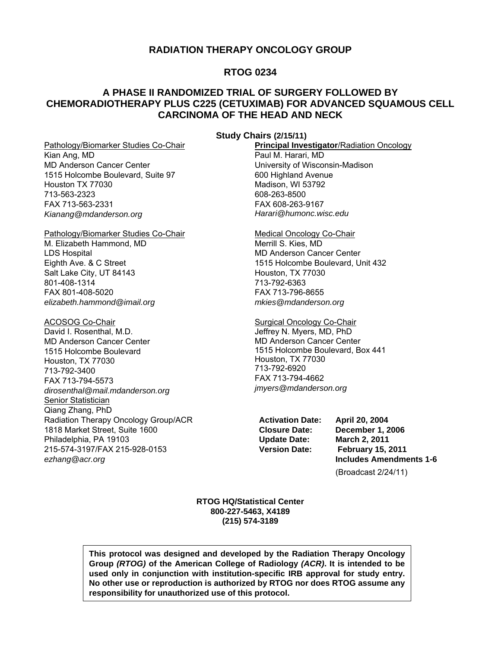### **RADIATION THERAPY ONCOLOGY GROUP**

## **RTOG 0234**

## **A PHASE II RANDOMIZED TRIAL OF SURGERY FOLLOWED BY CHEMORADIOTHERAPY PLUS C225 (CETUXIMAB) FOR ADVANCED SQUAMOUS CELL CARCINOMA OF THE HEAD AND NECK**

#### **Study Chairs (2/15/11)**

Pathology/Biomarker Studies Co-Chair Kian Ang, MD MD Anderson Cancer Center 1515 Holcombe Boulevard, Suite 97 Houston TX 77030 713-563-2323 FAX 713-563-2331 *[Kianang@mdanderson.org](mailto:Kianang@mdanderson.org)* 

Pathology/Biomarker Studies Co-Chair M. Elizabeth Hammond, MD LDS Hospital Eighth Ave. & C Street Salt Lake City, UT 84143 801-408-1314 FAX 801-408-5020 *elizabeth.[hammond@imail.org](mailto:hammond@imail.org)* 

#### ACOSOG Co-Chair

David I. Rosenthal, M.D. MD Anderson Cancer Center 1515 Holcombe Boulevard Houston, TX 77030 713-792-3400 FAX 713-794-5573 *[dirosenthal@mail.mdanderson.org](mailto:dirosenthal@mail.mdanderson.org)*  Senior Statistician Qiang Zhang, PhD Radiation Therapy Oncology Group/ACR 1818 Market Street, Suite 1600 Philadelphia, PA 19103 215-574-3197/FAX 215-928-0153 *[ezhang@acr.org](mailto:ezhang@acr.org)* 

**Principal Investigator**/Radiation Oncology Paul M. Harari, MD University of Wisconsin-Madison 600 Highland Avenue Madison, WI 53792 608-263-8500 FAX 608-263-9167 *[Harari@humonc.wisc.edu](mailto:Harari@humonc.wisc.edu)* 

#### Medical Oncology Co-Chair Merrill S. Kies, MD MD Anderson Cancer Center 1515 Holcombe Boulevard, Unit 432 Houston, TX 77030 713-792-6363

FAX 713-796-8655 *[mkies@mdanderson.org](mailto:mkies@mdanderson.org)* 

### Surgical Oncology Co-Chair

Jeffrey N. Myers, MD, PhD MD Anderson Cancer Center 1515 Holcombe Boulevard, Box 441 Houston, TX 77030 713-792-6920 FAX 713-794-4662 *[jmyers@mdanderson.org](mailto:jmyers@mdanderson.org)* 

**Update Date: March 2, 2011**

**Activation Date: April 20, 2004 Closure Date: December 1, 2006 Version Date: February 15, 2011 Includes Amendments 1-6**  (Broadcast 2/24/11)

**RTOG HQ/Statistical Center 800-227-5463, X4189 (215) 574-3189** 

**This protocol was designed and developed by the Radiation Therapy Oncology Group** *(RTOG)* **of the American College of Radiology** *(ACR)***. It is intended to be used only in conjunction with institution-specific IRB approval for study entry. No other use or reproduction is authorized by RTOG nor does RTOG assume any responsibility for unauthorized use of this protocol.**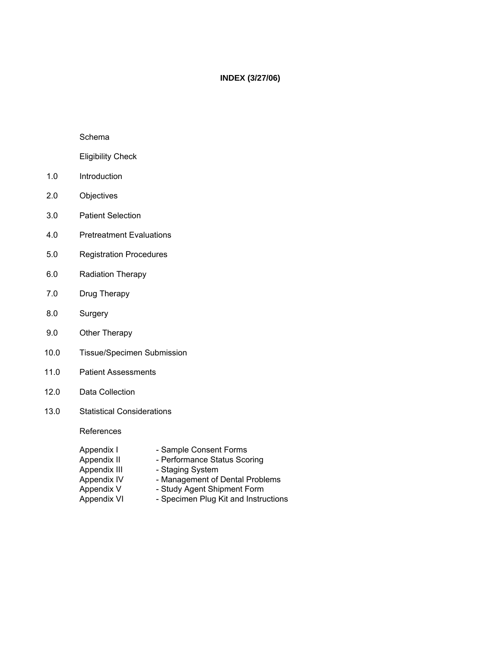## **INDEX (3/27/06)**

#### Schema

## Eligibility Check

- 1.0 Introduction
- 2.0 Objectives
- 3.0 Patient Selection
- 4.0 Pretreatment Evaluations
- 5.0 Registration Procedures
- 6.0 Radiation Therapy
- 7.0 Drug Therapy
- 8.0 Surgery
- 9.0 Other Therapy
- 10.0 Tissue/Specimen Submission
- 11.0 Patient Assessments
- 12.0 Data Collection
- 13.0 Statistical Considerations

References

| Appendix I   | - Sample Consent Forms               |
|--------------|--------------------------------------|
| Appendix II  | - Performance Status Scoring         |
| Appendix III | - Staging System                     |
| Appendix IV  | - Management of Dental Problems      |
| Appendix V   | - Study Agent Shipment Form          |
| Appendix VI  | - Specimen Plug Kit and Instructions |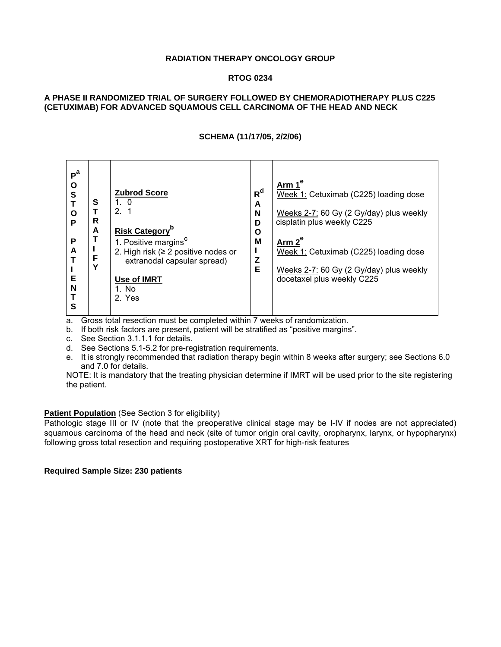#### **RADIATION THERAPY ONCOLOGY GROUP**

#### **RTOG 0234**

#### **A PHASE II RANDOMIZED TRIAL OF SURGERY FOLLOWED BY CHEMORADIOTHERAPY PLUS C225 (CETUXIMAB) FOR ADVANCED SQUAMOUS CELL CARCINOMA OF THE HEAD AND NECK**

#### **SCHEMA (11/17/05, 2/2/06)**

| P <sup>a</sup><br><u>Ar</u> m 1 <sup>e</sup><br>O<br>$R^d$<br><b>Zubrod Score</b><br>S<br>Week 1: Cetuximab (C225) loading dose<br>S<br>1.0<br>A<br>$\mathcal{P}$<br>N<br>Weeks 2-7: 60 Gy (2 Gy/day) plus weekly<br>$\mathbf{o}$<br>R<br>cisplatin plus weekly C225<br>P<br>D<br><b>Risk Category</b> <sup>p</sup><br>A<br>О<br>P<br>1. Positive margins <sup>c</sup><br>M<br>Arm $2^e$<br>A<br>2. High risk ( $\geq$ 2 positive nodes or<br>Week 1: Cetuximab (C225) loading dose<br>F<br>Z<br>extranodal capsular spread)<br>Υ<br>E<br>Weeks 2-7: 60 Gy (2 Gy/day) plus weekly<br>docetaxel plus weekly C225<br>Е<br>Use of IMRT<br>N<br>1. No<br>2. Yes |  |
|-------------------------------------------------------------------------------------------------------------------------------------------------------------------------------------------------------------------------------------------------------------------------------------------------------------------------------------------------------------------------------------------------------------------------------------------------------------------------------------------------------------------------------------------------------------------------------------------------------------------------------------------------------------|--|
|-------------------------------------------------------------------------------------------------------------------------------------------------------------------------------------------------------------------------------------------------------------------------------------------------------------------------------------------------------------------------------------------------------------------------------------------------------------------------------------------------------------------------------------------------------------------------------------------------------------------------------------------------------------|--|

a. Gross total resection must be completed within 7 weeks of randomization.

b. If both risk factors are present, patient will be stratified as "positive margins".

c. See Section 3.1.1.1 for details.

d. See Sections 5.1-5.2 for pre-registration requirements.

e. It is strongly recommended that radiation therapy begin within 8 weeks after surgery; see Sections 6.0 and 7.0 for details.

NOTE: It is mandatory that the treating physician determine if IMRT will be used prior to the site registering the patient.

#### **Patient Population** (See Section 3 for eligibility)

Pathologic stage III or IV (note that the preoperative clinical stage may be I-IV if nodes are not appreciated) squamous carcinoma of the head and neck (site of tumor origin oral cavity, oropharynx, larynx, or hypopharynx) following gross total resection and requiring postoperative XRT for high-risk features

#### **Required Sample Size: 230 patients**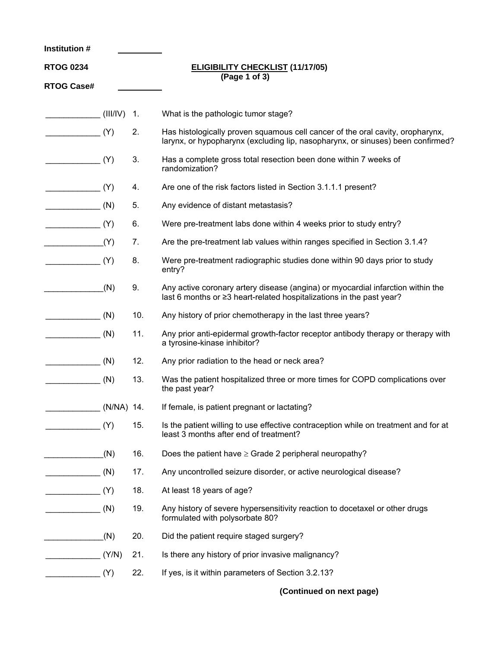| Institution #     |          |     |                                                                                                                                                                   |
|-------------------|----------|-----|-------------------------------------------------------------------------------------------------------------------------------------------------------------------|
| <b>RTOG 0234</b>  |          |     | <b>ELIGIBILITY CHECKLIST (11/17/05)</b>                                                                                                                           |
| <b>RTOG Case#</b> |          |     | (Page 1 of 3)                                                                                                                                                     |
|                   | (III/IV) | -1. | What is the pathologic tumor stage?                                                                                                                               |
|                   |          |     |                                                                                                                                                                   |
|                   | (Y)      | 2.  | Has histologically proven squamous cell cancer of the oral cavity, oropharynx,<br>larynx, or hypopharynx (excluding lip, nasopharynx, or sinuses) been confirmed? |
|                   | (Y)      | 3.  | Has a complete gross total resection been done within 7 weeks of<br>randomization?                                                                                |
|                   | (Y)      | 4.  | Are one of the risk factors listed in Section 3.1.1.1 present?                                                                                                    |
|                   | (N)      | 5.  | Any evidence of distant metastasis?                                                                                                                               |
|                   | (Y)      | 6.  | Were pre-treatment labs done within 4 weeks prior to study entry?                                                                                                 |
|                   | (Y)      | 7.  | Are the pre-treatment lab values within ranges specified in Section 3.1.4?                                                                                        |
|                   | (Y)      | 8.  | Were pre-treatment radiographic studies done within 90 days prior to study<br>entry?                                                                              |
|                   | (N)      | 9.  | Any active coronary artery disease (angina) or myocardial infarction within the<br>last 6 months or ≥3 heart-related hospitalizations in the past year?           |
|                   | (N)      | 10. | Any history of prior chemotherapy in the last three years?                                                                                                        |
|                   | (N)      | 11. | Any prior anti-epidermal growth-factor receptor antibody therapy or therapy with<br>a tyrosine-kinase inhibitor?                                                  |
|                   | (N)      | 12. | Any prior radiation to the head or neck area?                                                                                                                     |
|                   | (N)      | 13. | Was the patient hospitalized three or more times for COPD complications over<br>the past year?                                                                    |
| $(N/NA)$ 14.      |          |     | If female, is patient pregnant or lactating?                                                                                                                      |
|                   | (Y)      | 15. | Is the patient willing to use effective contraception while on treatment and for at<br>least 3 months after end of treatment?                                     |
|                   | (N)      | 16. | Does the patient have $\geq$ Grade 2 peripheral neuropathy?                                                                                                       |
| $\frac{1}{2}$     | (N)      | 17. | Any uncontrolled seizure disorder, or active neurological disease?                                                                                                |
|                   | (Y)      | 18. | At least 18 years of age?                                                                                                                                         |
|                   | (N)      | 19. | Any history of severe hypersensitivity reaction to docetaxel or other drugs<br>formulated with polysorbate 80?                                                    |
|                   | (N)      | 20. | Did the patient require staged surgery?                                                                                                                           |
|                   | (Y/N)    | 21. | Is there any history of prior invasive malignancy?                                                                                                                |
|                   | (Y)      | 22. | If yes, is it within parameters of Section 3.2.13?                                                                                                                |

**(Continued on next page)**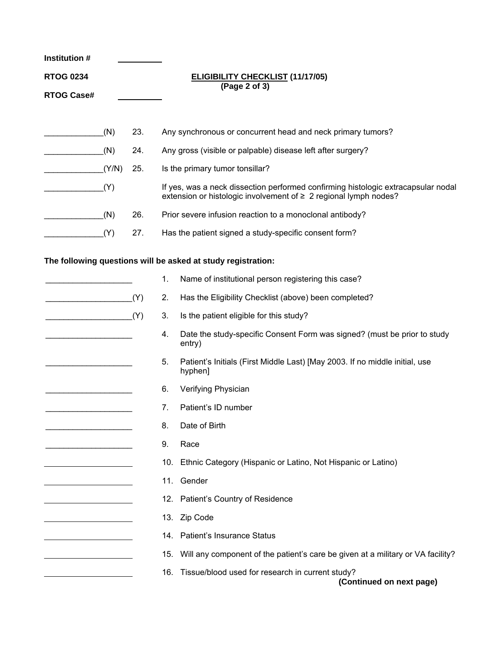| <b>Institution#</b>                                |       |     |     |                                                                                                                                                            |  |  |  |  |  |
|----------------------------------------------------|-------|-----|-----|------------------------------------------------------------------------------------------------------------------------------------------------------------|--|--|--|--|--|
| <b>RTOG 0234</b>                                   |       |     |     | <b>ELIGIBILITY CHECKLIST (11/17/05)</b><br>(Page 2 of 3)                                                                                                   |  |  |  |  |  |
| <b>RTOG Case#</b>                                  |       |     |     |                                                                                                                                                            |  |  |  |  |  |
|                                                    |       |     |     |                                                                                                                                                            |  |  |  |  |  |
|                                                    | (N)   | 23. |     | Any synchronous or concurrent head and neck primary tumors?                                                                                                |  |  |  |  |  |
|                                                    | (N)   | 24. |     | Any gross (visible or palpable) disease left after surgery?                                                                                                |  |  |  |  |  |
|                                                    | (Y/N) | 25. |     | Is the primary tumor tonsillar?                                                                                                                            |  |  |  |  |  |
|                                                    | (Y)   |     |     | If yes, was a neck dissection performed confirming histologic extracapsular nodal<br>extension or histologic involvement of $\geq 2$ regional lymph nodes? |  |  |  |  |  |
|                                                    | (N)   | 26. |     | Prior severe infusion reaction to a monoclonal antibody?                                                                                                   |  |  |  |  |  |
|                                                    | (Y)   | 27. |     | Has the patient signed a study-specific consent form?                                                                                                      |  |  |  |  |  |
|                                                    |       |     |     |                                                                                                                                                            |  |  |  |  |  |
|                                                    |       |     |     | The following questions will be asked at study registration:                                                                                               |  |  |  |  |  |
|                                                    |       |     | 1.  | Name of institutional person registering this case?                                                                                                        |  |  |  |  |  |
| <u> 1989 - Johann John Stone, martin de Brasil</u> |       | (Y) | 2.  | Has the Eligibility Checklist (above) been completed?                                                                                                      |  |  |  |  |  |
|                                                    |       | (Y) | 3.  | Is the patient eligible for this study?                                                                                                                    |  |  |  |  |  |
|                                                    |       |     | 4.  | Date the study-specific Consent Form was signed? (must be prior to study<br>entry)                                                                         |  |  |  |  |  |
|                                                    |       |     | 5.  | Patient's Initials (First Middle Last) [May 2003. If no middle initial, use<br>hyphen]                                                                     |  |  |  |  |  |
|                                                    |       |     | 6.  | Verifying Physician                                                                                                                                        |  |  |  |  |  |
|                                                    |       |     | 7.  | Patient's ID number                                                                                                                                        |  |  |  |  |  |
|                                                    |       |     | 8.  | Date of Birth                                                                                                                                              |  |  |  |  |  |
|                                                    |       |     | 9.  | Race                                                                                                                                                       |  |  |  |  |  |
|                                                    |       |     | 10. | Ethnic Category (Hispanic or Latino, Not Hispanic or Latino)                                                                                               |  |  |  |  |  |
|                                                    |       |     |     | 11. Gender                                                                                                                                                 |  |  |  |  |  |
|                                                    |       |     |     | 12. Patient's Country of Residence                                                                                                                         |  |  |  |  |  |
|                                                    |       |     |     | 13. Zip Code                                                                                                                                               |  |  |  |  |  |
|                                                    |       |     |     | 14. Patient's Insurance Status                                                                                                                             |  |  |  |  |  |
|                                                    |       |     |     | 15. Will any component of the patient's care be given at a military or VA facility?                                                                        |  |  |  |  |  |
|                                                    |       |     |     | 16. Tissue/blood used for research in current study?<br>(Continued on next page)                                                                           |  |  |  |  |  |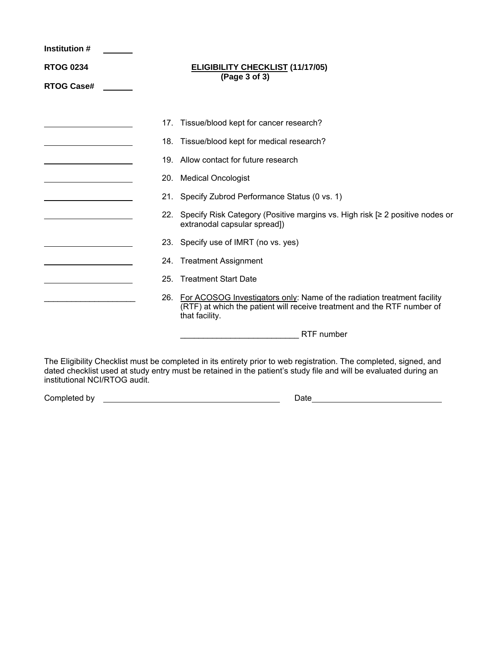| <b>Institution #</b> |                                                          |                                                                                                                                                                                                                                       |  |  |  |  |  |  |  |
|----------------------|----------------------------------------------------------|---------------------------------------------------------------------------------------------------------------------------------------------------------------------------------------------------------------------------------------|--|--|--|--|--|--|--|
| <b>RTOG 0234</b>     | <b>ELIGIBILITY CHECKLIST (11/17/05)</b><br>(Page 3 of 3) |                                                                                                                                                                                                                                       |  |  |  |  |  |  |  |
| <b>RTOG Case#</b>    |                                                          |                                                                                                                                                                                                                                       |  |  |  |  |  |  |  |
|                      |                                                          |                                                                                                                                                                                                                                       |  |  |  |  |  |  |  |
|                      | 17.                                                      | Tissue/blood kept for cancer research?                                                                                                                                                                                                |  |  |  |  |  |  |  |
|                      |                                                          | 18. Tissue/blood kept for medical research?                                                                                                                                                                                           |  |  |  |  |  |  |  |
|                      |                                                          | 19. Allow contact for future research                                                                                                                                                                                                 |  |  |  |  |  |  |  |
|                      |                                                          | 20. Medical Oncologist                                                                                                                                                                                                                |  |  |  |  |  |  |  |
|                      |                                                          | 21. Specify Zubrod Performance Status (0 vs. 1)                                                                                                                                                                                       |  |  |  |  |  |  |  |
|                      |                                                          | 22. Specify Risk Category (Positive margins vs. High risk [≥ 2 positive nodes or<br>extranodal capsular spread])                                                                                                                      |  |  |  |  |  |  |  |
|                      |                                                          | 23. Specify use of IMRT (no vs. yes)                                                                                                                                                                                                  |  |  |  |  |  |  |  |
|                      |                                                          | 24. Treatment Assignment                                                                                                                                                                                                              |  |  |  |  |  |  |  |
|                      | 25.                                                      | <b>Treatment Start Date</b>                                                                                                                                                                                                           |  |  |  |  |  |  |  |
|                      |                                                          | 26. For ACOSOG Investigators only: Name of the radiation treatment facility<br>(RTF) at which the patient will receive treatment and the RTF number of<br>that facility.                                                              |  |  |  |  |  |  |  |
|                      |                                                          | RTF number                                                                                                                                                                                                                            |  |  |  |  |  |  |  |
|                      |                                                          | The Eligibility Checklist must be completed in its entirety prior to web registration. The completed, signed, and<br>dated checklist used at study entry must be retained in the patient's study file and will be evaluated during an |  |  |  |  |  |  |  |

institutional NCI/RTOG audit.

Completed by Date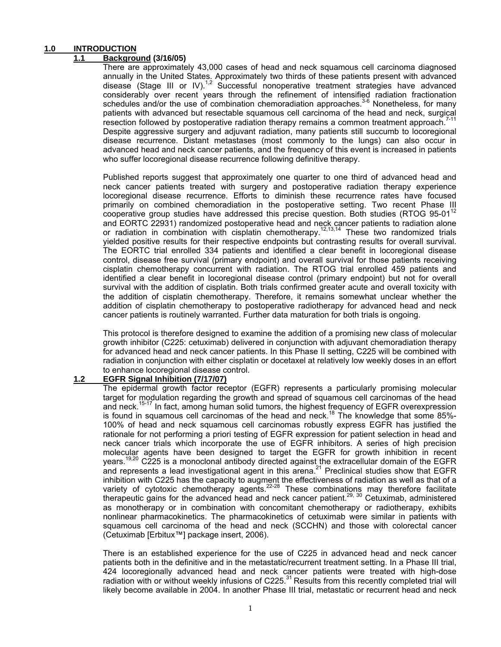#### **1.0 INTRODUCTION**

#### **1.1 Background (3/16/05)**

There are approximately 43,000 cases of head and neck squamous cell carcinoma diagnosed annually in the United States. Approximately two thirds of these patients present with advanced disease (Stage III or IV).<sup>1,2</sup> Successful nonoperative treatment strategies have advanced considerably over recent years through the refinement of intensified radiation fractionation schedules and/or the use of combination chemoradiation approaches.<sup>3-6</sup> Nonetheless, for many patients with advanced but resectable squamous cell carcinoma of the head and neck, surgical resection followed by postoperative radiation therapy remains a common treatment approach.<sup>7-11</sup> Despite aggressive surgery and adjuvant radiation, many patients still succumb to locoregional disease recurrence. Distant metastases (most commonly to the lungs) can also occur in advanced head and neck cancer patients, and the frequency of this event is increased in patients who suffer locoregional disease recurrence following definitive therapy.

Published reports suggest that approximately one quarter to one third of advanced head and neck cancer patients treated with surgery and postoperative radiation therapy experience locoregional disease recurrence. Efforts to diminish these recurrence rates have focused primarily on combined chemoradiation in the postoperative setting. Two recent Phase III cooperative group studies have addressed this precise question. Both studies (RTOG  $95-01^{12}$ and EORTC 22931) randomized postoperative head and neck cancer patients to radiation alone or radiation in combination with cisplatin chemotherapy.<sup>12,13,14</sup> These two randomized trials yielded positive results for their respective endpoints but contrasting results for overall survival. The EORTC trial enrolled 334 patients and identified a clear benefit in locoregional disease control, disease free survival (primary endpoint) and overall survival for those patients receiving cisplatin chemotherapy concurrent with radiation. The RTOG trial enrolled 459 patients and identified a clear benefit in locoregional disease control (primary endpoint) but not for overall survival with the addition of cisplatin. Both trials confirmed greater acute and overall toxicity with the addition of cisplatin chemotherapy. Therefore, it remains somewhat unclear whether the addition of cisplatin chemotherapy to postoperative radiotherapy for advanced head and neck cancer patients is routinely warranted. Further data maturation for both trials is ongoing.

This protocol is therefore designed to examine the addition of a promising new class of molecular growth inhibitor (C225: cetuximab) delivered in conjunction with adjuvant chemoradiation therapy for advanced head and neck cancer patients. In this Phase II setting, C225 will be combined with radiation in conjunction with either cisplatin or docetaxel at relatively low weekly doses in an effort to enhance locoregional disease control.

#### **1.2 EGFR Signal Inhibition (7/17/07)**

The epidermal growth factor receptor (EGFR) represents a particularly promising molecular target for modulation regarding the growth and spread of squamous cell carcinomas of the head and neck.<sup>15-17</sup> In fact, among human solid tumors, the highest frequency of EGFR overexpression is found in squamous cell carcinomas of the head and neck.<sup>18</sup> The knowledge that some 85%-100% of head and neck squamous cell carcinomas robustly express EGFR has justified the rationale for not performing a priori testing of EGFR expression for patient selection in head and neck cancer trials which incorporate the use of EGFR inhibitors. A series of high precision molecular agents have been designed to target the EGFR for growth inhibition in recent years.<sup>19,20</sup> C225 is a monoclonal antibody directed against the extracellular domain of the EGFR and represents a lead investigational agent in this arena.<sup>21</sup> Preclinical studies show that EGFR inhibition with C225 has the capacity to augment the effectiveness of radiation as well as that of a variety of cytotoxic chemotherapy agents.<sup>22-28</sup> These combinations may therefore facilitate therapeutic gains for the advanced head and neck cancer patient.<sup>29, 30</sup> Cetuximab, administered as monotherapy or in combination with concomitant chemotherapy or radiotherapy, exhibits nonlinear pharmacokinetics. The pharmacokinetics of cetuximab were similar in patients with squamous cell carcinoma of the head and neck (SCCHN) and those with colorectal cancer (Cetuximab [Erbitux™] package insert, 2006).

There is an established experience for the use of C225 in advanced head and neck cancer patients both in the definitive and in the metastatic/recurrent treatment setting. In a Phase III trial, 424 locoregionally advanced head and neck cancer patients were treated with high-dose radiation with or without weekly infusions of  $C225$ .<sup>31</sup> Results from this recently completed trial will likely become available in 2004. In another Phase III trial, metastatic or recurrent head and neck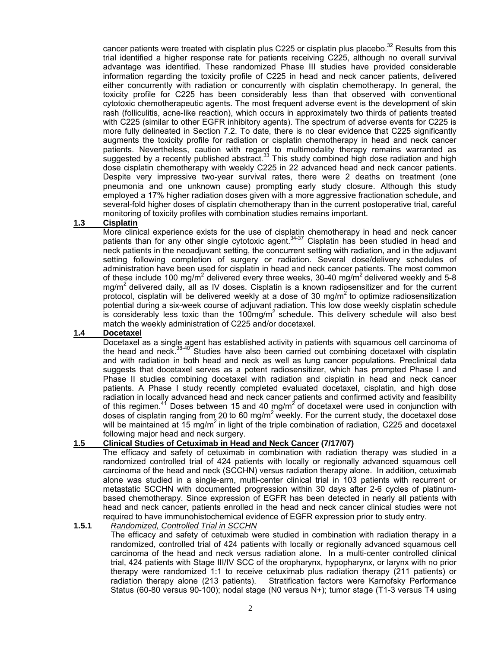cancer patients were treated with cisplatin plus C225 or cisplatin plus placebo.<sup>32</sup> Results from this trial identified a higher response rate for patients receiving C225, although no overall survival advantage was identified. These randomized Phase III studies have provided considerable information regarding the toxicity profile of C225 in head and neck cancer patients, delivered either concurrently with radiation or concurrently with cisplatin chemotherapy. In general, the toxicity profile for C225 has been considerably less than that observed with conventional cytotoxic chemotherapeutic agents. The most frequent adverse event is the development of skin rash (folliculitis, acne-like reaction), which occurs in approximately two thirds of patients treated with C225 (similar to other EGFR inhibitory agents). The spectrum of adverse events for C225 is more fully delineated in Section 7.2. To date, there is no clear evidence that C225 significantly augments the toxicity profile for radiation or cisplatin chemotherapy in head and neck cancer patients. Nevertheless, caution with regard to multimodality therapy remains warranted as suggested by a recently published abstract.<sup>33</sup> This study combined high dose radiation and high dose cisplatin chemotherapy with weekly C225 in 22 advanced head and neck cancer patients. Despite very impressive two-year survival rates, there were 2 deaths on treatment (one pneumonia and one unknown cause) prompting early study closure. Although this study employed a 17% higher radiation doses given with a more aggressive fractionation schedule, and several-fold higher doses of cisplatin chemotherapy than in the current postoperative trial, careful monitoring of toxicity profiles with combination studies remains important.

#### **1.3 Cisplatin**

More clinical experience exists for the use of cisplatin chemotherapy in head and neck cancer patients than for any other single cytotoxic agent.<sup>34-37</sup> Cisplatin has been studied in head and neck patients in the neoadjuvant setting, the concurrent setting with radiation, and in the adjuvant setting following completion of surgery or radiation. Several dose/delivery schedules of administration have been used for cisplatin in head and neck cancer patients. The most common of these include 100 mg/m<sup>2</sup> delivered every three weeks, 30-40 mg/m<sup>2</sup> delivered weekly and 5-8 mg/m<sup>2</sup> delivered daily, all as IV doses. Cisplatin is a known radiosensitizer and for the current protocol, cisplatin will be delivered weekly at a dose of 30 mg/m<sup>2</sup> to optimize radiosensitization potential during a six-week course of adjuvant radiation. This low dose weekly cisplatin schedule is considerably less toxic than the 100mg/ $m^2$  schedule. This delivery schedule will also best match the weekly administration of C225 and/or docetaxel.

#### **1.4 Docetaxel**

Docetaxel as a single agent has established activity in patients with squamous cell carcinoma of the head and neck.38-40 Studies have also been carried out combining docetaxel with cisplatin and with radiation in both head and neck as well as lung cancer populations. Preclinical data suggests that docetaxel serves as a potent radiosensitizer, which has prompted Phase I and Phase II studies combining docetaxel with radiation and cisplatin in head and neck cancer patients. A Phase I study recently completed evaluated docetaxel, cisplatin, and high dose radiation in locally advanced head and neck cancer patients and confirmed activity and feasibility of this regimen.<sup>41</sup> Doses between 15 and 40 mg/m<sup>2</sup> of docetaxel were used in conjunction with doses of cisplatin ranging from 20 to 60 mg/ $m^2$  weekly. For the current study, the docetaxel dose will be maintained at 15 mg/m<sup>2</sup> in light of the triple combination of radiation, C225 and docetaxel following major head and neck surgery.

#### **1.5 Clinical Studies of Cetuximab in Head and Neck Cancer (7/17/07)**

 The efficacy and safety of cetuximab in combination with radiation therapy was studied in a randomized controlled trial of 424 patients with locally or regionally advanced squamous cell carcinoma of the head and neck (SCCHN) versus radiation therapy alone. In addition, cetuximab alone was studied in a single-arm, multi-center clinical trial in 103 patients with recurrent or metastatic SCCHN with documented progression within 30 days after 2-6 cycles of platinumbased chemotherapy. Since expression of EGFR has been detected in nearly all patients with head and neck cancer, patients enrolled in the head and neck cancer clinical studies were not required to have immunohistochemical evidence of EGFR expression prior to study entry.

#### **1.5.1** *Randomized, Controlled Trial in SCCHN*

 The efficacy and safety of cetuximab were studied in combination with radiation therapy in a randomized, controlled trial of 424 patients with locally or regionally advanced squamous cell carcinoma of the head and neck versus radiation alone. In a multi-center controlled clinical trial, 424 patients with Stage III/IV SCC of the oropharynx, hypopharynx, or larynx with no prior therapy were randomized 1:1 to receive cetuximab plus radiation therapy (211 patients) or radiation therapy alone (213 patients). Stratification factors were Karnofsky Performance Status (60-80 versus 90-100); nodal stage (N0 versus N+); tumor stage (T1-3 versus T4 using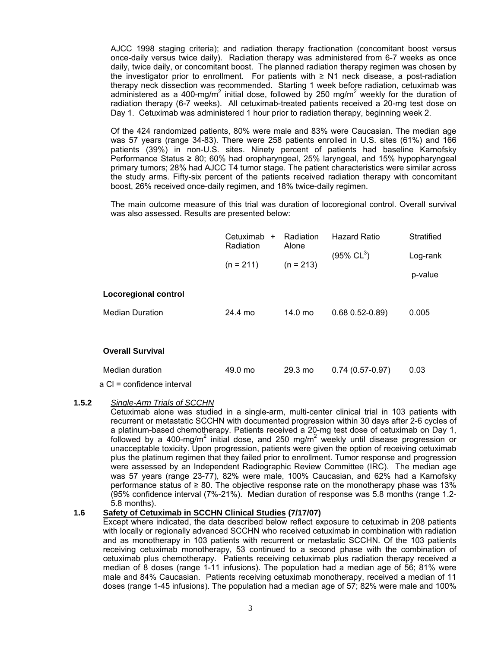AJCC 1998 staging criteria); and radiation therapy fractionation (concomitant boost versus once-daily versus twice daily). Radiation therapy was administered from 6-7 weeks as once daily, twice daily, or concomitant boost. The planned radiation therapy regimen was chosen by the investigator prior to enrollment. For patients with  $\geq$  N1 neck disease, a post-radiation therapy neck dissection was recommended. Starting 1 week before radiation, cetuximab was administered as a 400-mg/m<sup>2</sup> initial dose, followed by 250 mg/m<sup>2</sup> weekly for the duration of radiation therapy (6-7 weeks). All cetuximab-treated patients received a 20-mg test dose on Day 1. Cetuximab was administered 1 hour prior to radiation therapy, beginning week 2.

 Of the 424 randomized patients, 80% were male and 83% were Caucasian. The median age was 57 years (range 34-83). There were 258 patients enrolled in U.S. sites (61%) and 166 patients (39%) in non-U.S. sites. Ninety percent of patients had baseline Karnofsky Performance Status ≥ 80; 60% had oropharyngeal, 25% laryngeal, and 15% hypopharyngeal primary tumors; 28% had AJCC T4 tumor stage. The patient characteristics were similar across the study arms. Fifty-six percent of the patients received radiation therapy with concomitant boost, 26% received once-daily regimen, and 18% twice-daily regimen.

 The main outcome measure of this trial was duration of locoregional control. Overall survival was also assessed. Results are presented below:

|                             | Cetuximab<br>$\ddot{}$<br>Radiation | Radiation<br>Alone | <b>Hazard Ratio</b>    | Stratified          |
|-----------------------------|-------------------------------------|--------------------|------------------------|---------------------|
|                             | $(n = 211)$                         | $(n = 213)$        | $(95\% \, CL^3)$       | Log-rank<br>p-value |
| <b>Locoregional control</b> |                                     |                    |                        |                     |
| <b>Median Duration</b>      | 24.4 mo                             | 14.0 mo            | $0.68$ $0.52 - 0.89$ ) | 0.005               |
|                             |                                     |                    |                        |                     |
| <b>Overall Survival</b>     |                                     |                    |                        |                     |
| Median duration             | 49.0 mo                             | $29.3 \text{ mo}$  | $0.74(0.57-0.97)$      | 0.03                |

a Cl = confidence interval

#### **1.5.2** *Single-Arm Trials of SCCHN*

 Cetuximab alone was studied in a single-arm, multi-center clinical trial in 103 patients with recurrent or metastatic SCCHN with documented progression within 30 days after 2-6 cycles of a platinum-based chemotherapy. Patients received a 20-mg test dose of cetuximab on Day 1, followed by a 400-mg/m<sup>2</sup> initial dose, and 250 mg/m<sup>2</sup> weekly until disease progression or unacceptable toxicity. Upon progression, patients were given the option of receiving cetuximab plus the platinum regimen that they failed prior to enrollment. Tumor response and progression were assessed by an Independent Radiographic Review Committee (IRC). The median age was 57 years (range 23-77), 82% were male, 100% Caucasian, and 62% had a Karnofsky performance status of  $\geq 80$ . The objective response rate on the monotherapy phase was 13% (95% confidence interval (7%-21%). Median duration of response was 5.8 months (range 1.2- 5.8 months).

#### **1.6 Safety of Cetuximab in SCCHN Clinical Studies (7/17/07)**

 Except where indicated, the data described below reflect exposure to cetuximab in 208 patients with locally or regionally advanced SCCHN who received cetuximab in combination with radiation and as monotherapy in 103 patients with recurrent or metastatic SCCHN. Of the 103 patients receiving cetuximab monotherapy, 53 continued to a second phase with the combination of cetuximab plus chemotherapy. Patients receiving cetuximab plus radiation therapy received a median of 8 doses (range 1-11 infusions). The population had a median age of 56; 81% were male and 84% Caucasian. Patients receiving cetuximab monotherapy, received a median of 11 doses (range 1-45 infusions). The population had a median age of 57; 82% were male and 100%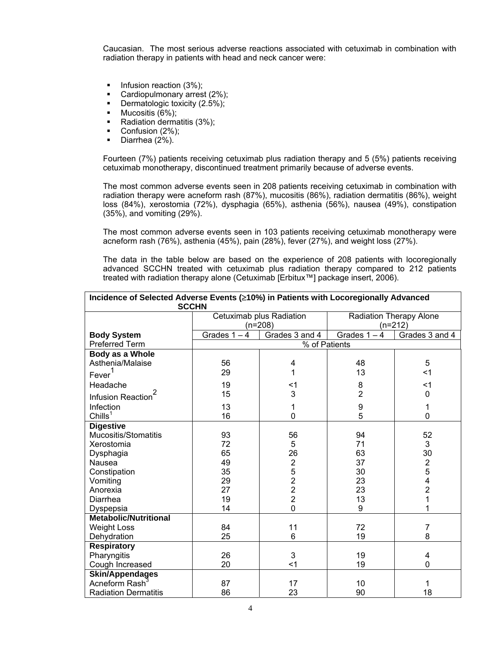Caucasian. The most serious adverse reactions associated with cetuximab in combination with radiation therapy in patients with head and neck cancer were:

- $\blacksquare$  Infusion reaction (3%);
- Cardiopulmonary arrest (2%);
- **Dermatologic toxicity (2.5%);**
- $\blacksquare$  Mucositis (6%);
- Radiation dermatitis (3%);
- Confusion (2%);
- Diarrhea (2%).

 Fourteen (7%) patients receiving cetuximab plus radiation therapy and 5 (5%) patients receiving cetuximab monotherapy, discontinued treatment primarily because of adverse events.

 The most common adverse events seen in 208 patients receiving cetuximab in combination with radiation therapy were acneform rash (87%), mucositis (86%), radiation dermatitis (86%), weight loss (84%), xerostomia (72%), dysphagia (65%), asthenia (56%), nausea (49%), constipation (35%), and vomiting (29%).

 The most common adverse events seen in 103 patients receiving cetuximab monotherapy were acneform rash (76%), asthenia (45%), pain (28%), fever (27%), and weight loss (27%).

 The data in the table below are based on the experience of 208 patients with locoregionally advanced SCCHN treated with cetuximab plus radiation therapy compared to 212 patients treated with radiation therapy alone (Cetuximab [Erbitux™] package insert, 2006).

| Incidence of Selected Adverse Events (≥10%) in Patients with Locoregionally Advanced |                |                          |                         |                         |  |  |  |
|--------------------------------------------------------------------------------------|----------------|--------------------------|-------------------------|-------------------------|--|--|--|
| <b>SCCHN</b>                                                                         |                |                          |                         |                         |  |  |  |
|                                                                                      |                | Cetuximab plus Radiation | Radiation Therapy Alone |                         |  |  |  |
|                                                                                      |                | $(n=208)$                |                         | $(n=212)$               |  |  |  |
| <b>Body System</b>                                                                   | Grades $1 - 4$ | Grades 3 and 4           | Grades $1 - 4$          | Grades 3 and 4          |  |  |  |
| <b>Preferred Term</b>                                                                |                | % of Patients            |                         |                         |  |  |  |
| Body as a Whole                                                                      |                |                          |                         |                         |  |  |  |
| Asthenia/Malaise                                                                     | 56             | 4                        | 48                      | 5                       |  |  |  |
| Fever <sup>1</sup>                                                                   | 29             | 1                        | 13                      | $<$ 1                   |  |  |  |
| Headache                                                                             | 19             | $<$ 1                    | 8                       | $<$ 1                   |  |  |  |
| Infusion Reaction <sup>4</sup>                                                       | 15             | 3                        | $\overline{2}$          | $\mathbf 0$             |  |  |  |
| Infection                                                                            | 13             | 1                        | 9                       | 1                       |  |  |  |
| Chills <sup>1</sup>                                                                  | 16             | 0                        | 5                       | $\overline{0}$          |  |  |  |
| <b>Digestive</b>                                                                     |                |                          |                         |                         |  |  |  |
| Mucositis/Stomatitis                                                                 | 93             | 56                       | 94                      | 52                      |  |  |  |
| Xerostomia                                                                           | 72             | 5                        | 71                      | 3                       |  |  |  |
| Dysphagia                                                                            | 65             | 26                       | 63                      | 30                      |  |  |  |
| Nausea                                                                               | 49             | $\mathbf 2$              | 37                      | $\frac{2}{5}$           |  |  |  |
| Constipation                                                                         | 35             | 5                        | 30                      |                         |  |  |  |
| Vomiting                                                                             | 29             | $\overline{2}$           | 23                      | $\overline{\mathbf{4}}$ |  |  |  |
| Anorexia                                                                             | 27             | $\overline{2}$           | 23                      | $\overline{2}$          |  |  |  |
| Diarrhea                                                                             | 19             | $\overline{2}$           | 13                      | $\overline{1}$          |  |  |  |
| Dyspepsia                                                                            | 14             | $\mathbf 0$              | 9                       | 1                       |  |  |  |
| <b>Metabolic/Nutritional</b>                                                         |                |                          |                         |                         |  |  |  |
| <b>Weight Loss</b>                                                                   | 84             | 11                       | 72                      | 7                       |  |  |  |
| Dehydration                                                                          | 25             | 6                        | 19                      | 8                       |  |  |  |
| <b>Respiratory</b>                                                                   |                |                          |                         |                         |  |  |  |
| Pharyngitis                                                                          | 26             | 3                        | 19                      | 4                       |  |  |  |
| Cough Increased                                                                      | 20             | $<$ 1                    | 19                      | $\mathbf 0$             |  |  |  |
| <b>Skin/Appendages</b>                                                               |                |                          |                         |                         |  |  |  |
| Acneform Rash                                                                        | 87             | 17                       | 10                      | 1                       |  |  |  |
| <b>Radiation Dermatitis</b>                                                          | 86             | 23                       | 90                      | 18                      |  |  |  |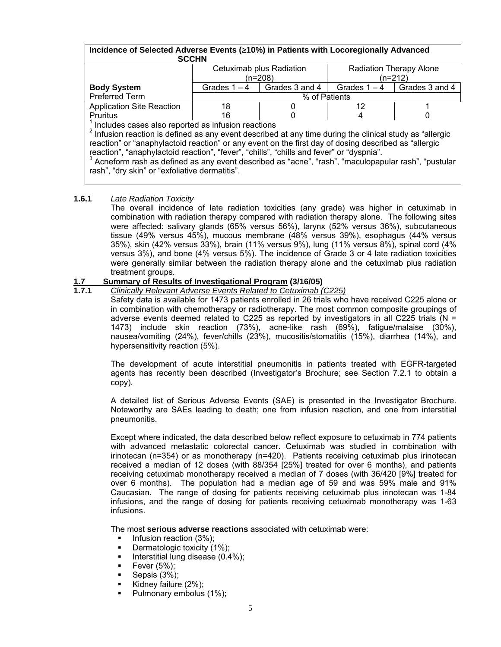#### **Incidence of Selected Adverse Events (**≥**10%) in Patients with Locoregionally Advanced SCCHN**  Cetuximab plus Radiation (n=208) Radiation Therapy Alone (n=212) **Body System** Grades 1 – 4 Grades 3 and 4 Grades 1 – 4 Grades 3 and 4

Preferred Term  $\sqrt{ }$  8 of Patients Application Site Reaction | 18 | 0 | 12 | 1 Pruritus 16 | 0 4 | 0  $1$  Includes cases also reported as infusion reactions

 $2$  Infusion reaction is defined as any event described at any time during the clinical study as "allergic reaction" or "anaphylactoid reaction" or any event on the first day of dosing described as "allergic reaction", "anaphylactoid reaction", "fever", "chills", "chills and fever" or "dyspnia".

 $3$  Acneform rash as defined as any event described as "acne", "rash", "maculopapular rash", "pustular rash", "dry skin" or "exfoliative dermatitis".

#### **1.6.1** *Late Radiation Toxicity*

 The overall incidence of late radiation toxicities (any grade) was higher in cetuximab in combination with radiation therapy compared with radiation therapy alone. The following sites were affected: salivary glands (65% versus 56%), larynx (52% versus 36%), subcutaneous tissue (49% versus 45%), mucous membrane (48% versus 39%), esophagus (44% versus 35%), skin (42% versus 33%), brain (11% versus 9%), lung (11% versus 8%), spinal cord (4% versus 3%), and bone (4% versus 5%). The incidence of Grade 3 or 4 late radiation toxicities were generally similar between the radiation therapy alone and the cetuximab plus radiation treatment groups.

## **1.7 Summary of Results of Investigational Program (3/16/05)**

#### **1.7.1** *Clinically Relevant Adverse Events Related to Cetuximab (C225)*

Safety data is available for 1473 patients enrolled in 26 trials who have received C225 alone or in combination with chemotherapy or radiotherapy. The most common composite groupings of adverse events deemed related to C225 as reported by investigators in all C225 trials ( $N =$ 1473) include skin reaction (73%), acne-like rash (69%), fatigue/malaise (30%), nausea/vomiting (24%), fever/chills (23%), mucositis/stomatitis (15%), diarrhea (14%), and hypersensitivity reaction (5%).

The development of acute interstitial pneumonitis in patients treated with EGFR-targeted agents has recently been described (Investigator's Brochure; see Section 7.2.1 to obtain a copy).

A detailed list of Serious Adverse Events (SAE) is presented in the Investigator Brochure. Noteworthy are SAEs leading to death; one from infusion reaction, and one from interstitial pneumonitis.

Except where indicated, the data described below reflect exposure to cetuximab in 774 patients with advanced metastatic colorectal cancer. Cetuximab was studied in combination with irinotecan (n=354) or as monotherapy (n=420). Patients receiving cetuximab plus irinotecan received a median of 12 doses (with 88/354 [25%] treated for over 6 months), and patients receiving cetuximab monotherapy received a median of 7 doses (with 36/420 [9%] treated for over 6 months). The population had a median age of 59 and was 59% male and 91% Caucasian. The range of dosing for patients receiving cetuximab plus irinotecan was 1-84 infusions, and the range of dosing for patients receiving cetuximab monotherapy was 1-63 infusions.

The most **serious adverse reactions** associated with cetuximab were:

- $\blacksquare$  Infusion reaction (3%);
- Dermatologic toxicity (1%);
- Interstitial lung disease (0.4%);
- Fever (5%);
- Sepsis (3%);
- Kidney failure (2%);
- Pulmonary embolus (1%);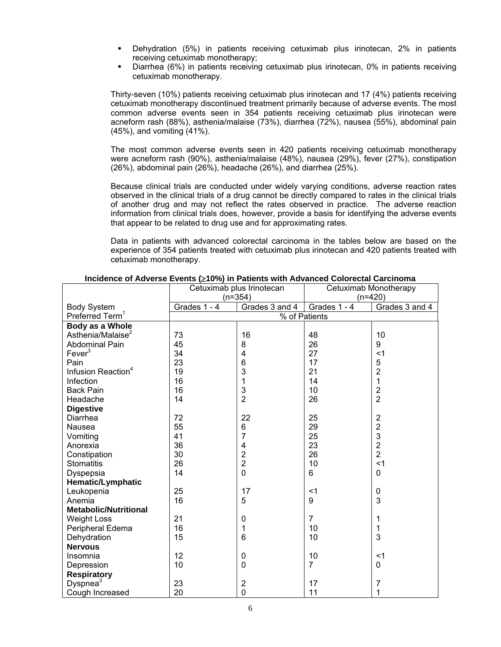- Dehydration (5%) in patients receiving cetuximab plus irinotecan, 2% in patients receiving cetuximab monotherapy;
- Diarrhea (6%) in patients receiving cetuximab plus irinotecan, 0% in patients receiving cetuximab monotherapy.

Thirty-seven (10%) patients receiving cetuximab plus irinotecan and 17 (4%) patients receiving cetuximab monotherapy discontinued treatment primarily because of adverse events. The most common adverse events seen in 354 patients receiving cetuximab plus irinotecan were acneform rash (88%), asthenia/malaise (73%), diarrhea (72%), nausea (55%), abdominal pain (45%), and vomiting (41%).

The most common adverse events seen in 420 patients receiving cetuximab monotherapy were acneform rash (90%), asthenia/malaise (48%), nausea (29%), fever (27%), constipation (26%), abdominal pain (26%), headache (26%), and diarrhea (25%).

Because clinical trials are conducted under widely varying conditions, adverse reaction rates observed in the clinical trials of a drug cannot be directly compared to rates in the clinical trials of another drug and may not reflect the rates observed in practice. The adverse reaction information from clinical trials does, however, provide a basis for identifying the adverse events that appear to be related to drug use and for approximating rates.

Data in patients with advanced colorectal carcinoma in the tables below are based on the experience of 354 patients treated with cetuximab plus irinotecan and 420 patients treated with cetuximab monotherapy.

|                                | Cetuximab plus Irinotecan |                         | Cetuximab Monotherapy |                         |
|--------------------------------|---------------------------|-------------------------|-----------------------|-------------------------|
|                                | $(n=354)$                 |                         | (n=420)               |                         |
| <b>Body System</b>             | Grades 1 - 4              | Grades 3 and 4          | Grades 1 - 4          | Grades 3 and 4          |
| Preferred Term <sup>1</sup>    |                           | % of Patients           |                       |                         |
| Body as a Whole                |                           |                         |                       |                         |
| Asthenia/Malaise <sup>2</sup>  | 73                        | 16                      | 48                    | 10                      |
| <b>Abdominal Pain</b>          | 45                        | 8                       | 26                    | 9                       |
| Fever $3$                      | 34                        | $\overline{\mathbf{4}}$ | 27                    | $<$ 1                   |
| Pain                           | 23                        | 6                       | 17                    | 5                       |
| Infusion Reaction <sup>4</sup> | 19                        | 3                       | 21                    | $\overline{2}$          |
| Infection                      | 16                        | 1                       | 14                    | 1                       |
| <b>Back Pain</b>               | 16                        | $\mathsf 3$             | 10                    | $\overline{2}$          |
| Headache                       | 14                        | $\overline{2}$          | 26                    | $\overline{2}$          |
| <b>Digestive</b>               |                           |                         |                       |                         |
| Diarrhea                       | 72                        | 22                      | 25                    | $\overline{2}$          |
| Nausea                         | 55                        | 6                       | 29                    | $\overline{\mathbf{c}}$ |
| Vomiting                       | 41                        | 7                       | 25                    | 3                       |
| Anorexia                       | 36                        | 4                       | 23                    | $\overline{2}$          |
| Constipation                   | 30                        | $\overline{\mathbf{c}}$ | 26                    | $\overline{2}$          |
| <b>Stomatitis</b>              | 26                        | $\overline{c}$          | 10                    | $<$ 1                   |
| Dyspepsia                      | 14                        | $\overline{0}$          | 6                     | 0                       |
| <b>Hematic/Lymphatic</b>       |                           |                         |                       |                         |
| Leukopenia                     | 25                        | 17                      | $<$ 1                 | 0                       |
| Anemia                         | 16                        | 5                       | 9                     | 3                       |
| <b>Metabolic/Nutritional</b>   |                           |                         |                       |                         |
| <b>Weight Loss</b>             | 21                        | $\pmb{0}$               | $\overline{7}$        | 1                       |
| Peripheral Edema               | 16                        | 1                       | 10                    | 1                       |
| Dehydration                    | 15                        | 6                       | 10                    | 3                       |
| <b>Nervous</b>                 |                           |                         |                       |                         |
| Insomnia                       | 12                        | $\pmb{0}$               | 10                    | $<$ 1                   |
| Depression                     | 10                        | $\mathbf 0$             | $\overline{7}$        | 0                       |
| <b>Respiratory</b>             |                           |                         |                       |                         |
| Dyspnea <sup>3</sup>           | 23                        | $\boldsymbol{2}$        | 17                    | 7                       |
| Cough Increased                | 20                        | $\mathbf 0$             | 11                    | 1                       |

**Incidence of Adverse Events (**≥**10%) in Patients with Advanced Colorectal Carcinoma**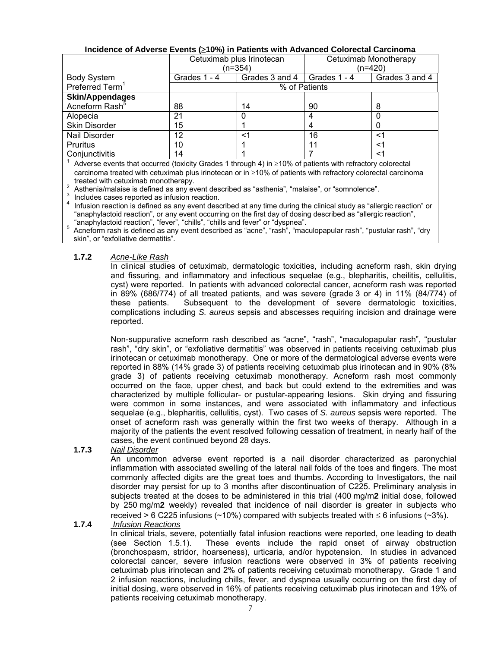|--|

|                             | Cetuximab plus Irinotecan<br>(n=354) |                | Cetuximab Monotherapy<br>(n=420) |                |  |
|-----------------------------|--------------------------------------|----------------|----------------------------------|----------------|--|
| <b>Body System</b>          | Grades 1 - 4                         | Grades 3 and 4 | Grades 1 - 4                     | Grades 3 and 4 |  |
| Preferred Term <sup>1</sup> |                                      |                | % of Patients                    |                |  |
| <b>Skin/Appendages</b>      |                                      |                |                                  |                |  |
| Acneform Rash <sup>5</sup>  | 88                                   | 14             | 90                               | 8              |  |
| Alopecia                    | 21                                   |                |                                  |                |  |
| <b>Skin Disorder</b>        | 15                                   |                |                                  |                |  |
| Nail Disorder               | 12                                   | <1             | 16                               | $<$ 1          |  |
| <b>Pruritus</b>             | 10                                   |                | 11                               |                |  |
| Conjunctivitis              | 14                                   |                |                                  |                |  |

Adverse events that occurred (toxicity Grades 1 through 4) in  $\geq$ 10% of patients with refractory colorectal carcinoma treated with cetuximab plus irinotecan or in ≥10% of patients with refractory colorectal carcinoma

treated with cetuximab monotherapy.<br>
<sup>2</sup> Asthenia/malaise is defined as any event described as "asthenia", "malaise", or "somnolence".

3 Includes cases reported as infusion reaction.<br>4 Infusion reaction is defined as any event described at any time during the clinical study as "allergic reaction" or "anaphylactoid reaction", or any event occurring on the first day of dosing described as "allergic reaction",

"anaphylactoid reaction", "fever", "chills", "chills and fever" or "dyspnea".<br>
<sup>5</sup> Acneform rash is defined as any event described as "acne", "rash", "maculopapular rash", "pustular rash", "dry skin", or "exfoliative dermatitis".

#### **1.7.2** *Acne-Like Rash*

In clinical studies of cetuximab, dermatologic toxicities, including acneform rash, skin drying and fissuring, and inflammatory and infectious sequelae (e.g., blepharitis, cheilitis, cellulitis, cyst) were reported. In patients with advanced colorectal cancer, acneform rash was reported in 89% (686/774) of all treated patients, and was severe (grade 3 or 4) in 11% (84/774) of these patients. Subsequent to the development of severe dermatologic toxicities, complications including *S. aureus* sepsis and abscesses requiring incision and drainage were reported.

Non-suppurative acneform rash described as "acne", "rash", "maculopapular rash", "pustular rash", "dry skin", or "exfoliative dermatitis" was observed in patients receiving cetuximab plus irinotecan or cetuximab monotherapy. One or more of the dermatological adverse events were reported in 88% (14% grade 3) of patients receiving cetuximab plus irinotecan and in 90% (8% grade 3) of patients receiving cetuximab monotherapy. Acneform rash most commonly occurred on the face, upper chest, and back but could extend to the extremities and was characterized by multiple follicular- or pustular-appearing lesions. Skin drying and fissuring were common in some instances, and were associated with inflammatory and infectious sequelae (e.g., blepharitis, cellulitis, cyst). Two cases of *S. aureus* sepsis were reported. The onset of acneform rash was generally within the first two weeks of therapy. Although in a majority of the patients the event resolved following cessation of treatment, in nearly half of the cases, the event continued beyond 28 days.

#### **1.7.3** *Nail Disorder*

An uncommon adverse event reported is a nail disorder characterized as paronychial inflammation with associated swelling of the lateral nail folds of the toes and fingers. The most commonly affected digits are the great toes and thumbs. According to Investigators, the nail disorder may persist for up to 3 months after discontinuation of C225. Preliminary analysis in subjects treated at the doses to be administered in this trial (400 mg/m**2** initial dose, followed by 250 mg/m**2** weekly) revealed that incidence of nail disorder is greater in subjects who received > 6 C225 infusions (~10%) compared with subjects treated with  $\leq$  6 infusions (~3%).

#### **1.7.4** *Infusion Reactions*

In clinical trials, severe, potentially fatal infusion reactions were reported, one leading to death (see Section 1.5.1). These events include the rapid onset of airway obstruction (bronchospasm, stridor, hoarseness), urticaria, and/or hypotension. In studies in advanced colorectal cancer, severe infusion reactions were observed in 3% of patients receiving cetuximab plus irinotecan and 2% of patients receiving cetuximab monotherapy. Grade 1 and 2 infusion reactions, including chills, fever, and dyspnea usually occurring on the first day of initial dosing, were observed in 16% of patients receiving cetuximab plus irinotecan and 19% of patients receiving cetuximab monotherapy.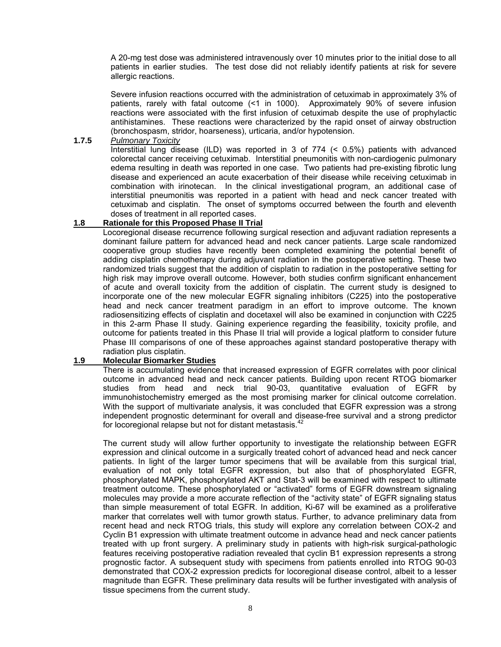A 20-mg test dose was administered intravenously over 10 minutes prior to the initial dose to all patients in earlier studies. The test dose did not reliably identify patients at risk for severe allergic reactions.

Severe infusion reactions occurred with the administration of cetuximab in approximately 3% of patients, rarely with fatal outcome (<1 in 1000). Approximately 90% of severe infusion reactions were associated with the first infusion of cetuximab despite the use of prophylactic antihistamines. These reactions were characterized by the rapid onset of airway obstruction (bronchospasm, stridor, hoarseness), urticaria, and/or hypotension.

#### **1.7.5** *Pulmonary Toxicity*

 Interstitial lung disease (ILD) was reported in 3 of 774 (< 0.5%) patients with advanced colorectal cancer receiving cetuximab. Interstitial pneumonitis with non-cardiogenic pulmonary edema resulting in death was reported in one case. Two patients had pre-existing fibrotic lung disease and experienced an acute exacerbation of their disease while receiving cetuximab in combination with irinotecan. In the clinical investigational program, an additional case of interstitial pneumonitis was reported in a patient with head and neck cancer treated with cetuximab and cisplatin. The onset of symptoms occurred between the fourth and eleventh doses of treatment in all reported cases.

#### **1.8 Rationale for this Proposed Phase II Trial**

Locoregional disease recurrence following surgical resection and adjuvant radiation represents a dominant failure pattern for advanced head and neck cancer patients. Large scale randomized cooperative group studies have recently been completed examining the potential benefit of adding cisplatin chemotherapy during adjuvant radiation in the postoperative setting. These two randomized trials suggest that the addition of cisplatin to radiation in the postoperative setting for high risk may improve overall outcome. However, both studies confirm significant enhancement of acute and overall toxicity from the addition of cisplatin. The current study is designed to incorporate one of the new molecular EGFR signaling inhibitors (C225) into the postoperative head and neck cancer treatment paradigm in an effort to improve outcome. The known radiosensitizing effects of cisplatin and docetaxel will also be examined in conjunction with C225 in this 2-arm Phase II study. Gaining experience regarding the feasibility, toxicity profile, and outcome for patients treated in this Phase II trial will provide a logical platform to consider future Phase III comparisons of one of these approaches against standard postoperative therapy with radiation plus cisplatin.

#### **1.9 Molecular Biomarker Studies**

There is accumulating evidence that increased expression of EGFR correlates with poor clinical outcome in advanced head and neck cancer patients. Building upon recent RTOG biomarker studies from head and neck trial 90-03, quantitative evaluation of EGFR by immunohistochemistry emerged as the most promising marker for clinical outcome correlation. With the support of multivariate analysis, it was concluded that EGFR expression was a strong independent prognostic determinant for overall and disease-free survival and a strong predictor for locoregional relapse but not for distant metastasis.<sup>4</sup>

The current study will allow further opportunity to investigate the relationship between EGFR expression and clinical outcome in a surgically treated cohort of advanced head and neck cancer patients. In light of the larger tumor specimens that will be available from this surgical trial, evaluation of not only total EGFR expression, but also that of phosphorylated EGFR, phosphorylated MAPK, phosphorylated AKT and Stat-3 will be examined with respect to ultimate treatment outcome. These phosphorylated or "activated" forms of EGFR downstream signaling molecules may provide a more accurate reflection of the "activity state" of EGFR signaling status than simple measurement of total EGFR. In addition, Ki-67 will be examined as a proliferative marker that correlates well with tumor growth status. Further, to advance preliminary data from recent head and neck RTOG trials, this study will explore any correlation between COX-2 and Cyclin B1 expression with ultimate treatment outcome in advance head and neck cancer patients treated with up front surgery. A preliminary study in patients with high-risk surgical-pathologic features receiving postoperative radiation revealed that cyclin B1 expression represents a strong prognostic factor. A subsequent study with specimens from patients enrolled into RTOG 90-03 demonstrated that COX-2 expression predicts for locoregional disease control, albeit to a lesser magnitude than EGFR. These preliminary data results will be further investigated with analysis of tissue specimens from the current study.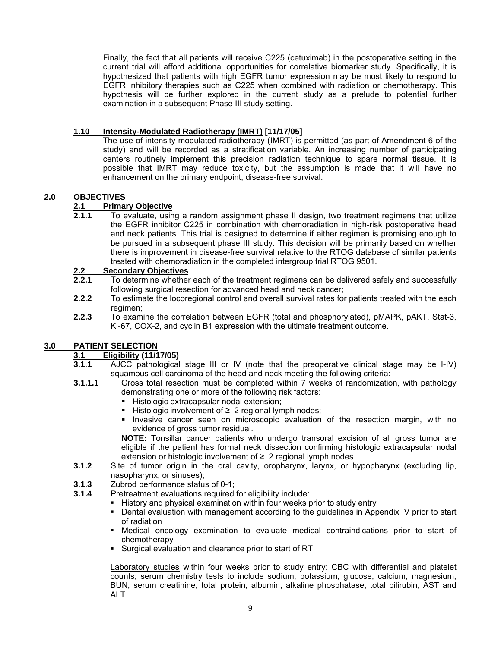Finally, the fact that all patients will receive C225 (cetuximab) in the postoperative setting in the current trial will afford additional opportunities for correlative biomarker study. Specifically, it is hypothesized that patients with high EGFR tumor expression may be most likely to respond to EGFR inhibitory therapies such as C225 when combined with radiation or chemotherapy. This hypothesis will be further explored in the current study as a prelude to potential further examination in a subsequent Phase III study setting.

#### **1.10 Intensity-Modulated Radiotherapy (IMRT) [11/17/05]**

 The use of intensity-modulated radiotherapy (IMRT) is permitted (as part of Amendment 6 of the study) and will be recorded as a stratification variable. An increasing number of participating centers routinely implement this precision radiation technique to spare normal tissue. It is possible that IMRT may reduce toxicity, but the assumption is made that it will have no enhancement on the primary endpoint, disease-free survival.

#### **2.0 OBJECTIVES**

#### **2.1 Primary Objective**

**2.1.1** To evaluate, using a random assignment phase II design, two treatment regimens that utilize the EGFR inhibitor C225 in combination with chemoradiation in high-risk postoperative head and neck patients. This trial is designed to determine if either regimen is promising enough to be pursued in a subsequent phase III study. This decision will be primarily based on whether there is improvement in disease-free survival relative to the RTOG database of similar patients treated with chemoradiation in the completed intergroup trial RTOG 9501.

## **2.2 Secondary Objectives**

- **2.2.1** To determine whether each of the treatment regimens can be delivered safely and successfully following surgical resection for advanced head and neck cancer;
- **2.2.2** To estimate the locoregional control and overall survival rates for patients treated with the each regimen;
- **2.2.3** To examine the correlation between EGFR (total and phosphorylated), pMAPK, pAKT, Stat-3, Ki-67, COX-2, and cyclin B1 expression with the ultimate treatment outcome.

#### **3.0 PATIENT SELECTION**

#### **3.1 Eligibility (11/17/05)**

- **3.1.1** AJCC pathological stage III or IV (note that the preoperative clinical stage may be I-IV) squamous cell carcinoma of the head and neck meeting the following criteria:
- **3.1.1.1** Gross total resection must be completed within 7 weeks of randomization, with pathology demonstrating one or more of the following risk factors:
	- Histologic extracapsular nodal extension;
	- Histologic involvement of  $\geq 2$  regional lymph nodes;
	- Invasive cancer seen on microscopic evaluation of the resection margin, with no evidence of gross tumor residual.

**NOTE:** Tonsillar cancer patients who undergo transoral excision of all gross tumor are eligible if the patient has formal neck dissection confirming histologic extracapsular nodal extension or histologic involvement of  $\geq 2$  regional lymph nodes.

- **3.1.2** Site of tumor origin in the oral cavity, oropharynx, larynx, or hypopharynx (excluding lip, nasopharynx, or sinuses);
- **3.1.3** Zubrod performance status of 0-1;
- **3.1.4** Pretreatment evaluations required for eligibility include:
	- History and physical examination within four weeks prior to study entry
	- Dental evaluation with management according to the guidelines in Appendix IV prior to start of radiation
	- Medical oncology examination to evaluate medical contraindications prior to start of chemotherapy
	- Surgical evaluation and clearance prior to start of RT

Laboratory studies within four weeks prior to study entry: CBC with differential and platelet counts; serum chemistry tests to include sodium, potassium, glucose, calcium, magnesium, BUN, serum creatinine, total protein, albumin, alkaline phosphatase, total bilirubin, AST and ALT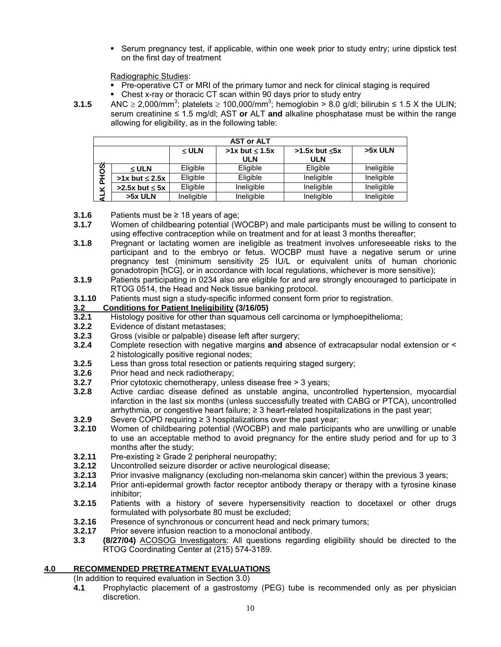Serum pregnancy test, if applicable, within one week prior to study entry; urine dipstick test on the first day of treatment

Radiographic Studies:

- Pre-operative CT or MRI of the primary tumor and neck for clinical staging is required
- Chest x-ray or thoracic CT scan within 90 days prior to study entry
- **3.1.5** ANC ≥ 2,000/mm<sup>3</sup>; platelets ≥ 100,000/mm<sup>3</sup>; hemoglobin > 8.0 g/dl; bilirubin ≤ 1.5 X the ULIN; serum creatinine ≤ 1.5 mg/dl; AST **or** ALT **and** alkaline phosphatase must be within the range allowing for eligibility, as in the following table:

|          | <b>AST or ALT</b>     |            |                              |                                     |            |  |  |  |
|----------|-----------------------|------------|------------------------------|-------------------------------------|------------|--|--|--|
| $\cdots$ |                       | $\leq$ ULN | $>1x$ but $\leq 1.5x$<br>ULN | $>1.5x$ but $\leq 5x$<br><b>ULN</b> | $>5x$ ULN  |  |  |  |
|          | $\leq$ ULN            | Eligible   | Eligible                     | Eligible                            | Ineligible |  |  |  |
| PHOS     | $>1x$ but $\leq 2.5x$ | Eligible   | Eligible                     | Ineligible                          | Ineligible |  |  |  |
| ⊻        | $>2.5x$ but $\leq 5x$ | Eligible   | Ineligible                   | Ineligible                          | Ineligible |  |  |  |
| ₹        | >5x ULN               | Ineligible | Ineligible                   | Ineligible                          | Ineligible |  |  |  |

- **3.1.6** Patients must be ≥ 18 years of age;
- **3.1.7** Women of childbearing potential (WOCBP) and male participants must be willing to consent to using effective contraception while on treatment and for at least 3 months thereafter;
- **3.1.8** Pregnant or lactating women are ineligible as treatment involves unforeseeable risks to the participant and to the embryo or fetus. WOCBP must have a negative serum or urine pregnancy test (minimum sensitivity 25 IU/L or equivalent units of human chorionic gonadotropin [hCG], or in accordance with local regulations, whichever is more sensitive);
- **3.1.9** Patients participating in 0234 also are eligible for and are strongly encouraged to participate in RTOG 0514, the Head and Neck tissue banking protocol.
- **3.1.10** Patients must sign a study-specific informed consent form prior to registration.

### **3.2 Conditions for Patient Ineligibility (3/16/05)**

- **3.2.1** Histology positive for other than squamous cell carcinoma or lymphoepithelioma;
- **3.2.2** Evidence of distant metastases;
- **3.2.3** Gross (visible or palpable) disease left after surgery;
- **3.2.4** Complete resection with negative margins **and** absence of extracapsular nodal extension or < 2 histologically positive regional nodes;
- **3.2.5** Less than gross total resection or patients requiring staged surgery;
- **3.2.6** Prior head and neck radiotherapy;<br>**3.2.7** Prior cytotoxic chemotherapy, unle
- **3.2.7** Prior cytotoxic chemotherapy, unless disease free > 3 years;<br>**3.2.8** Active cardiac disease defined as unstable angina, unco
- **3.2.8** Active cardiac disease defined as unstable angina, uncontrolled hypertension, myocardial infarction in the last six months (unless successfully treated with CABG or PTCA), uncontrolled arrhythmia, or congestive heart failure;  $\geq 3$  heart-related hospitalizations in the past year;
- **3.2.9** Severe COPD requiring ≥ 3 hospitalizations over the past year;
- **3.2.10** Women of childbearing potential (WOCBP) and male participants who are unwilling or unable to use an acceptable method to avoid pregnancy for the entire study period and for up to 3 months after the study;
- **3.2.11** Pre-existing ≥ Grade 2 peripheral neuropathy;
- **3.2.12** Uncontrolled seizure disorder or active neurological disease;<br>**3.2.13** Prior invasive malignancy (excluding non-melanoma skin can
- **3.2.13** Prior invasive malignancy (excluding non-melanoma skin cancer) within the previous 3 years;
- **3.2.14** Prior anti-epidermal growth factor receptor antibody therapy or therapy with a tyrosine kinase inhibitor;
- **3.2.15** Patients with a history of severe hypersensitivity reaction to docetaxel or other drugs formulated with polysorbate 80 must be excluded;
- **3.2.16** Presence of synchronous or concurrent head and neck primary tumors;
- **3.2.17** Prior severe infusion reaction to a monoclonal antibody.
- **3.3 (8/27/04)** ACOSOG Investigators: All questions regarding eligibility should be directed to the RTOG Coordinating Center at (215) 574-3189.

## **4.0 RECOMMENDED PRETREATMENT EVALUATIONS**

(In addition to required evaluation in Section 3.0)

**4.1** Prophylactic placement of a gastrostomy (PEG) tube is recommended only as per physician discretion.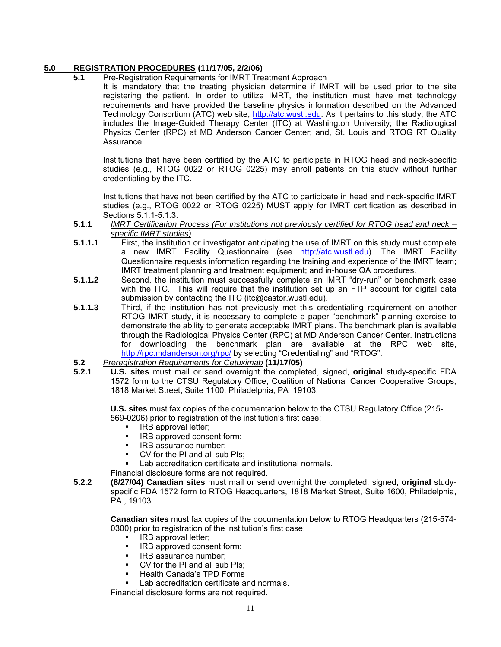#### **5.0 REGISTRATION PROCEDURES (11/17/05, 2/2/06)**

#### **5.1** Pre-Registration Requirements for IMRT Treatment Approach

It is mandatory that the treating physician determine if IMRT will be used prior to the site registering the patient. In order to utilize IMRT, the institution must have met technology requirements and have provided the baseline physics information described on the Advanced Technology Consortium (ATC) web site, [http://atc.wustl.edu.](http://atc.wustl.edu) As it pertains to this study, the ATC includes the Image-Guided Therapy Center (ITC) at Washington University; the Radiological Physics Center (RPC) at MD Anderson Cancer Center; and, St. Louis and RTOG RT Quality Assurance.

Institutions that have been certified by the ATC to participate in RTOG head and neck-specific studies (e.g., RTOG 0022 or RTOG 0225) may enroll patients on this study without further credentialing by the ITC.

Institutions that have not been certified by the ATC to participate in head and neck-specific IMRT studies (e.g., RTOG 0022 or RTOG 0225) MUST apply for IMRT certification as described in Sections 5.1.1-5.1.3.

- **5.1.1** *IMRT Certification Process (For institutions not previously certified for RTOG head and neck – specific IMRT studies)*
- **5.1.1.1** First, the institution or investigator anticipating the use of IMRT on this study must complete a new IMRT Facility Questionnaire (see <http://atc.wustl.edu>). The IMRT Facility Questionnaire requests information regarding the training and experience of the IMRT team; IMRT treatment planning and treatment equipment; and in-house QA procedures.
- **5.1.1.2** Second, the institution must successfully complete an IMRT "dry-run" or benchmark case with the ITC. This will require that the institution set up an FTP account for digital data submission by contacting the ITC [\(itc@castor.wustl.edu](mailto:itc@castor.wustl.edu)).
- **5.1.1.3** Third, if the institution has not previously met this credentialing requirement on another RTOG IMRT study, it is necessary to complete a paper "benchmark" planning exercise to demonstrate the ability to generate acceptable IMRT plans. The benchmark plan is available through the Radiological Physics Center (RPC) at MD Anderson Cancer Center. Instructions for downloading the benchmark plan are available at the RPC web site, [http://rpc.mdanderson.org/rpc/](http://rpc.mdanderson.org/rpc) by selecting "Credentialing" and "RTOG".
- **5.2** *Preregistration Requirements for Cetuximab* **(11/17/05)**
- **5.2.1 U.S. sites** must mail or send overnight the completed, signed, **original** study-specific FDA 1572 form to the CTSU Regulatory Office, Coalition of National Cancer Cooperative Groups, 1818 Market Street, Suite 1100, Philadelphia, PA 19103.

**U.S. sites** must fax copies of the documentation below to the CTSU Regulatory Office (215- 569-0206) prior to registration of the institution's first case:

- IRB approval letter;
- IRB approved consent form;
- **IRB** assurance number;
- CV for the PI and all sub PIs;
- Lab accreditation certificate and institutional normals.

Financial disclosure forms are not required.

**5.2.2 (8/27/04) Canadian sites** must mail or send overnight the completed, signed, **original** studyspecific FDA 1572 form to RTOG Headquarters, 1818 Market Street, Suite 1600, Philadelphia, PA , 19103.

**Canadian sites** must fax copies of the documentation below to RTOG Headquarters (215-574- 0300) prior to registration of the institution's first case:

- IRB approval letter;
- IRB approved consent form;
- IRB assurance number;
- CV for the PI and all sub PIs;
- Health Canada's TPD Forms
- Lab accreditation certificate and normals.

Financial disclosure forms are not required.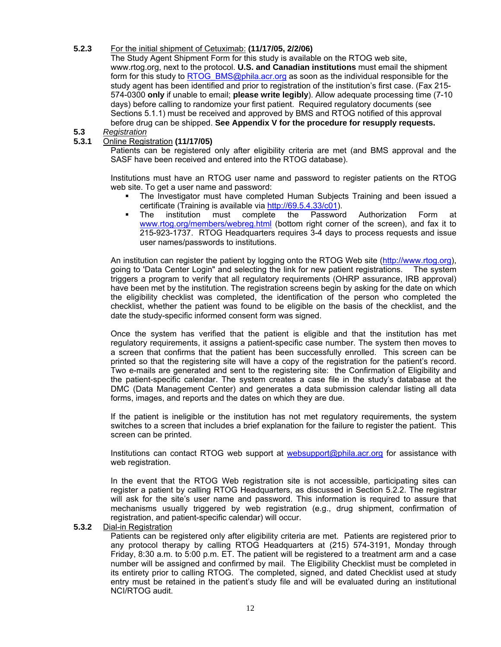#### **5.2.3** For the initial shipment of Cetuximab: **(11/17/05, 2/2/06)**

The Study Agent Shipment Form for this study is available on the RTOG web site, [www.rtog.org,](http://www.rtog.org) next to the protocol. **U.S. and Canadian institutions** must email the shipment form for this study to RTOG[\\_BMS@phila.acr.org as](mailto:BMS@phila.acr.org) soon as the individual responsible for the study agent has been identified and prior to registration of the institution's first case. (Fax 215- 574-0300 **only** if unable to email; **please write legibly**). Allow adequate processing time (7-10 days) before calling to randomize your first patient. Required regulatory documents (see Sections 5.1.1) must be received and approved by BMS and RTOG notified of this approval before drug can be shipped. **See Appendix V for the procedure for resupply requests.**

#### **5.3** *Registration*

#### **5.3.1** Online Registration **(11/17/05)**

Patients can be registered only after eligibility criteria are met (and BMS approval and the SASF have been received and entered into the RTOG database).

Institutions must have an RTOG user name and password to register patients on the RTOG web site. To get a user name and password:

- The Investigator must have completed Human Subjects Training and been issued a certificate (Training is available via [http://69.5.4.33/c01\).](http://69.5.4.33/c01)
- The institution must complete the Password Authorization Form at [www.rtog.org/members/webreg.html \(b](http://www.rtog.org/members/webreg.html)ottom right corner of the screen), and fax it to 215-923-1737. RTOG Headquarters requires 3-4 days to process requests and issue user names/passwords to institutions.

An institution can register the patient by logging onto the RTOG Web site ([http://www.rtog.org\),](http://www.rtog.org)  going to 'Data Center Login" and selecting the link for new patient registrations. The system triggers a program to verify that all regulatory requirements (OHRP assurance, IRB approval) have been met by the institution. The registration screens begin by asking for the date on which the eligibility checklist was completed, the identification of the person who completed the checklist, whether the patient was found to be eligible on the basis of the checklist, and the date the study-specific informed consent form was signed.

Once the system has verified that the patient is eligible and that the institution has met regulatory requirements, it assigns a patient-specific case number. The system then moves to a screen that confirms that the patient has been successfully enrolled. This screen can be printed so that the registering site will have a copy of the registration for the patient's record. Two e-mails are generated and sent to the registering site: the Confirmation of Eligibility and the patient-specific calendar. The system creates a case file in the study's database at the DMC (Data Management Center) and generates a data submission calendar listing all data forms, images, and reports and the dates on which they are due.

 If the patient is ineligible or the institution has not met regulatory requirements, the system switches to a screen that includes a brief explanation for the failure to register the patient. This screen can be printed.

Institutions can contact RTOG web support at [websupport@phila.acr.org fo](mailto:websupport@phila.acr.org)r assistance with web registration.

In the event that the RTOG Web registration site is not accessible, participating sites can register a patient by calling RTOG Headquarters, as discussed in Section 5.2.2. The registrar will ask for the site's user name and password. This information is required to assure that mechanisms usually triggered by web registration (e.g., drug shipment, confirmation of registration, and patient-specific calendar) will occur.

#### **5.3.2** Dial-in Registration

Patients can be registered only after eligibility criteria are met. Patients are registered prior to any protocol therapy by calling RTOG Headquarters at (215) 574-3191, Monday through Friday, 8:30 a.m. to 5:00 p.m. ET. The patient will be registered to a treatment arm and a case number will be assigned and confirmed by mail. The Eligibility Checklist must be completed in its entirety prior to calling RTOG. The completed, signed, and dated Checklist used at study entry must be retained in the patient's study file and will be evaluated during an institutional NCI/RTOG audit.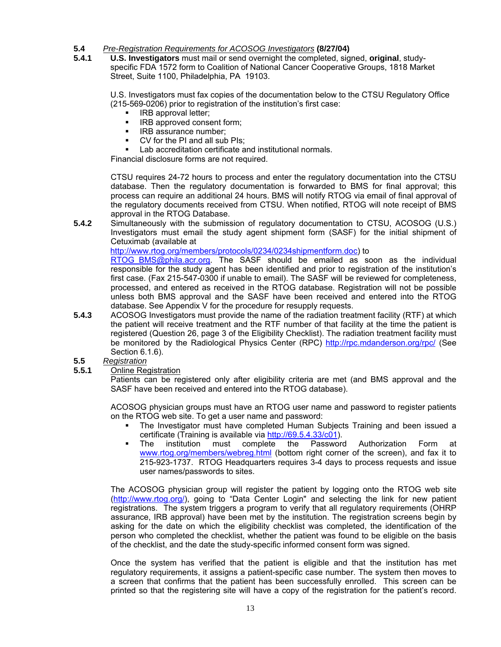#### **5.4** *Pre-Registration Requirements for ACOSOG Investigators* **(8/27/04)**

**5.4.1 U.S. Investigators** must mail or send overnight the completed, signed, **original**, studyspecific FDA 1572 form to Coalition of National Cancer Cooperative Groups, 1818 Market Street, Suite 1100, Philadelphia, PA 19103.

U.S. Investigators must fax copies of the documentation below to the CTSU Regulatory Office (215-569-0206) prior to registration of the institution's first case:

- IRB approval letter;
- **IRB approved consent form;**
- **IRB** assurance number;
- CV for the PI and all sub PIs;

Lab accreditation certificate and institutional normals.

Financial disclosure forms are not required.

CTSU requires 24-72 hours to process and enter the regulatory documentation into the CTSU database. Then the regulatory documentation is forwarded to BMS for final approval; this process can require an additional 24 hours. BMS will notify RTOG via email of final approval of the regulatory documents received from CTSU. When notified, RTOG will note receipt of BMS approval in the RTOG Database.

**5.4.2** Simultaneously with the submission of regulatory documentation to CTSU, ACOSOG (U.S.) Investigators must email the study agent shipment form (SASF) for the initial shipment of Cetuximab (available at

[http://www.rtog.org/members/protocols/0234/0234shipmentform.doc\)](http://www.rtog.org/members/protocols/0234/0234shipmentform.doc) to

RTOG [BMS@phila.acr.org.](mailto:BMS@phila.acr.org) The SASF should be emailed as soon as the individual responsible for the study agent has been identified and prior to registration of the institution's first case. (Fax 215-547-0300 if unable to email). The SASF will be reviewed for completeness, processed, and entered as received in the RTOG database. Registration will not be possible unless both BMS approval and the SASF have been received and entered into the RTOG database. See Appendix V for the procedure for resupply requests.

- **5.4.3** ACOSOG Investigators must provide the name of the radiation treatment facility (RTF) at which the patient will receive treatment and the RTF number of that facility at the time the patient is registered (Question 26, page 3 of the Eligibility Checklist). The radiation treatment facility must be monitored by the Radiological Physics Center (RPC) [http://rpc.mdanderson.org/rpc/](http://rpc.mdanderson.org/rpc) (See Section 6.1.6).
- **5.5** *Registration*
- **5.5.1** Online Registration

Patients can be registered only after eligibility criteria are met (and BMS approval and the SASF have been received and entered into the RTOG database).

ACOSOG physician groups must have an RTOG user name and password to register patients on the RTOG web site. To get a user name and password:

- The Investigator must have completed Human Subjects Training and been issued a certificate (Training is available via <http://69.5.4.33/c01>).
- The institution must complete the Password Authorization Form [www.rtog.org/members/webreg.html \(b](http://www.rtog.org/members/webreg.html)ottom right corner of the screen), and fax it to 215-923-1737. RTOG Headquarters requires 3-4 days to process requests and issue user names/passwords to sites.

The ACOSOG physician group will register the patient by logging onto the RTOG web site ([http://www.rtog.org/\), g](http://www.rtog.org)oing to "Data Center Login" and selecting the link for new patient registrations. The system triggers a program to verify that all regulatory requirements (OHRP assurance, IRB approval) have been met by the institution. The registration screens begin by asking for the date on which the eligibility checklist was completed, the identification of the person who completed the checklist, whether the patient was found to be eligible on the basis of the checklist, and the date the study-specific informed consent form was signed.

Once the system has verified that the patient is eligible and that the institution has met regulatory requirements, it assigns a patient-specific case number. The system then moves to a screen that confirms that the patient has been successfully enrolled. This screen can be printed so that the registering site will have a copy of the registration for the patient's record.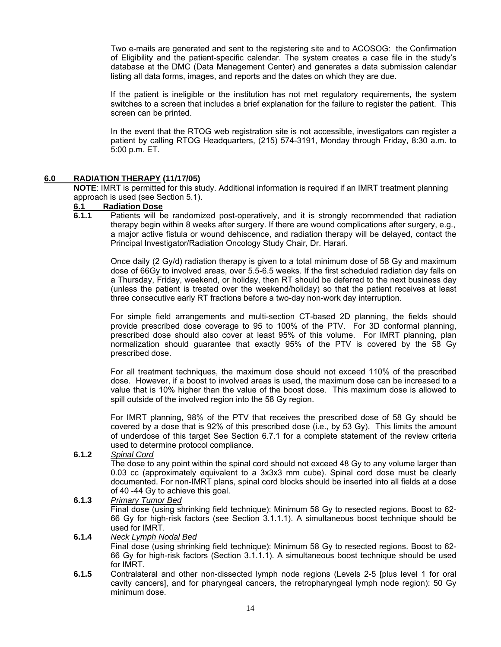Two e-mails are generated and sent to the registering site and to ACOSOG: the Confirmation of Eligibility and the patient-specific calendar. The system creates a case file in the study's database at the DMC (Data Management Center) and generates a data submission calendar listing all data forms, images, and reports and the dates on which they are due.

 If the patient is ineligible or the institution has not met regulatory requirements, the system switches to a screen that includes a brief explanation for the failure to register the patient. This screen can be printed.

In the event that the RTOG web registration site is not accessible, investigators can register a patient by calling RTOG Headquarters, (215) 574-3191, Monday through Friday, 8:30 a.m. to 5:00 p.m. ET.

#### **6.0 RADIATION THERAPY (11/17/05)**

**NOTE**: IMRT is permitted for this study. Additional information is required if an IMRT treatment planning approach is used (see Section 5.1).

#### **6.1 Radiation Dose**

**6.1.1** Patients will be randomized post-operatively, and it is strongly recommended that radiation therapy begin within 8 weeks after surgery. If there are wound complications after surgery, e.g., a major active fistula or wound dehiscence, and radiation therapy will be delayed, contact the Principal Investigator/Radiation Oncology Study Chair, Dr. Harari.

Once daily (2 Gy/d) radiation therapy is given to a total minimum dose of 58 Gy and maximum dose of 66Gy to involved areas, over 5.5-6.5 weeks. If the first scheduled radiation day falls on a Thursday, Friday, weekend, or holiday, then RT should be deferred to the next business day (unless the patient is treated over the weekend/holiday) so that the patient receives at least three consecutive early RT fractions before a two-day non-work day interruption.

For simple field arrangements and multi-section CT-based 2D planning, the fields should provide prescribed dose coverage to 95 to 100% of the PTV. For 3D conformal planning, prescribed dose should also cover at least 95% of this volume. For IMRT planning, plan normalization should guarantee that exactly 95% of the PTV is covered by the 58 Gy prescribed dose.

For all treatment techniques, the maximum dose should not exceed 110% of the prescribed dose. However, if a boost to involved areas is used, the maximum dose can be increased to a value that is 10% higher than the value of the boost dose. This maximum dose is allowed to spill outside of the involved region into the 58 Gy region.

For IMRT planning, 98% of the PTV that receives the prescribed dose of 58 Gy should be covered by a dose that is 92% of this prescribed dose (i.e., by 53 Gy). This limits the amount of underdose of this target See Section 6.7.1 for a complete statement of the review criteria used to determine protocol compliance.

**6.1.2** *Spinal Cord*

 The dose to any point within the spinal cord should not exceed 48 Gy to any volume larger than 0.03 cc (approximately equivalent to a 3x3x3 mm cube). Spinal cord dose must be clearly documented. For non-IMRT plans, spinal cord blocks should be inserted into all fields at a dose of 40 -44 Gy to achieve this goal.

**6.1.3** *Primary Tumor Bed*

 Final dose (using shrinking field technique): Minimum 58 Gy to resected regions. Boost to 62- 66 Gy for high-risk factors (see Section 3.1.1.1). A simultaneous boost technique should be used for IMRT.

#### **6.1.4** *Neck Lymph Nodal Bed*

 Final dose (using shrinking field technique): Minimum 58 Gy to resected regions. Boost to 62- 66 Gy for high-risk factors (Section 3.1.1.1). A simultaneous boost technique should be used for IMRT.

**6.1.5** Contralateral and other non-dissected lymph node regions (Levels 2-5 [plus level 1 for oral cavity cancers], and for pharyngeal cancers, the retropharyngeal lymph node region): 50 Gy minimum dose.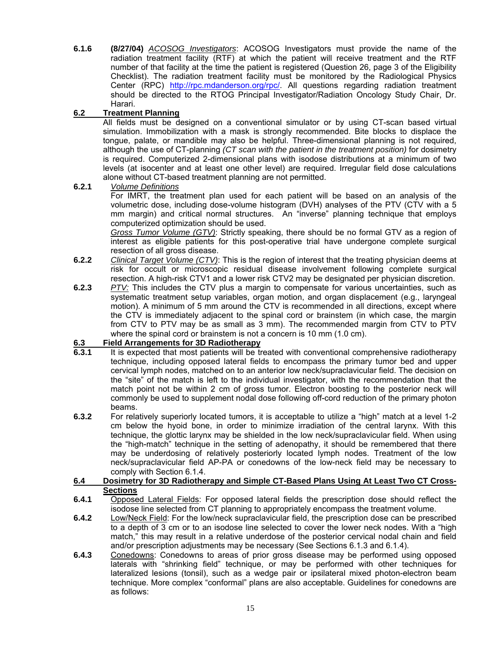**6.1.6 (8/27/04)** *ACOSOG Investigators*: ACOSOG Investigators must provide the name of the radiation treatment facility (RTF) at which the patient will receive treatment and the RTF number of that facility at the time the patient is registered (Question 26, page 3 of the Eligibility Checklist). The radiation treatment facility must be monitored by the Radiological Physics Center (RPC) [http://rpc.mdanderson.org/rpc/. A](http://rpc.mdanderson.org/rpc)ll questions regarding radiation treatment should be directed to the RTOG Principal Investigator/Radiation Oncology Study Chair, Dr. Harari.

## **6.2 Treatment Planning**

All fields must be designed on a conventional simulator or by using CT-scan based virtual simulation. Immobilization with a mask is strongly recommended. Bite blocks to displace the tongue, palate, or mandible may also be helpful. Three-dimensional planning is not required, although the use of CT-planning *(CT scan with the patient in the treatment position)* for dosimetry is required. Computerized 2-dimensional plans with isodose distributions at a minimum of two levels (at isocenter and at least one other level) are required. Irregular field dose calculations alone without CT-based treatment planning are not permitted.

#### **6.2.1** *Volume Definitions*

For IMRT, the treatment plan used for each patient will be based on an analysis of the volumetric dose, including dose-volume histogram (DVH) analyses of the PTV (CTV with a 5 mm margin) and critical normal structures. An "inverse" planning technique that employs computerized optimization should be used.

*Gross Tumor Volume (GTV)*: Strictly speaking, there should be no formal GTV as a region of interest as eligible patients for this post-operative trial have undergone complete surgical resection of all gross disease.

- **6.2.2** *Clinical Target Volume (CTV)*: This is the region of interest that the treating physician deems at risk for occult or microscopic residual disease involvement following complete surgical resection. A high-risk CTV1 and a lower risk CTV2 may be designated per physician discretion.
- **6.2.3** *PTV:* This includes the CTV plus a margin to compensate for various uncertainties, such as systematic treatment setup variables, organ motion, and organ displacement (e.g., laryngeal motion). A minimum of 5 mm around the CTV is recommended in all directions, except where the CTV is immediately adjacent to the spinal cord or brainstem (in which case, the margin from CTV to PTV may be as small as 3 mm). The recommended margin from CTV to PTV where the spinal cord or brainstem is not a concern is 10 mm (1.0 cm).

## **6.3 Field Arrangements for 3D Radiotherapy**

- **6.3.1** It is expected that most patients will be treated with conventional comprehensive radiotherapy technique, including opposed lateral fields to encompass the primary tumor bed and upper cervical lymph nodes, matched on to an anterior low neck/supraclavicular field. The decision on the "site" of the match is left to the individual investigator, with the recommendation that the match point not be within 2 cm of gross tumor. Electron boosting to the posterior neck will commonly be used to supplement nodal dose following off-cord reduction of the primary photon beams.
- **6.3.2** For relatively superiorly located tumors, it is acceptable to utilize a "high" match at a level 1-2 cm below the hyoid bone, in order to minimize irradiation of the central larynx. With this technique, the glottic larynx may be shielded in the low neck/supraclavicular field. When using the "high-match" technique in the setting of adenopathy, it should be remembered that there may be underdosing of relatively posteriorly located lymph nodes. Treatment of the low neck/supraclavicular field AP-PA or conedowns of the low-neck field may be necessary to comply with Section 6.1.4.

#### **6.4 Dosimetry for 3D Radiotherapy and Simple CT-Based Plans Using At Least Two CT Cross-Sections**

- **6.4.1** Opposed Lateral Fields: For opposed lateral fields the prescription dose should reflect the isodose line selected from CT planning to appropriately encompass the treatment volume.
- **6.4.2** Low/Neck Field: For the low/neck supraclavicular field, the prescription dose can be prescribed to a depth of 3 cm or to an isodose line selected to cover the lower neck nodes. With a "high match," this may result in a relative underdose of the posterior cervical nodal chain and field and/or prescription adjustments may be necessary (See Sections 6.1.3 and 6.1.4).
- **6.4.3** Conedowns: Conedowns to areas of prior gross disease may be performed using opposed laterals with "shrinking field" technique, or may be performed with other techniques for lateralized lesions (tonsil), such as a wedge pair or ipsilateral mixed photon-electron beam technique. More complex "conformal" plans are also acceptable. Guidelines for conedowns are as follows: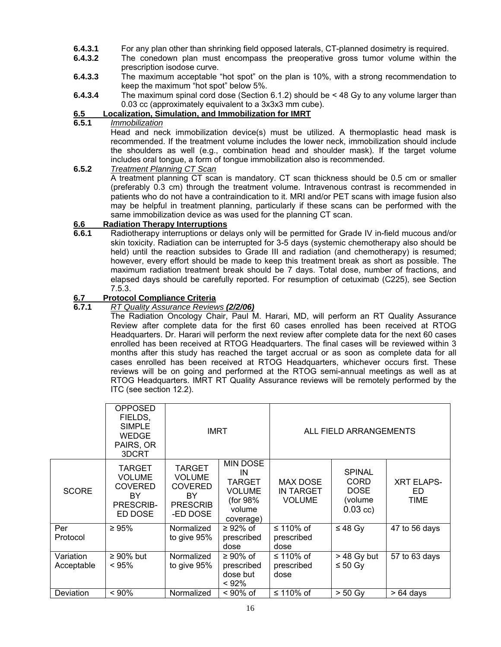- **6.4.3.1** For any plan other than shrinking field opposed laterals, CT-planned dosimetry is required.
- **6.4.3.2** The conedown plan must encompass the preoperative gross tumor volume within the prescription isodose curve.
- **6.4.3.3** The maximum acceptable "hot spot" on the plan is 10%, with a strong recommendation to keep the maximum "hot spot" below 5%.
- **6.4.3.4** The maximum spinal cord dose (Section 6.1.2) should be < 48 Gy to any volume larger than 0.03 cc (approximately equivalent to a 3x3x3 mm cube).

### **6.5 Localization, Simulation, and Immobilization for IMRT**

#### **6.5.1** *Immobilization*

 Head and neck immobilization device(s) must be utilized. A thermoplastic head mask is recommended. If the treatment volume includes the lower neck, immobilization should include the shoulders as well (e.g., combination head and shoulder mask). If the target volume includes oral tongue, a form of tongue immobilization also is recommended.

#### **6.5.2** *Treatment Planning CT Scan* A treatment planning CT scan is mandatory. CT scan thickness should be 0.5 cm or smaller (preferably 0.3 cm) through the treatment volume. Intravenous contrast is recommended in patients who do not have a contraindication to it. MRI and/or PET scans with image fusion also may be helpful in treatment planning, particularly if these scans can be performed with the same immobilization device as was used for the planning CT scan.

## **6.6 Radiation Therapy Interruptions**

**6.6.1** Radiotherapy interruptions or delays only will be permitted for Grade IV in-field mucous and/or skin toxicity. Radiation can be interrupted for 3-5 days (systemic chemotherapy also should be held) until the reaction subsides to Grade III and radiation (and chemotherapy) is resumed; however, every effort should be made to keep this treatment break as short as possible. The maximum radiation treatment break should be 7 days. Total dose, number of fractions, and elapsed days should be carefully reported. For resumption of cetuximab (C225), see Section 7.5.3.

## **6.7 Protocol Compliance Criteria**<br>**6.7.1** RT Quality Assurance Reviev

#### **6.7.1** *RT Quality Assurance Reviews (2/2/06)*

The Radiation Oncology Chair, Paul M. Harari, MD, will perform an RT Quality Assurance Review after complete data for the first 60 cases enrolled has been received at RTOG Headquarters. Dr. Harari will perform the next review after complete data for the next 60 cases enrolled has been received at RTOG Headquarters. The final cases will be reviewed within 3 months after this study has reached the target accrual or as soon as complete data for all cases enrolled has been received at RTOG Headquarters, whichever occurs first. These reviews will be on going and performed at the RTOG semi-annual meetings as well as at RTOG Headquarters. IMRT RT Quality Assurance reviews will be remotely performed by the ITC (see section 12.2).

|                         | <b>OPPOSED</b><br>FIELDS,<br><b>SIMPLE</b><br><b>WEDGE</b><br>PAIRS, OR<br>3DCRT      | <b>IMRT</b>                                                                            |                                                                                             | ALL FIELD ARRANGEMENTS                               |                                                                      |                                         |
|-------------------------|---------------------------------------------------------------------------------------|----------------------------------------------------------------------------------------|---------------------------------------------------------------------------------------------|------------------------------------------------------|----------------------------------------------------------------------|-----------------------------------------|
| <b>SCORE</b>            | <b>TARGET</b><br><b>VOLUME</b><br><b>COVERED</b><br><b>BY</b><br>PRESCRIB-<br>ED DOSE | <b>TARGET</b><br><b>VOLUME</b><br><b>COVERED</b><br>BY.<br><b>PRESCRIB</b><br>-ED DOSE | <b>MIN DOSE</b><br>IN<br><b>TARGET</b><br><b>VOLUME</b><br>(for 98%)<br>volume<br>coverage) | <b>MAX DOSE</b><br><b>IN TARGET</b><br><b>VOLUME</b> | <b>SPINAL</b><br><b>CORD</b><br><b>DOSE</b><br>(volume<br>$0.03$ cc) | <b>XRT ELAPS-</b><br>ED.<br><b>TIME</b> |
| Per<br>Protocol         | $\geq 95\%$                                                                           | Normalized<br>to give 95%                                                              | $\geq$ 92% of<br>prescribed<br>dose                                                         | ≤ 110% of<br>prescribed<br>dose                      | ≤ 48 Gy                                                              | 47 to 56 days                           |
| Variation<br>Acceptable | $\geq 90\%$ but<br>< 95%                                                              | Normalized<br>to give 95%                                                              | $\geq 90\%$ of<br>prescribed<br>dose but<br>< 92%                                           | ≤ 110% of<br>prescribed<br>dose                      | $>$ 48 Gy but<br>≤ 50 Gy                                             | 57 to 63 days                           |
| Deviation               | $< 90\%$                                                                              | Normalized                                                                             | $< 90\%$ of                                                                                 | ≤ 110% of                                            | $> 50$ Gy                                                            | $>64$ days                              |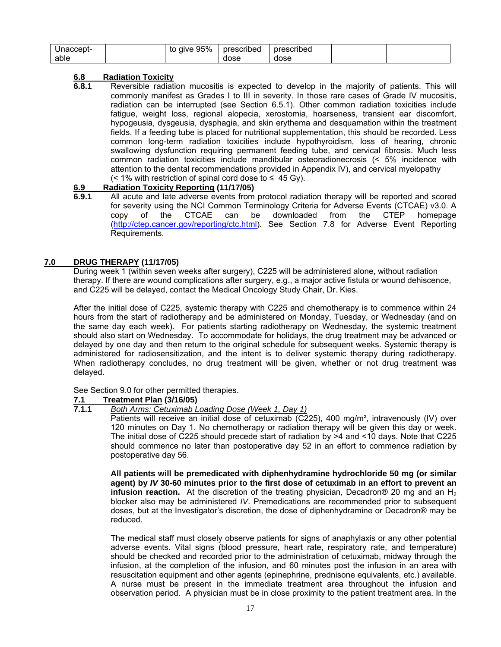| Jnaccept- | to give 95% | prescribed | prescribed |  |
|-----------|-------------|------------|------------|--|
| able      |             | dose       | dose       |  |

#### **6.8 Radiation Toxicity**

**6.8.1** Reversible radiation mucositis is expected to develop in the majority of patients. This will commonly manifest as Grades I to III in severity. In those rare cases of Grade IV mucositis, radiation can be interrupted (see Section 6.5.1). Other common radiation toxicities include fatigue, weight loss, regional alopecia, xerostomia, hoarseness, transient ear discomfort, hypogeusia, dysgeusia, dysphagia, and skin erythema and desquamation within the treatment fields. If a feeding tube is placed for nutritional supplementation, this should be recorded. Less common long-term radiation toxicities include hypothyroidism, loss of hearing, chronic swallowing dysfunction requiring permanent feeding tube, and cervical fibrosis. Much less common radiation toxicities include mandibular osteoradionecrosis (< 5% incidence with attention to the dental recommendations provided in Appendix IV), and cervical myelopathy  $(< 1\%$  with restriction of spinal cord dose to  $\leq 45$  Gy).

#### **6.9 Radiation Toxicity Reporting (11/17/05)**

**6.9.1** All acute and late adverse events from protocol radiation therapy will be reported and scored for severity using the NCI Common Terminology Criteria for Adverse Events (CTCAE) v3.0. A copy of the CTCAE can be downloaded from the CTEP homepage ([http://ctep.cancer.gov/reporting/ctc.htm](http://ctep.cancer.gov/reporting/ctc.html)l). See Section 7.8 for Adverse Event Reporting Requirements.

#### **7.0 DRUG THERAPY (11/17/05)**

During week 1 (within seven weeks after surgery), C225 will be administered alone, without radiation therapy. If there are wound complications after surgery, e.g., a major active fistula or wound dehiscence, and C225 will be delayed, contact the Medical Oncology Study Chair, Dr. Kies.

After the initial dose of C225, systemic therapy with C225 and chemotherapy is to commence within 24 hours from the start of radiotherapy and be administered on Monday, Tuesday, or Wednesday (and on the same day each week). For patients starting radiotherapy on Wednesday, the systemic treatment should also start on Wednesday. To accommodate for holidays, the drug treatment may be advanced or delayed by one day and then return to the original schedule for subsequent weeks. Systemic therapy is administered for radiosensitization, and the intent is to deliver systemic therapy during radiotherapy. When radiotherapy concludes, no drug treatment will be given, whether or not drug treatment was delayed.

See Section 9.0 for other permitted therapies.

## **7.1 Treatment Plan (3/16/05)**

#### **7.1.1** *Both Arms: Cetuximab Loading Dose (Week 1, Day 1)*

Patients will receive an initial dose of cetuximab (C225), 400 mg/m², intravenously (IV) over 120 minutes on Day 1. No chemotherapy or radiation therapy will be given this day or week. The initial dose of C225 should precede start of radiation by >4 and <10 days. Note that C225 should commence no later than postoperative day 52 in an effort to commence radiation by postoperative day 56.

**All patients will be premedicated with diphenhydramine hydrochloride 50 mg (or similar agent) by** *IV* **30-60 minutes prior to the first dose of cetuximab in an effort to prevent an infusion reaction.** At the discretion of the treating physician, Decadron<sup>®</sup> 20 mg and an H<sub>2</sub> blocker also may be administered *IV*. Premedications are recommended prior to subsequent doses, but at the Investigator's discretion, the dose of diphenhydramine or Decadron® may be reduced.

The medical staff must closely observe patients for signs of anaphylaxis or any other potential adverse events. Vital signs (blood pressure, heart rate, respiratory rate, and temperature) should be checked and recorded prior to the administration of cetuximab, midway through the infusion, at the completion of the infusion, and 60 minutes post the infusion in an area with resuscitation equipment and other agents (epinephrine, prednisone equivalents, etc.) available. A nurse must be present in the immediate treatment area throughout the infusion and observation period. A physician must be in close proximity to the patient treatment area. In the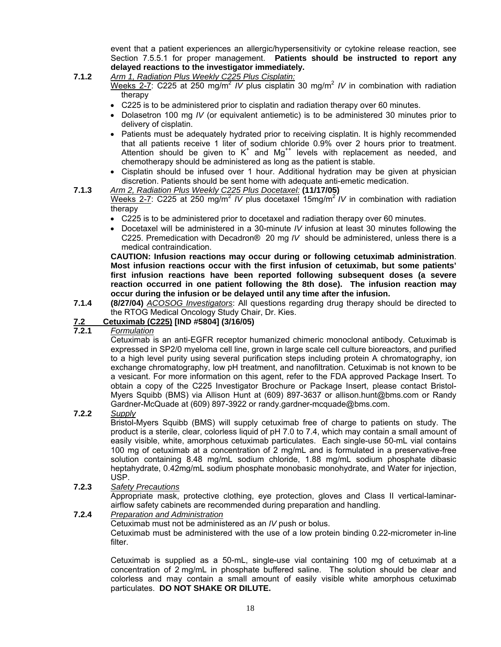event that a patient experiences an allergic/hypersensitivity or cytokine release reaction, see Section 7.5.5.1 for proper management. **Patients should be instructed to report any delayed reactions to the investigator immediately.** 

## **7.1.2** *Arm 1, Radiation Plus Weekly C225 Plus Cisplatin:*

Weeks 2-7: C225 at 250 mg/m<sup>2</sup> *IV* plus cisplatin 30 mg/m<sup>2</sup> *IV* in combination with radiation therapy

- C225 is to be administered prior to cisplatin and radiation therapy over 60 minutes.
- Dolasetron 100 mg *IV* (or equivalent antiemetic) is to be administered 30 minutes prior to delivery of cisplatin.
- Patients must be adequately hydrated prior to receiving cisplatin. It is highly recommended that all patients receive 1 liter of sodium chloride 0.9% over 2 hours prior to treatment. Attention should be given to  $K^+$  and  $Mg^{++}$  levels with replacement as needed, and chemotherapy should be administered as long as the patient is stable.
- Cisplatin should be infused over 1 hour. Additional hydration may be given at physician discretion. Patients should be sent home with adequate anti-emetic medication.

#### **7.1.3** *Arm 2, Radiation Plus Weekly C225 Plus Docetaxel:* **(11/17/05)**

Weeks 2-7: C225 at 250 mg/m<sup>2</sup> /V plus docetaxel 15mg/m<sup>2</sup>/V in combination with radiation therapy

- C225 is to be administered prior to docetaxel and radiation therapy over 60 minutes.
- Docetaxel will be administered in a 30-minute *IV* infusion at least 30 minutes following the C225. Premedication with Decadron® 20 mg *IV* should be administered, unless there is a medical contraindication.

**CAUTION: Infusion reactions may occur during or following cetuximab administration**. **Most infusion reactions occur with the first infusion of cetuximab, but some patients' first infusion reactions have been reported following subsequent doses (a severe reaction occurred in one patient following the 8th dose). The infusion reaction may occur during the infusion or be delayed until any time after the infusion.**

**7.1.4 (8/27/04)** *ACOSOG Investigators*: All questions regarding drug therapy should be directed to the RTOG Medical Oncology Study Chair, Dr. Kies.

#### **7.2 Cetuximab (C225) [IND #5804] (3/16/05)**

### **7.2.1** *Formulation*

Cetuximab is an anti-EGFR receptor humanized chimeric monoclonal antibody. Cetuximab is expressed in SP2/0 myeloma cell line, grown in large scale cell culture bioreactors, and purified to a high level purity using several purification steps including protein A chromatography, ion exchange chromatography, low pH treatment, and nanofiltration. Cetuximab is not known to be a vesicant. For more information on this agent, refer to the FDA approved Package Insert. To obtain a copy of the C225 Investigator Brochure or Package Insert, please contact Bristol-Myers Squibb (BMS) via Allison Hunt at (609) 897-3637 or allison[.hunt@bms.com or](mailto:hunt@bms.com) Randy Gardner-McQuade at (609) 897-3922 or randy.gardner-[mcquade@bms.com.](mailto:mcquade@bms.com) 

#### **7.2.2** *Supply*

Bristol-Myers Squibb (BMS) will supply cetuximab free of charge to patients on study. The product is a sterile, clear, colorless liquid of pH 7.0 to 7.4, which may contain a small amount of easily visible, white, amorphous cetuximab particulates. Each single-use 50-mL vial contains 100 mg of cetuximab at a concentration of 2 mg/mL and is formulated in a preservative-free solution containing 8.48 mg/mL sodium chloride, 1.88 mg/mL sodium phosphate dibasic heptahydrate, 0.42mg/mL sodium phosphate monobasic monohydrate, and Water for injection, USP.

#### **7.2.3** *Safety Precautions*

Appropriate mask, protective clothing, eye protection, gloves and Class II vertical-laminarairflow safety cabinets are recommended during preparation and handling.

#### **7.2.4** *Preparation and Administration*

Cetuximab must not be administered as an *IV* push or bolus.

Cetuximab must be administered with the use of a low protein binding 0.22-micrometer in-line filter.

Cetuximab is supplied as a 50-mL, single-use vial containing 100 mg of cetuximab at a concentration of 2 mg/mL in phosphate buffered saline. The solution should be clear and colorless and may contain a small amount of easily visible white amorphous cetuximab particulates. **DO NOT SHAKE OR DILUTE.**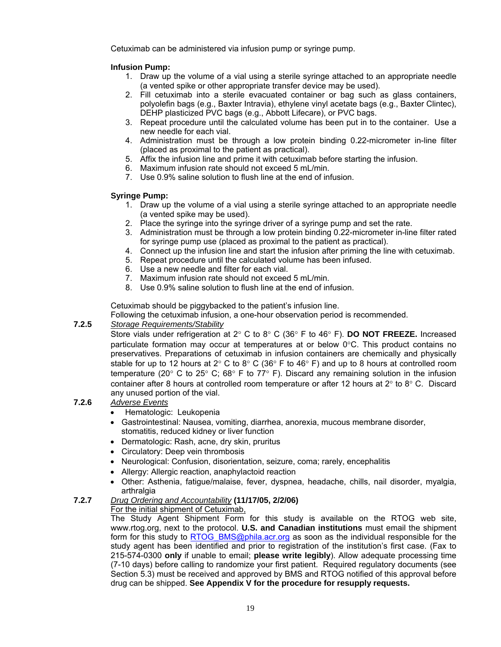Cetuximab can be administered via infusion pump or syringe pump.

#### **Infusion Pump:**

- 1. Draw up the volume of a vial using a sterile syringe attached to an appropriate needle (a vented spike or other appropriate transfer device may be used).
- 2. Fill cetuximab into a sterile evacuated container or bag such as glass containers, polyolefin bags (e.g., Baxter Intravia), ethylene vinyl acetate bags (e.g., Baxter Clintec), DEHP plasticized PVC bags (e.g., Abbott Lifecare), or PVC bags.
- 3. Repeat procedure until the calculated volume has been put in to the container. Use a new needle for each vial.
- 4. Administration must be through a low protein binding 0.22-micrometer in-line filter (placed as proximal to the patient as practical).
- 5. Affix the infusion line and prime it with cetuximab before starting the infusion.
- 6. Maximum infusion rate should not exceed 5 mL/min.
- 7. Use 0.9% saline solution to flush line at the end of infusion.

### **Syringe Pump:**

- 1. Draw up the volume of a vial using a sterile syringe attached to an appropriate needle (a vented spike may be used).
- 2. Place the syringe into the syringe driver of a syringe pump and set the rate.
- 3. Administration must be through a low protein binding 0.22-micrometer in-line filter rated for syringe pump use (placed as proximal to the patient as practical).
- 4. Connect up the infusion line and start the infusion after priming the line with cetuximab.
- 5. Repeat procedure until the calculated volume has been infused.
- 6. Use a new needle and filter for each vial.
- 7. Maximum infusion rate should not exceed 5 mL/min.
- 8. Use 0.9% saline solution to flush line at the end of infusion.

Cetuximab should be piggybacked to the patient's infusion line.

Following the cetuximab infusion, a one-hour observation period is recommended.

#### **7.2.5** *Storage Requirements/Stability*

Store vials under refrigeration at 2° C to 8° C (36° F to 46° F). **DO NOT FREEZE.** Increased particulate formation may occur at temperatures at or below 0°C. This product contains no preservatives. Preparations of cetuximab in infusion containers are chemically and physically stable for up to 12 hours at 2 $\degree$  C to 8 $\degree$  C (36 $\degree$  F to 46 $\degree$  F) and up to 8 hours at controlled room temperature (20 $\degree$  C to 25 $\degree$  C; 68 $\degree$  F to 77 $\degree$  F). Discard any remaining solution in the infusion container after 8 hours at controlled room temperature or after 12 hours at  $2^{\circ}$  to  $8^{\circ}$  C. Discard any unused portion of the vial.

#### **7.2.6** *Adverse Events*

- Hematologic: Leukopenia
- Gastrointestinal: Nausea, vomiting, diarrhea, anorexia, mucous membrane disorder, stomatitis, reduced kidney or liver function
- Dermatologic: Rash, acne, dry skin, pruritus
- Circulatory: Deep vein thrombosis
- Neurological: Confusion, disorientation, seizure, coma; rarely, encephalitis
- Allergy: Allergic reaction, anaphylactoid reaction
- Other: Asthenia, fatigue/malaise, fever, dyspnea, headache, chills, nail disorder, myalgia, arthralgia

### **7.2.7** *Drug Ordering and Accountability* **(11/17/05, 2/2/06)**

#### For the initial shipment of Cetuximab,

The Study Agent Shipment Form for this study is available on the RTOG web site, [www.rtog.org,](http://www.rtog.org) next to the protocol. **U.S. and Canadian institutions** must email the shipment form for this study to RTOG BMS@phila.acr.org as soon as the individual responsible for the study agent has been identified and prior to registration of the institution's first case. (Fax to 215-574-0300 **only** if unable to email; **please write legibly**). Allow adequate processing time (7-10 days) before calling to randomize your first patient. Required regulatory documents (see Section 5.3) must be received and approved by BMS and RTOG notified of this approval before drug can be shipped. **See Appendix V for the procedure for resupply requests.**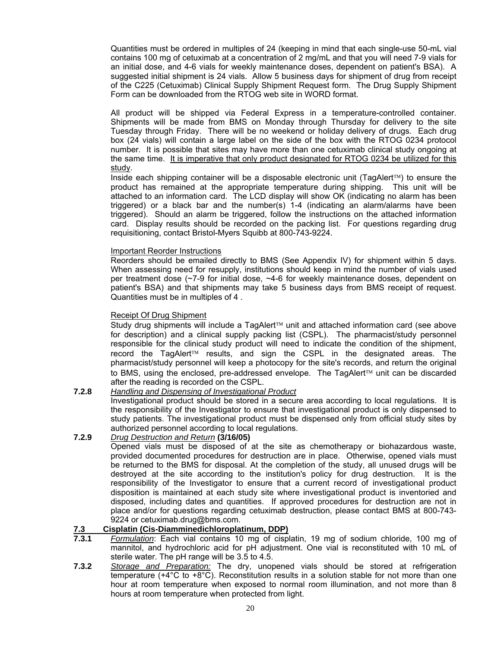Quantities must be ordered in multiples of 24 (keeping in mind that each single-use 50-mL vial contains 100 mg of cetuximab at a concentration of 2 mg/mL and that you will need 7-9 vials for an initial dose, and 4-6 vials for weekly maintenance doses, dependent on patient's BSA). A suggested initial shipment is 24 vials. Allow 5 business days for shipment of drug from receipt of the C225 (Cetuximab) Clinical Supply Shipment Request form. The Drug Supply Shipment Form can be downloaded from the RTOG web site in WORD format.

All product will be shipped via Federal Express in a temperature-controlled container. Shipments will be made from BMS on Monday through Thursday for delivery to the site Tuesday through Friday. There will be no weekend or holiday delivery of drugs. Each drug box (24 vials) will contain a large label on the side of the box with the RTOG 0234 protocol number. It is possible that sites may have more than one cetuximab clinical study ongoing at the same time. It is imperative that only product designated for RTOG 0234 be utilized for this study.

Inside each shipping container will be a disposable electronic unit (TagAlert™) to ensure the product has remained at the appropriate temperature during shipping. This unit will be attached to an information card. The LCD display will show OK (indicating no alarm has been triggered) or a black bar and the number(s) 1-4 (indicating an alarm/alarms have been triggered). Should an alarm be triggered, follow the instructions on the attached information card. Display results should be recorded on the packing list. For questions regarding drug requisitioning, contact Bristol-Myers Squibb at 800-743-9224.

#### Important Reorder Instructions

Reorders should be emailed directly to BMS (See Appendix IV) for shipment within 5 days. When assessing need for resupply, institutions should keep in mind the number of vials used per treatment dose (~7-9 for initial dose, ~4-6 for weekly maintenance doses, dependent on patient's BSA) and that shipments may take 5 business days from BMS receipt of request. Quantities must be in multiples of 4 .

#### Receipt Of Drug Shipment

 Study drug shipments will include a TagAlert™ unit and attached information card (see above for description) and a clinical supply packing list (CSPL). The pharmacist/study personnel responsible for the clinical study product will need to indicate the condition of the shipment, record the TagAlert<sup>™</sup> results, and sign the CSPL in the designated areas. The pharmacist/study personnel will keep a photocopy for the site's records, and return the original to BMS, using the enclosed, pre-addressed envelope. The TagAlert™ unit can be discarded after the reading is recorded on the CSPL.

#### **7.2.8** *Handling and Dispensing of Investigational Product*

Investigational product should be stored in a secure area according to local regulations. It is the responsibility of the Investigator to ensure that investigational product is only dispensed to study patients. The investigational product must be dispensed only from official study sites by authorized personnel according to local regulations.

#### **7.2.9** *Drug Destruction and Return* **(3/16/05)**

Opened vials must be disposed of at the site as chemotherapy or biohazardous waste, provided documented procedures for destruction are in place. Otherwise, opened vials must be returned to the BMS for disposal. At the completion of the study, all unused drugs will be destroyed at the site according to the institution's policy for drug destruction. It is the responsibility of the Investigator to ensure that a current record of investigational product disposition is maintained at each study site where investigational product is inventoried and disposed, including dates and quantities. If approved procedures for destruction are not in place and/or for questions regarding cetuximab destruction, please contact BMS at 800-743- 9224 or cetuximab.[drug@bms.com.](mailto:drug@bms.com)

## **7.3 Cisplatin (Cis-Diamminedichloroplatinum, DDP)**

- **7.3.1** *Formulation*: Each vial contains 10 mg of cisplatin, 19 mg of sodium chloride, 100 mg of mannitol, and hydrochloric acid for pH adjustment. One vial is reconstituted with 10 mL of sterile water. The pH range will be 3.5 to 4.5.
- **7.3.2** *Storage and Preparation:* The dry, unopened vials should be stored at refrigeration temperature  $(+4^{\circ}C \text{ to } +8^{\circ}C)$ . Reconstitution results in a solution stable for not more than one hour at room temperature when exposed to normal room illumination, and not more than 8 hours at room temperature when protected from light.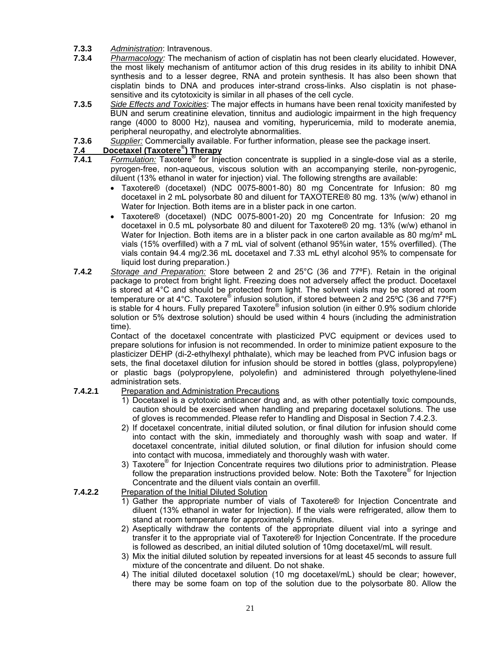- **7.3.3** *Administration*: Intravenous.
- **7.3.4** *Pharmacology:* The mechanism of action of cisplatin has not been clearly elucidated. However, the most likely mechanism of antitumor action of this drug resides in its ability to inhibit DNA synthesis and to a lesser degree, RNA and protein synthesis. It has also been shown that cisplatin binds to DNA and produces inter-strand cross-links. Also cisplatin is not phasesensitive and its cytotoxicity is similar in all phases of the cell cycle.
- **7.3.5** *Side Effects and Toxicities*: The major effects in humans have been renal toxicity manifested by BUN and serum creatinine elevation, tinnitus and audiologic impairment in the high frequency range (4000 to 8000 Hz), nausea and vomiting, hyperuricemia, mild to moderate anemia, peripheral neuropathy, and electrolyte abnormalities.
- **7.3.6** *Supplier:* Commercially available. For further information, please see the package insert.

## **7.4 Docetaxel (Taxotere® ) Therapy**

- **7.4.1** *Formulation:* Taxotere® for Injection concentrate is supplied in a single-dose vial as a sterile, pyrogen-free, non-aqueous, viscous solution with an accompanying sterile, non-pyrogenic, diluent (13% ethanol in water for injection) vial. The following strengths are available:
	- Taxotere® (docetaxel) (NDC 0075-8001-80) 80 mg Concentrate for Infusion: 80 mg docetaxel in 2 mL polysorbate 80 and diluent for TAXOTERE® 80 mg. 13% (w/w) ethanol in Water for Injection. Both items are in a blister pack in one carton.
	- Taxotere® (docetaxel) (NDC 0075-8001-20) 20 mg Concentrate for Infusion: 20 mg docetaxel in 0.5 mL polysorbate 80 and diluent for Taxotere® 20 mg. 13% (w/w) ethanol in Water for Injection. Both items are in a blister pack in one carton available as 80 mg/m<sup>2</sup> mL vials (15% overfilled) with a 7 mL vial of solvent (ethanol 95%in water, 15% overfilled). (The vials contain 94.4 mg/2.36 mL docetaxel and 7.33 mL ethyl alcohol 95% to compensate for liquid lost during preparation.)
- **7.4.2** *Storage and Preparation:* Store between 2 and 25°C (36 and 77ºF). Retain in the original package to protect from bright light. Freezing does not adversely affect the product. Docetaxel is stored at 4°C and should be protected from light. The solvent vials may be stored at room temperature or at 4°C. Taxotere® infusion solution, if stored between 2 and 25°C (36 and 77°F) is stable for 4 hours. Fully prepared Taxotere® infusion solution (in either 0.9% sodium chloride solution or 5% dextrose solution) should be used within 4 hours (including the administration time).

Contact of the docetaxel concentrate with plasticized PVC equipment or devices used to prepare solutions for infusion is not recommended. In order to minimize patient exposure to the plasticizer DEHP (di-2-ethylhexyl phthalate), which may be leached from PVC infusion bags or sets, the final docetaxel dilution for infusion should be stored in bottles (glass, polypropylene) or plastic bags (polypropylene, polyolefin) and administered through polyethylene-lined administration sets.

#### **7.4.2.1** Preparation and Administration Precautions

- 1) Docetaxel is a cytotoxic anticancer drug and, as with other potentially toxic compounds, caution should be exercised when handling and preparing docetaxel solutions. The use of gloves is recommended. Please refer to Handling and Disposal in Section 7.4.2.3.
- 2) If docetaxel concentrate, initial diluted solution, or final dilution for infusion should come into contact with the skin, immediately and thoroughly wash with soap and water. If docetaxel concentrate, initial diluted solution, or final dilution for infusion should come into contact with mucosa, immediately and thoroughly wash with water.
- 3) Taxotere® for Injection Concentrate requires two dilutions prior to administration. Please follow the preparation instructions provided below. Note: Both the Taxotere® for Injection Concentrate and the diluent vials contain an overfill.

#### **7.4.2.2** Preparation of the Initial Diluted Solution

- 1) Gather the appropriate number of vials of Taxotere® for Injection Concentrate and diluent (13% ethanol in water for Injection). If the vials were refrigerated, allow them to stand at room temperature for approximately 5 minutes.
- 2) Aseptically withdraw the contents of the appropriate diluent vial into a syringe and transfer it to the appropriate vial of Taxotere® for Injection Concentrate. If the procedure is followed as described, an initial diluted solution of 10mg docetaxel/mL will result.
- 3) Mix the initial diluted solution by repeated inversions for at least 45 seconds to assure full mixture of the concentrate and diluent. Do not shake.
- 4) The initial diluted docetaxel solution (10 mg docetaxel/mL) should be clear; however, there may be some foam on top of the solution due to the polysorbate 80. Allow the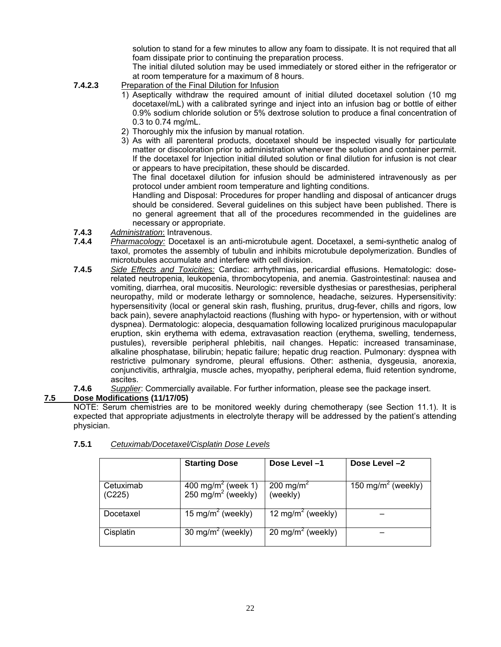solution to stand for a few minutes to allow any foam to dissipate. It is not required that all foam dissipate prior to continuing the preparation process.

 The initial diluted solution may be used immediately or stored either in the refrigerator or at room temperature for a maximum of 8 hours.

- **7.4.2.3** Preparation of the Final Dilution for Infusion
	- 1) Aseptically withdraw the required amount of initial diluted docetaxel solution (10 mg docetaxel/mL) with a calibrated syringe and inject into an infusion bag or bottle of either 0.9% sodium chloride solution or 5% dextrose solution to produce a final concentration of 0.3 to 0.74 mg/mL.
	- 2) Thoroughly mix the infusion by manual rotation.
	- 3) As with all parenteral products, docetaxel should be inspected visually for particulate matter or discoloration prior to administration whenever the solution and container permit. If the docetaxel for Injection initial diluted solution or final dilution for infusion is not clear or appears to have precipitation, these should be discarded.

The final docetaxel dilution for infusion should be administered intravenously as per protocol under ambient room temperature and lighting conditions.

Handling and Disposal: Procedures for proper handling and disposal of anticancer drugs should be considered. Several guidelines on this subject have been published. There is no general agreement that all of the procedures recommended in the guidelines are necessary or appropriate.

- **7.4.3** *Administration*: Intravenous.
- **7.4.4** *Pharmacology:* Docetaxel is an anti-microtubule agent. Docetaxel, a semi-synthetic analog of taxol, promotes the assembly of tubulin and inhibits microtubule depolymerization. Bundles of microtubules accumulate and interfere with cell division.
- **7.4.5** *Side Effects and Toxicities:* Cardiac: arrhythmias, pericardial effusions. Hematologic: doserelated neutropenia, leukopenia, thrombocytopenia, and anemia. Gastrointestinal: nausea and vomiting, diarrhea, oral mucositis. Neurologic: reversible dysthesias or paresthesias, peripheral neuropathy, mild or moderate lethargy or somnolence, headache, seizures. Hypersensitivity: hypersensitivity (local or general skin rash, flushing, pruritus, drug-fever, chills and rigors, low back pain), severe anaphylactoid reactions (flushing with hypo- or hypertension, with or without dyspnea). Dermatologic: alopecia, desquamation following localized pruriginous maculopapular eruption, skin erythema with edema, extravasation reaction (erythema, swelling, tenderness, pustules), reversible peripheral phlebitis, nail changes. Hepatic: increased transaminase, alkaline phosphatase, bilirubin; hepatic failure; hepatic drug reaction. Pulmonary: dyspnea with restrictive pulmonary syndrome, pleural effusions. Other: asthenia, dysgeusia, anorexia, conjunctivitis, arthralgia, muscle aches, myopathy, peripheral edema, fluid retention syndrome, ascites.
- **7.4.6** *Supplier*: Commercially available. For further information, please see the package insert.

#### **7.5 Dose Modifications (11/17/05)**

NOTE: Serum chemistries are to be monitored weekly during chemotherapy (see Section 11.1). It is expected that appropriate adjustments in electrolyte therapy will be addressed by the patient's attending physician.

|                     | <b>Starting Dose</b>                                             | Dose Level-1                      | Dose Level -2                  |
|---------------------|------------------------------------------------------------------|-----------------------------------|--------------------------------|
| Cetuximab<br>(C225) | 400 mg/m <sup>2</sup> (week 1)<br>250 mg/m <sup>2</sup> (weekly) | 200 mg/m <sup>2</sup><br>(weekly) | 150 mg/m <sup>2</sup> (weekly) |
| Docetaxel           | 15 mg/m <sup>2</sup> (weekly)                                    | 12 mg/m <sup>2</sup> (weekly)     |                                |
| Cisplatin           | 30 mg/m <sup>2</sup> (weekly)                                    | 20 mg/m <sup>2</sup> (weekly)     |                                |

#### **7.5.1** *Cetuximab/Docetaxel/Cisplatin Dose Levels*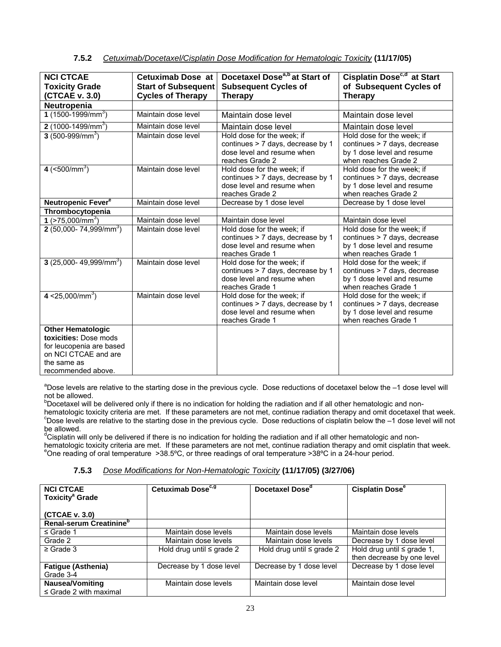| <b>NCI CTCAE</b><br><b>Toxicity Grade</b><br>(CTCAE v. 3.0)                                                                                | Cetuximab Dose at<br><b>Start of Subsequent</b><br><b>Cycles of Therapy</b> | Docetaxel Dose <sup>a,b</sup> at Start of<br><b>Subsequent Cycles of</b><br><b>Therapy</b>                       | Cisplatin Dose <sup>c,d</sup> at Start<br>of Subsequent Cycles of<br><b>Therapy</b>                              |
|--------------------------------------------------------------------------------------------------------------------------------------------|-----------------------------------------------------------------------------|------------------------------------------------------------------------------------------------------------------|------------------------------------------------------------------------------------------------------------------|
| Neutropenia                                                                                                                                |                                                                             |                                                                                                                  |                                                                                                                  |
| 1 (1500-1999/mm <sup>3</sup> )                                                                                                             | Maintain dose level                                                         | Maintain dose level                                                                                              | Maintain dose level                                                                                              |
| 2 (1000-1499/mm <sup>3</sup> )                                                                                                             | Maintain dose level                                                         | Maintain dose level                                                                                              | Maintain dose level                                                                                              |
| $3(500-999/mm^3)$                                                                                                                          | Maintain dose level                                                         | Hold dose for the week; if<br>continues > 7 days, decrease by 1<br>dose level and resume when<br>reaches Grade 2 | Hold dose for the week; if<br>continues > 7 days, decrease<br>by 1 dose level and resume<br>when reaches Grade 2 |
| 4 $(<$ 500/mm <sup>3</sup> )                                                                                                               | Maintain dose level                                                         | Hold dose for the week: if<br>continues > 7 days, decrease by 1<br>dose level and resume when<br>reaches Grade 2 | Hold dose for the week: if<br>continues > 7 days, decrease<br>by 1 dose level and resume<br>when reaches Grade 2 |
| Neutropenic Fever <sup>e</sup>                                                                                                             | Maintain dose level                                                         | Decrease by 1 dose level                                                                                         | Decrease by 1 dose level                                                                                         |
| Thrombocytopenia                                                                                                                           |                                                                             |                                                                                                                  |                                                                                                                  |
| 1 $($ >75,000/mm <sup>3</sup> )                                                                                                            | Maintain dose level                                                         | Maintain dose level                                                                                              | Maintain dose level                                                                                              |
| 2 (50,000- 74,999/mm <sup>3</sup> )                                                                                                        | Maintain dose level                                                         | Hold dose for the week; if<br>continues > 7 days, decrease by 1<br>dose level and resume when<br>reaches Grade 1 | Hold dose for the week: if<br>continues > 7 days, decrease<br>by 1 dose level and resume<br>when reaches Grade 1 |
| 3 (25,000-49,999/mm <sup>3</sup> )                                                                                                         | Maintain dose level                                                         | Hold dose for the week: if<br>continues > 7 days, decrease by 1<br>dose level and resume when<br>reaches Grade 1 | Hold dose for the week: if<br>continues > 7 days, decrease<br>by 1 dose level and resume<br>when reaches Grade 1 |
| 4 $<$ 25,000/mm <sup>3</sup> )                                                                                                             | Maintain dose level                                                         | Hold dose for the week: if<br>continues > 7 days, decrease by 1<br>dose level and resume when<br>reaches Grade 1 | Hold dose for the week: if<br>continues > 7 days, decrease<br>by 1 dose level and resume<br>when reaches Grade 1 |
| <b>Other Hematologic</b><br>toxicities: Dose mods<br>for leucopenia are based<br>on NCI CTCAE and are<br>the same as<br>recommended above. |                                                                             |                                                                                                                  |                                                                                                                  |

#### **7.5.2** *Cetuximab/Docetaxel/Cisplatin Dose Modification for Hematologic Toxicity* **(11/17/05)**

aDose levels are relative to the starting dose in the previous cycle. Dose reductions of docetaxel below the -1 dose level will not be allowed.

<sup>b</sup>Docetaxel will be delivered only if there is no indication for holding the radiation and if all other hematologic and nonhematologic toxicity criteria are met. If these parameters are not met, continue radiation therapy and omit docetaxel that week.  $^{\circ}$ Dose levels are relative to the starting dose in the previous cycle. Dose reductions of cisplatin below the  $-1$  dose level will not be allowed.

<sup>d</sup>Cisplatin will only be delivered if there is no indication for holding the radiation and if all other hematologic and nonhematologic toxicity criteria are met. If these parameters are not met, continue radiation therapy and omit cisplatin that week.<br><sup>e</sup>One reading of oral temperature >38.5ºC, or three readings of oral temperature >38ºC in

#### **7.5.3** *Dose Modifications for Non-Hematologic Toxicity* **(11/17/05) (3/27/06)**

| <b>NCI CTCAE</b><br><b>Toxicity<sup>ª</sup></b> Grade | Cetuximab Dose <sup>c, g</sup> | Docetaxel Dose <sup>a</sup>    | Cisplatin Dose <sup>e</sup>                                   |
|-------------------------------------------------------|--------------------------------|--------------------------------|---------------------------------------------------------------|
| (CTCAE v. 3.0)                                        |                                |                                |                                                               |
| Renal-serum Creatinine <sup>b</sup>                   |                                |                                |                                                               |
| $\leq$ Grade 1                                        | Maintain dose levels           | Maintain dose levels           | Maintain dose levels                                          |
| Grade 2                                               | Maintain dose levels           | Maintain dose levels           | Decrease by 1 dose level                                      |
| $\geq$ Grade 3                                        | Hold drug until $\leq$ grade 2 | Hold drug until $\leq$ grade 2 | Hold drug until $\leq$ grade 1,<br>then decrease by one level |
| <b>Fatigue (Asthenia)</b>                             | Decrease by 1 dose level       | Decrease by 1 dose level       | Decrease by 1 dose level                                      |
| Grade 3-4                                             |                                |                                |                                                               |
| <b>Nausea/Vomiting</b><br>$\leq$ Grade 2 with maximal | Maintain dose levels           | Maintain dose level            | Maintain dose level                                           |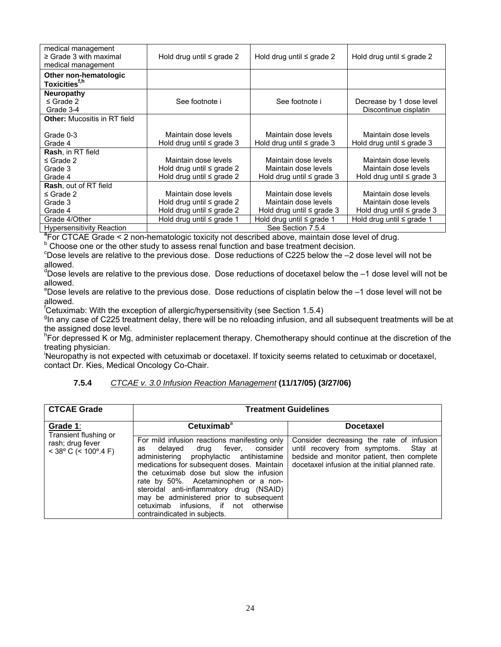| medical management<br>$\geq$ Grade 3 with maximal<br>medical management | Hold drug until $\leq$ grade 2                                                                            | Hold drug until $\leq$ grade 2 | Hold drug until $\le$ grade 2  |  |  |
|-------------------------------------------------------------------------|-----------------------------------------------------------------------------------------------------------|--------------------------------|--------------------------------|--|--|
| Other non-hematologic<br>Toxicities <sup>f,h</sup>                      |                                                                                                           |                                |                                |  |  |
|                                                                         |                                                                                                           |                                |                                |  |  |
| <b>Neuropathy</b><br>$\leq$ Grade 2                                     | See footnote i                                                                                            | See footnote i                 | Decrease by 1 dose level       |  |  |
| Grade 3-4                                                               |                                                                                                           |                                | Discontinue cisplatin          |  |  |
|                                                                         |                                                                                                           |                                |                                |  |  |
| <b>Other: Mucositis in RT field</b>                                     |                                                                                                           |                                |                                |  |  |
| Grade 0-3                                                               | Maintain dose levels                                                                                      | Maintain dose levels           | Maintain dose levels           |  |  |
| Grade 4                                                                 | Hold drug until $\leq$ grade 3                                                                            | Hold drug until $\leq$ grade 3 | Hold drug until $\leq$ grade 3 |  |  |
| <b>Rash, in RT field</b>                                                |                                                                                                           |                                |                                |  |  |
| $\leq$ Grade 2                                                          | Maintain dose levels                                                                                      | Maintain dose levels           | Maintain dose levels           |  |  |
| Grade 3                                                                 | Hold drug until $\leq$ grade 2                                                                            | Maintain dose levels           | Maintain dose levels           |  |  |
| Grade 4                                                                 | Hold drug until $\leq$ grade 2                                                                            | Hold drug until $\leq$ grade 3 | Hold drug until $\leq$ grade 3 |  |  |
| <b>Rash, out of RT field</b>                                            |                                                                                                           |                                |                                |  |  |
| $\leq$ Grade 2                                                          | Maintain dose levels                                                                                      | Maintain dose levels           | Maintain dose levels           |  |  |
| Grade 3                                                                 | Hold drug until $\leq$ grade 2                                                                            | Maintain dose levels           | Maintain dose levels           |  |  |
| Grade 4                                                                 | Hold drug until $\leq$ grade 2                                                                            | Hold drug until $\leq$ grade 3 | Hold drug until $\leq$ grade 3 |  |  |
| Grade 4/Other                                                           | Hold drug until $\leq$ grade 1                                                                            | Hold drug until ≤ grade 1      | Hold drug until $\leq$ grade 1 |  |  |
| <b>Hypersensitivity Reaction</b>                                        | See Section 7.5.4                                                                                         |                                |                                |  |  |
|                                                                         | <sup>a</sup> Lex CICAL Crede < 2 non hometologic tovicity not described above maintain deep loyal of drug |                                |                                |  |  |

 ${}^{a}$ For CTCAE Grade < 2 non-hematologic toxicity not described above, maintain dose level of drug.<br><sup>b</sup> Choose ans ar the other study to assess renal function and base tractment decision.

 $^{\circ}$  Choose one or the other study to assess renal function and base treatment decision.<br> $^{\circ}$ Dese lovels are relative to the provisive dase. Dese reductions of C225 below the 2.4

 $°$ Dose levels are relative to the previous dose. Dose reductions of C225 below the  $-2$  dose level will not be allowed.

<sup>d</sup>Dose levels are relative to the previous dose. Dose reductions of docetaxel below the -1 dose level will not be allowed.

e Dose levels are relative to the previous dose. Dose reductions of cisplatin below the –1 dose level will not be allowed.

<sup>f</sup>Cetuximab: With the exception of allergic/hypersensitivity (see Section 1.5.4)

<sup>g</sup>In any case of C225 treatment delay, there will be no reloading infusion, and all subsequent treatments will be at the assigned dose level.

<sup>h</sup>For depressed K or Mg, administer replacement therapy. Chemotherapy should continue at the discretion of the treating physician.

i Neuropathy is not expected with cetuximab or docetaxel. If toxicity seems related to cetuximab or docetaxel, contact Dr. Kies, Medical Oncology Co-Chair.

#### **7.5.4** *CTCAE v. 3.0 Infusion Reaction Management* **(11/17/05) (3/27/06)**

| <b>CTCAE Grade</b>                         | <b>Treatment Guidelines</b>                                                                                                                                                                                                                                                                                                                                                                                                         |                                                                                                                                                                                       |
|--------------------------------------------|-------------------------------------------------------------------------------------------------------------------------------------------------------------------------------------------------------------------------------------------------------------------------------------------------------------------------------------------------------------------------------------------------------------------------------------|---------------------------------------------------------------------------------------------------------------------------------------------------------------------------------------|
| Grade 1:<br>Transient flushing or          | Cetuximab <sup>a</sup>                                                                                                                                                                                                                                                                                                                                                                                                              | <b>Docetaxel</b>                                                                                                                                                                      |
| rash; drug fever<br>$<$ 38° C (< 100°.4 F) | For mild infusion reactions manifesting only<br>delaved<br>drug fever, consider<br>as<br>administering prophylactic antihistamine<br>medications for subsequent doses. Maintain<br>the cetuximab dose but slow the infusion<br>rate by 50%. Acetaminophen or a non-<br>steroidal anti-inflammatory drug (NSAID)<br>may be administered prior to subsequent<br>cetuximab infusions, if not otherwise<br>contraindicated in subjects. | Consider decreasing the rate of infusion<br>until recovery from symptoms.<br>Stav at<br>bedside and monitor patient, then complete<br>docetaxel infusion at the initial planned rate. |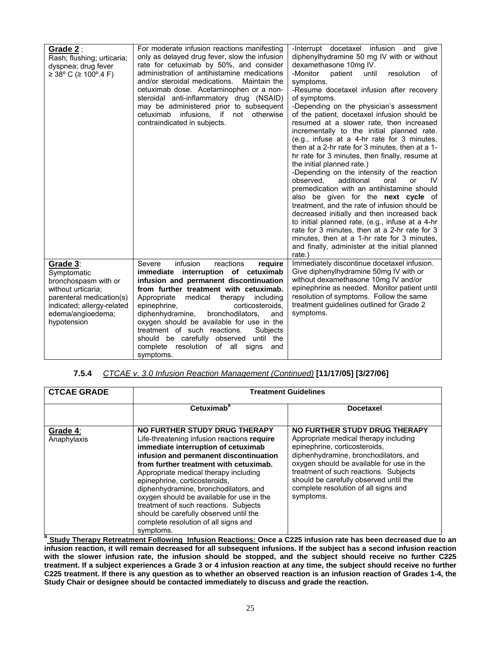| Grade $2:$<br>Rash; flushing; urticaria;<br>dyspnea; drug fever<br>$≥ 38°$ C (≥ 100°.4 F)                                                                           | For moderate infusion reactions manifesting<br>only as delayed drug fever, slow the infusion<br>rate for cetuximab by 50%, and consider<br>administration of antihistamine medications<br>and/or steroidal medications.<br>Maintain the<br>cetuximab dose. Acetaminophen or a non-<br>steroidal anti-inflammatory drug (NSAID)<br>may be administered prior to subsequent<br>cetuximab<br>infusions, if not<br>otherwise<br>contraindicated in subjects.                                        | -Interrupt docetaxel infusion and give<br>diphenylhydramine 50 mg IV with or without<br>dexamethasone 10mg IV.<br>-Monitor<br>patient<br>until<br>resolution<br>οf<br>symptoms.<br>-Resume docetaxel infusion after recovery<br>of symptoms.<br>-Depending on the physician's assessment<br>of the patient, docetaxel infusion should be<br>resumed at a slower rate, then increased<br>incrementally to the initial planned rate.<br>(e.g., infuse at a 4-hr rate for 3 minutes,<br>then at a 2-hr rate for 3 minutes, then at a 1-<br>hr rate for 3 minutes, then finally, resume at<br>the initial planned rate.)<br>-Depending on the intensity of the reaction<br>additional<br>observed.<br>oral<br>IV<br>or<br>premedication with an antihistamine should<br>also be given for the next cycle of<br>treatment, and the rate of infusion should be<br>decreased initially and then increased back<br>to initial planned rate, (e.g., infuse at a 4-hr<br>rate for 3 minutes, then at a 2-hr rate for 3<br>minutes, then at a 1-hr rate for 3 minutes,<br>and finally, administer at the initial planned<br>rate.) |
|---------------------------------------------------------------------------------------------------------------------------------------------------------------------|-------------------------------------------------------------------------------------------------------------------------------------------------------------------------------------------------------------------------------------------------------------------------------------------------------------------------------------------------------------------------------------------------------------------------------------------------------------------------------------------------|-------------------------------------------------------------------------------------------------------------------------------------------------------------------------------------------------------------------------------------------------------------------------------------------------------------------------------------------------------------------------------------------------------------------------------------------------------------------------------------------------------------------------------------------------------------------------------------------------------------------------------------------------------------------------------------------------------------------------------------------------------------------------------------------------------------------------------------------------------------------------------------------------------------------------------------------------------------------------------------------------------------------------------------------------------------------------------------------------------------------------|
| Grade 3:<br>Symptomatic<br>bronchospasm with or<br>without urticaria;<br>parenteral medication(s)<br>indicated; allergy-related<br>edema/angioedema;<br>hypotension | infusion<br>reactions<br>Severe<br>require<br>immediate interruption of cetuximab<br>infusion and permanent discontinuation<br>from further treatment with cetuximab.<br>Appropriate<br>medical therapy including<br>corticosteroids.<br>epinephrine,<br>diphenhydramine,<br>bronchodilators,<br>and<br>oxygen should be available for use in the<br>treatment of such reactions.<br>Subjects<br>should be carefully observed until the<br>complete resolution of all signs<br>and<br>symptoms. | Immediately discontinue docetaxel infusion.<br>Give diphenylhydramine 50mg IV with or<br>without dexamethasone 10mg IV and/or<br>epinephrine as needed. Monitor patient until<br>resolution of symptoms. Follow the same<br>treatment guidelines outlined for Grade 2<br>symptoms.                                                                                                                                                                                                                                                                                                                                                                                                                                                                                                                                                                                                                                                                                                                                                                                                                                      |

#### **7.5.4** *CTCAE v. 3.0 Infusion Reaction Management (Continued)* **[11/17/05] [3/27/06]**

| <b>CTCAE GRADE</b>      | <b>Treatment Guidelines</b>                                                                                                                                                                                                                                                                                                                                                                                                                                                                                     |                                                                                                                                                                                                                                                                                                                                       |  |  |  |
|-------------------------|-----------------------------------------------------------------------------------------------------------------------------------------------------------------------------------------------------------------------------------------------------------------------------------------------------------------------------------------------------------------------------------------------------------------------------------------------------------------------------------------------------------------|---------------------------------------------------------------------------------------------------------------------------------------------------------------------------------------------------------------------------------------------------------------------------------------------------------------------------------------|--|--|--|
|                         | Cetuximab <sup>a</sup>                                                                                                                                                                                                                                                                                                                                                                                                                                                                                          | <b>Docetaxel</b>                                                                                                                                                                                                                                                                                                                      |  |  |  |
| Grade 4:<br>Anaphylaxis | NO FURTHER STUDY DRUG THERAPY<br>Life-threatening infusion reactions require<br>immediate interruption of cetuximab<br>infusion and permanent discontinuation<br>from further treatment with cetuximab.<br>Appropriate medical therapy including<br>epinephrine, corticosteroids,<br>diphenhydramine, bronchodilators, and<br>oxygen should be available for use in the<br>treatment of such reactions. Subjects<br>should be carefully observed until the<br>complete resolution of all signs and<br>symptoms. | NO FURTHER STUDY DRUG THERAPY<br>Appropriate medical therapy including<br>epinephrine, corticosteroids,<br>diphenhydramine, bronchodilators, and<br>oxygen should be available for use in the<br>treatment of such reactions. Subjects<br>should be carefully observed until the<br>complete resolution of all signs and<br>symptoms. |  |  |  |

**<sup>a</sup> Study Therapy Retreatment Following Infusion Reactions: Once a C225 infusion rate has been decreased due to an infusion reaction, it will remain decreased for all subsequent infusions. If the subject has a second infusion reaction with the slower infusion rate, the infusion should be stopped, and the subject should receive no further C225 treatment. If a subject experiences a Grade 3 or 4 infusion reaction at any time, the subject should receive no further C225 treatment. If there is any question as to whether an observed reaction is an infusion reaction of Grades 1-4, the Study Chair or designee should be contacted immediately to discuss and grade the reaction.**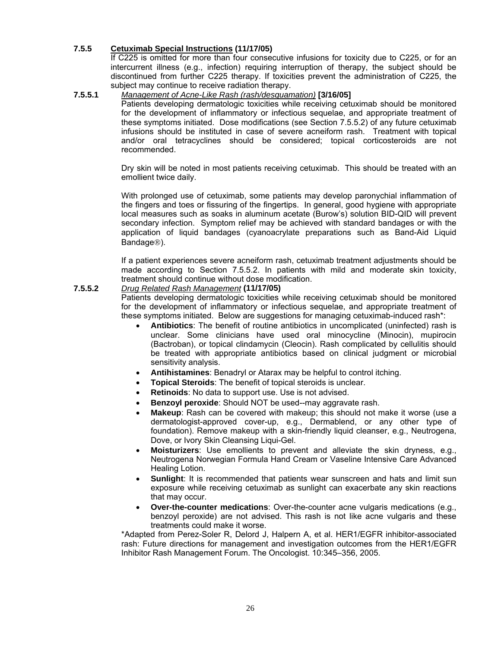#### **7.5.5 Cetuximab Special Instructions (11/17/05)**

If C225 is omitted for more than four consecutive infusions for toxicity due to C225, or for an intercurrent illness (e.g., infection) requiring interruption of therapy, the subject should be discontinued from further C225 therapy. If toxicities prevent the administration of C225, the subject may continue to receive radiation therapy.

#### **7.5.5.1** *Management of Acne-Like Rash (rash/desquamation)* **[3/16/05]**

Patients developing dermatologic toxicities while receiving cetuximab should be monitored for the development of inflammatory or infectious sequelae, and appropriate treatment of these symptoms initiated. Dose modifications (see Section 7.5.5.2) of any future cetuximab infusions should be instituted in case of severe acneiform rash. Treatment with topical and/or oral tetracyclines should be considered; topical corticosteroids are not recommended.

Dry skin will be noted in most patients receiving cetuximab. This should be treated with an emollient twice daily.

With prolonged use of cetuximab, some patients may develop paronychial inflammation of the fingers and toes or fissuring of the fingertips. In general, good hygiene with appropriate local measures such as soaks in aluminum acetate (Burow's) solution BID-QID will prevent secondary infection. Symptom relief may be achieved with standard bandages or with the application of liquid bandages (cyanoacrylate preparations such as Band-Aid Liquid Bandage®).

If a patient experiences severe acneiform rash, cetuximab treatment adjustments should be made according to Section 7.5.5.2. In patients with mild and moderate skin toxicity, treatment should continue without dose modification.

#### **7.5.5.2** *Drug Related Rash Management* **(11/17/05)**

Patients developing dermatologic toxicities while receiving cetuximab should be monitored for the development of inflammatory or infectious sequelae, and appropriate treatment of these symptoms initiated. Below are suggestions for managing cetuximab-induced rash\*:

- **Antibiotics**: The benefit of routine antibiotics in uncomplicated (uninfected) rash is unclear. Some clinicians have used oral minocycline (Minocin), mupirocin (Bactroban), or topical clindamycin (Cleocin). Rash complicated by cellulitis should be treated with appropriate antibiotics based on clinical judgment or microbial sensitivity analysis.
- **Antihistamines**: Benadryl or Atarax may be helpful to control itching.
- **Topical Steroids**: The benefit of topical steroids is unclear.
- **Retinoids:** No data to support use. Use is not advised.
- **Benzoyl peroxide:** Should NOT be used--may aggravate rash.
- **Makeup**: Rash can be covered with makeup; this should not make it worse (use a dermatologist-approved cover-up, e.g., Dermablend, or any other type of foundation). Remove makeup with a skin-friendly liquid cleanser, e.g., Neutrogena, Dove, or Ivory Skin Cleansing Liqui-Gel.
- **Moisturizers**: Use emollients to prevent and alleviate the skin dryness, e.g., Neutrogena Norwegian Formula Hand Cream or Vaseline Intensive Care Advanced Healing Lotion.
- **Sunlight**: It is recommended that patients wear sunscreen and hats and limit sun exposure while receiving cetuximab as sunlight can exacerbate any skin reactions that may occur.
- **Over-the-counter medications**: Over-the-counter acne vulgaris medications (e.g., benzoyl peroxide) are not advised. This rash is not like acne vulgaris and these treatments could make it worse.

\*Adapted from Perez-Soler R, Delord J, Halpern A, et al. HER1/EGFR inhibitor-associated rash: Future directions for management and investigation outcomes from the HER1/EGFR Inhibitor Rash Management Forum. The Oncologist. 10:345–356, 2005.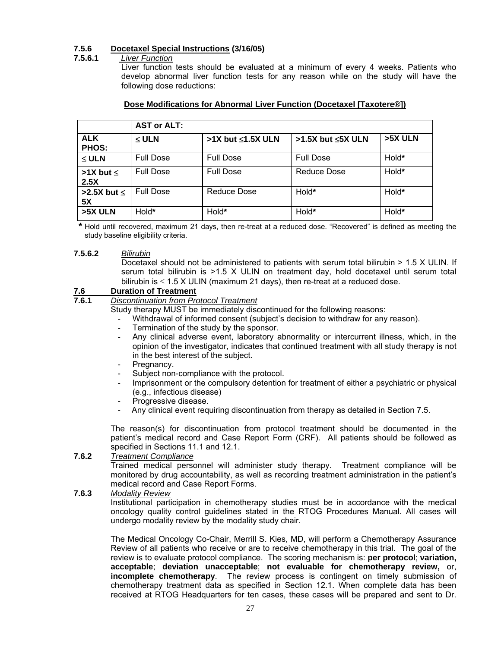#### **7.5.6 Docetaxel Special Instructions (3/16/05)**

#### **7.5.6.1** *Liver Function*

Liver function tests should be evaluated at a minimum of every 4 weeks. Patients who develop abnormal liver function tests for any reason while on the study will have the following dose reductions:

|                            | <b>AST or ALT:</b> |                           |                           |         |
|----------------------------|--------------------|---------------------------|---------------------------|---------|
| <b>ALK</b><br><b>PHOS:</b> | $\leq$ ULN         | $>1X$ but $\leq 1.5X$ ULN | $>1.5X$ but $\leq 5X$ ULN | >5X ULN |
| $\leq$ ULN                 | <b>Full Dose</b>   | <b>Full Dose</b>          | <b>Full Dose</b>          | Hold*   |
| $>1X$ but $\leq$<br>2.5X   | <b>Full Dose</b>   | <b>Full Dose</b>          | Reduce Dose               | Hold*   |
| >2.5X but $\le$<br>5X      | <b>Full Dose</b>   | Reduce Dose               | Hold*                     | Hold*   |
| >5X ULN                    | Hold*              | Hold*                     | Hold*                     | Hold*   |

#### **Dose Modifications for Abnormal Liver Function (Docetaxel [Taxotere®])**

 **\*** Hold until recovered, maximum 21 days, then re-treat at a reduced dose. "Recovered" is defined as meeting the study baseline eligibility criteria.

#### **7.5.6.2** *Bilirubin*

Docetaxel should not be administered to patients with serum total bilirubin > 1.5 X ULIN. If serum total bilirubin is >1.5 X ULIN on treatment day, hold docetaxel until serum total bilirubin is  $\leq 1.5$  X ULIN (maximum 21 days), then re-treat at a reduced dose.

#### **7.6 Duration of Treatment**

**7.6.1** *Discontinuation from Protocol Treatment*

Study therapy MUST be immediately discontinued for the following reasons:

- Withdrawal of informed consent (subject's decision to withdraw for any reason).
- Termination of the study by the sponsor.
- Any clinical adverse event, laboratory abnormality or intercurrent illness, which, in the opinion of the investigator, indicates that continued treatment with all study therapy is not in the best interest of the subject.
- Pregnancy.
- Subject non-compliance with the protocol.
- Imprisonment or the compulsory detention for treatment of either a psychiatric or physical (e.g., infectious disease)
- Progressive disease.
- Any clinical event requiring discontinuation from therapy as detailed in Section 7.5.

The reason(s) for discontinuation from protocol treatment should be documented in the patient's medical record and Case Report Form (CRF). All patients should be followed as specified in Sections 11.1 and 12.1.

#### **7.6.2** *Treatment Compliance*

Trained medical personnel will administer study therapy. Treatment compliance will be monitored by drug accountability, as well as recording treatment administration in the patient's medical record and Case Report Forms.

#### **7.6.3** *Modality Review*

Institutional participation in chemotherapy studies must be in accordance with the medical oncology quality control guidelines stated in the RTOG Procedures Manual. All cases will undergo modality review by the modality study chair.

The Medical Oncology Co-Chair, Merrill S. Kies, MD, will perform a Chemotherapy Assurance Review of all patients who receive or are to receive chemotherapy in this trial. The goal of the review is to evaluate protocol compliance. The scoring mechanism is: **per protocol**; **variation, acceptable**; **deviation unacceptable**; **not evaluable for chemotherapy review,** or, **incomplete chemotherapy**. The review process is contingent on timely submission of chemotherapy treatment data as specified in Section 12.1. When complete data has been received at RTOG Headquarters for ten cases, these cases will be prepared and sent to Dr.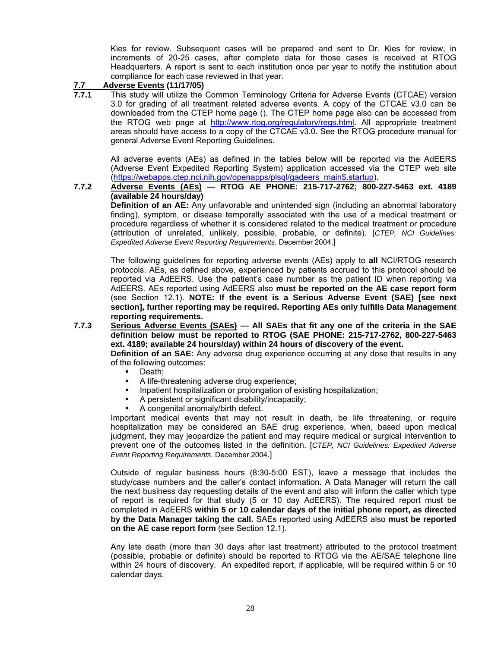Kies for review. Subsequent cases will be prepared and sent to Dr. Kies for review, in increments of 20-25 cases, after complete data for those cases is received at RTOG Headquarters. A report is sent to each institution once per year to notify the institution about compliance for each case reviewed in that year.

## **7.7 Adverse Events (11/17/05)**

**7.7.1** This study will utilize the Common Terminology Criteria for Adverse Events (CTCAE) version 3.0 for grading of all treatment related adverse events. A copy of the CTCAE v3.0 can be downloaded from the CTEP home page (). The CTEP home page also can be accessed from the RTOG web page at [http://www.rtog.org/regulatory/regs.html.](http://www.rtog.org/regulatory/regs.html) All appropriate treatment areas should have access to a copy of the CTCAE v3.0. See the RTOG procedure manual for general Adverse Event Reporting Guidelines.

All adverse events (AEs) as defined in the tables below will be reported via the AdEERS (Adverse Event Expedited Reporting System) application accessed via the CTEP web site ([https://webapps.ctep.nci.nih.gov/openapps/plsql/gadeers\\_main\\$.startup](https://webapps.ctep.nci.nih.gov/openapps/plsql/gadeers_main$.startup)).

#### **7.7.2 Adverse Events (AEs) — RTOG AE PHONE: 215-717-2762; 800-227-5463 ext. 4189 (available 24 hours/day)**

**Definition of an AE:** Any unfavorable and unintended sign (including an abnormal laboratory finding), symptom, or disease temporally associated with the use of a medical treatment or procedure regardless of whether it is considered related to the medical treatment or procedure (attribution of unrelated, unlikely, possible, probable, or definite). [*CTEP, NCI Guidelines: Expedited Adverse Event Reporting Requirements*. December 2004.]

The following guidelines for reporting adverse events (AEs) apply to **all** NCI/RTOG research protocols. AEs, as defined above, experienced by patients accrued to this protocol should be reported via AdEERS. Use the patient's case number as the patient ID when reporting via AdEERS. AEs reported using AdEERS also **must be reported on the AE case report form** (see Section 12.1). **NOTE: If the event is a Serious Adverse Event (SAE) [see next section], further reporting may be required. Reporting AEs only fulfills Data Management reporting requirements.** 

**7.7.3 Serious Adverse Events (SAEs) — All SAEs that fit any one of the criteria in the SAE definition below must be reported to RTOG (SAE PHONE: 215-717-2762, 800-227-5463 ext. 4189; available 24 hours/day) within 24 hours of discovery of the event. Definition of an SAE:** Any adverse drug experience occurring at any dose that results in any

of the following outcomes:

- Death;
- A life-threatening adverse drug experience;
- Inpatient hospitalization or prolongation of existing hospitalization;
- A persistent or significant disability/incapacity;
- A congenital anomaly/birth defect.

Important medical events that may not result in death, be life threatening, or require hospitalization may be considered an SAE drug experience, when, based upon medical judgment, they may jeopardize the patient and may require medical or surgical intervention to prevent one of the outcomes listed in the definition. [*CTEP, NCI Guidelines: Expedited Adverse Event Reporting Requirements*. December 2004.]

Outside of regular business hours (8:30-5:00 EST), leave a message that includes the study/case numbers and the caller's contact information. A Data Manager will return the call the next business day requesting details of the event and also will inform the caller which type of report is required for that study (5 or 10 day AdEERS). The required report must be completed in AdEERS **within 5 or 10 calendar days of the initial phone report, as directed by the Data Manager taking the call.** SAEs reported using AdEERS also **must be reported on the AE case report form** (see Section 12.1).

Any late death (more than 30 days after last treatment) attributed to the protocol treatment (possible, probable or definite) should be reported to RTOG via the AE/SAE telephone line within 24 hours of discovery. An expedited report, if applicable, will be required within 5 or 10 calendar days.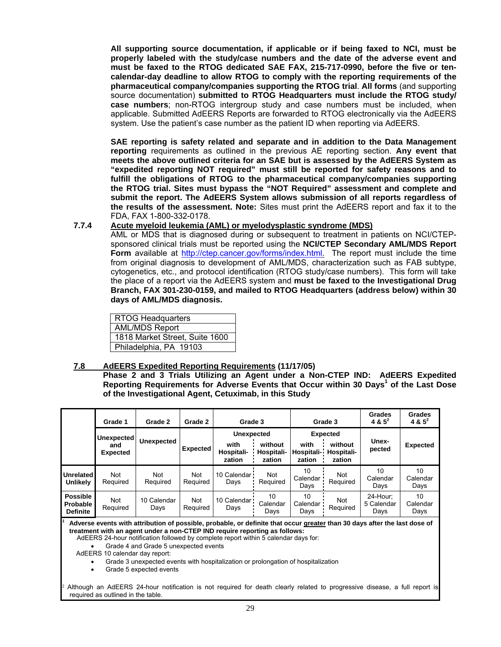**All supporting source documentation, if applicable or if being faxed to NCI, must be properly labeled with the study/case numbers and the date of the adverse event and must be faxed to the RTOG dedicated SAE FAX, 215-717-0990, before the five or tencalendar-day deadline to allow RTOG to comply with the reporting requirements of the pharmaceutical company/companies supporting the RTOG trial**. **All forms** (and supporting source documentation) **submitted to RTOG Headquarters must include the RTOG study/ case numbers**; non-RTOG intergroup study and case numbers must be included, when applicable. Submitted AdEERS Reports are forwarded to RTOG electronically via the AdEERS system. Use the patient's case number as the patient ID when reporting via AdEERS.

**SAE reporting is safety related and separate and in addition to the Data Management reporting** requirements as outlined in the previous AE reporting section. **Any event that meets the above outlined criteria for an SAE but is assessed by the AdEERS System as "expedited reporting NOT required" must still be reported for safety reasons and to fulfill the obligations of RTOG to the pharmaceutical company/companies supporting the RTOG trial. Sites must bypass the "NOT Required" assessment and complete and submit the report. The AdEERS System allows submission of all reports regardless of the results of the assessment. Note:** Sites must print the AdEERS report and fax it to the FDA, FAX 1-800-332-0178.

#### **7.7.4 Acute myeloid leukemia (AML) or myelodysplastic syndrome (MDS)**

AML or MDS that is diagnosed during or subsequent to treatment in patients on NCI/CTEPsponsored clinical trials must be reported using the **NCI/CTEP Secondary AML/MDS Report Form** available at [http://ctep.cancer.gov/forms/index.html.](http://ctep.cancer.gov/forms/index.html) The report must include the time from original diagnosis to development of AML/MDS, characterization such as FAB subtype, cytogenetics, etc., and protocol identification (RTOG study/case numbers). This form will take the place of a report via the AdEERS system and **must be faxed to the Investigational Drug Branch, FAX 301-230-0159, and mailed to RTOG Headquarters (address below) within 30 days of AML/MDS diagnosis.**

RTOG Headquarters AML/MDS Report 1818 Market Street, Suite 1600 Philadelphia, PA 19103

required as outlined in the table.

#### **7.8 AdEERS Expedited Reporting Requirements (11/17/05)**

**Phase 2 and 3 Trials Utilizing an Agent under a Non-CTEP IND: AdEERS Expedited Reporting Requirements for Adverse Events that Occur within 30 Days<sup>1</sup> of the Last Dose of the Investigational Agent, Cetuximab, in this Study** 

|                                                                                                                                                                                                                                                                                                                                                                                                                                                                                                                                                                                                                                                   | Grade 1                | Grade 2             | Grade 2         | Grade 3                          |                                 | Grade 3                      |                                 | <b>Grades</b><br>4 & $5^2$     | <b>Grades</b><br>4 & $5^2$ |
|---------------------------------------------------------------------------------------------------------------------------------------------------------------------------------------------------------------------------------------------------------------------------------------------------------------------------------------------------------------------------------------------------------------------------------------------------------------------------------------------------------------------------------------------------------------------------------------------------------------------------------------------------|------------------------|---------------------|-----------------|----------------------------------|---------------------------------|------------------------------|---------------------------------|--------------------------------|----------------------------|
|                                                                                                                                                                                                                                                                                                                                                                                                                                                                                                                                                                                                                                                   | Unexpected             |                     |                 | <b>Unexpected</b>                |                                 |                              | <b>Expected</b>                 |                                |                            |
|                                                                                                                                                                                                                                                                                                                                                                                                                                                                                                                                                                                                                                                   | and<br><b>Expected</b> | <b>Unexpected</b>   | <b>Expected</b> | with<br>Hospitali-<br>zation     | without<br>Hospitali-<br>zation | with<br>Hospitali-<br>zation | without<br>Hospitali-<br>zation | Unex-<br>pected                | <b>Expected</b>            |
| <b>Unrelated</b><br><b>Unlikely</b>                                                                                                                                                                                                                                                                                                                                                                                                                                                                                                                                                                                                               | Not<br>Required        | Not<br>Required     | Not<br>Required | 10 Calendar <sup>1</sup><br>Days | Not<br>Required                 | 10<br>Calendar<br>Days       | Not<br>Required                 | 10<br>Calendar<br>Days         | 10<br>Calendar<br>Days     |
| <b>Possible</b><br><b>Probable</b><br><b>Definite</b>                                                                                                                                                                                                                                                                                                                                                                                                                                                                                                                                                                                             | Not<br>Required        | 10 Calendar<br>Days | Not<br>Required | 10 Calendar<br>Days              | 10<br>Calendar<br>Days          | 10<br>Calendar<br>Days       | Not<br>Required                 | 24-Hour:<br>5 Calendar<br>Days | 10<br>Calendar<br>Days     |
| Adverse events with attribution of possible, probable, or definite that occur greater than 30 days after the last dose of<br>treatment with an agent under a non-CTEP IND require reporting as follows:<br>AdEERS 24-hour notification followed by complete report within 5 calendar days for:<br>Grade 4 and Grade 5 unexpected events<br>AdEERS 10 calendar day report:<br>Grade 3 unexpected events with hospitalization or prolongation of hospitalization<br>Grade 5 expected events<br>$\bullet$<br><sup>2</sup> Although an AdEERS 24-hour notification is not required for death clearly related to progressive disease, a full report is |                        |                     |                 |                                  |                                 |                              |                                 |                                |                            |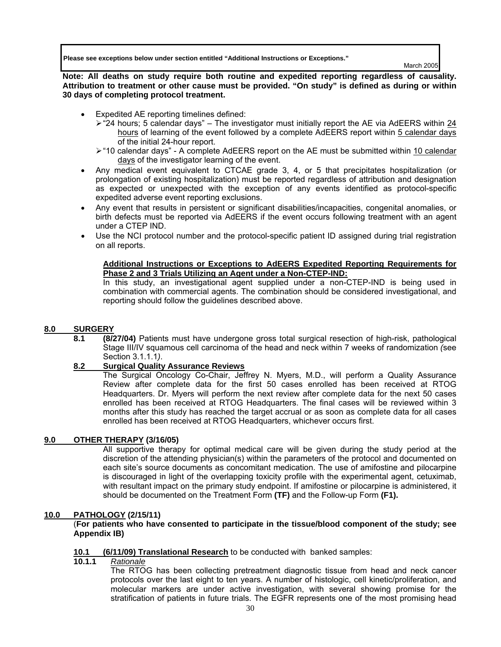**Please see exceptions below under section entitled "Additional Instructions or Exceptions."** 

March 2005

**Note: All deaths on study require both routine and expedited reporting regardless of causality. Attribution to treatment or other cause must be provided. "On study" is defined as during or within 30 days of completing protocol treatment.** 

- Expedited AE reporting timelines defined:
	- $\ge$  "24 hours; 5 calendar days" The investigator must initially report the AE via AdEERS within 24 hours of learning of the event followed by a complete AdEERS report within 5 calendar days of the initial 24-hour report.
	- ¾ "10 calendar days" A complete AdEERS report on the AE must be submitted within 10 calendar days of the investigator learning of the event.
- Any medical event equivalent to CTCAE grade 3, 4, or 5 that precipitates hospitalization (or prolongation of existing hospitalization) must be reported regardless of attribution and designation as expected or unexpected with the exception of any events identified as protocol-specific expedited adverse event reporting exclusions.
- Any event that results in persistent or significant disabilities/incapacities, congenital anomalies, or birth defects must be reported via AdEERS if the event occurs following treatment with an agent under a CTEP IND.
- Use the NCI protocol number and the protocol-specific patient ID assigned during trial registration on all reports.

#### **Additional Instructions or Exceptions to AdEERS Expedited Reporting Requirements for Phase 2 and 3 Trials Utilizing an Agent under a Non-CTEP-IND:**

In this study, an investigational agent supplied under a non-CTEP-IND is being used in combination with commercial agents. The combination should be considered investigational, and reporting should follow the guidelines described above.

#### **8.0 SURGERY**

**8.1 (8/27/04)** Patients must have undergone gross total surgical resection of high-risk, pathological Stage III/IV squamous cell carcinoma of the head and neck within 7 weeks of randomization *(*see Section 3.1.1.1*)*.

#### **8.2 Surgical Quality Assurance Reviews**

The Surgical Oncology Co-Chair, Jeffrey N. Myers, M.D., will perform a Quality Assurance Review after complete data for the first 50 cases enrolled has been received at RTOG Headquarters. Dr. Myers will perform the next review after complete data for the next 50 cases enrolled has been received at RTOG Headquarters. The final cases will be reviewed within 3 months after this study has reached the target accrual or as soon as complete data for all cases enrolled has been received at RTOG Headquarters, whichever occurs first.

### **9.0 OTHER THERAPY (3/16/05)**

All supportive therapy for optimal medical care will be given during the study period at the discretion of the attending physician(s) within the parameters of the protocol and documented on each site's source documents as concomitant medication. The use of amifostine and pilocarpine is discouraged in light of the overlapping toxicity profile with the experimental agent, cetuximab, with resultant impact on the primary study endpoint. If amifostine or pilocarpine is administered, it should be documented on the Treatment Form **(TF)** and the Follow-up Form **(F1).**

#### **10.0 PATHOLOGY (2/15/11)**

 (**For patients who have consented to participate in the tissue/blood component of the study; see Appendix IB)** 

## **10.1 (6/11/09) Translational Research** to be conducted with banked samples:

#### **10.1.1** *Rationale*

The RTOG has been collecting pretreatment diagnostic tissue from head and neck cancer protocols over the last eight to ten years. A number of histologic, cell kinetic/proliferation, and molecular markers are under active investigation, with several showing promise for the stratification of patients in future trials. The EGFR represents one of the most promising head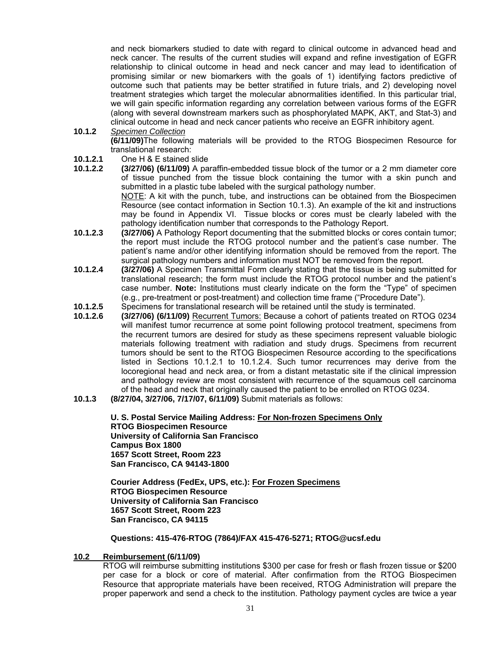and neck biomarkers studied to date with regard to clinical outcome in advanced head and neck cancer. The results of the current studies will expand and refine investigation of EGFR relationship to clinical outcome in head and neck cancer and may lead to identification of promising similar or new biomarkers with the goals of 1) identifying factors predictive of outcome such that patients may be better stratified in future trials, and 2) developing novel treatment strategies which target the molecular abnormalities identified. In this particular trial, we will gain specific information regarding any correlation between various forms of the EGFR (along with several downstream markers such as phosphorylated MAPK, AKT, and Stat-3) and clinical outcome in head and neck cancer patients who receive an EGFR inhibitory agent.

- **10.1.2** *Specimen Collection* **(6/11/09)**The following materials will be provided to the RTOG Biospecimen Resource for translational research:
- **10.1.2.1** One H & E stained slide
- **10.1.2.2 (3/27/06) (6/11/09)** A paraffin-embedded tissue block of the tumor or a 2 mm diameter core of tissue punched from the tissue block containing the tumor with a skin punch and submitted in a plastic tube labeled with the surgical pathology number. NOTE: A kit with the punch, tube, and instructions can be obtained from the Biospecimen Resource (see contact information in Section 10.1.3). An example of the kit and instructions may be found in Appendix VI. Tissue blocks or cores must be clearly labeled with the pathology identification number that corresponds to the Pathology Report.
- **10.1.2.3 (3/27/06)** A Pathology Report documenting that the submitted blocks or cores contain tumor; the report must include the RTOG protocol number and the patient's case number. The patient's name and/or other identifying information should be removed from the report. The surgical pathology numbers and information must NOT be removed from the report.
- **10.1.2.4 (3/27/06)** A Specimen Transmittal Form clearly stating that the tissue is being submitted for translational research; the form must include the RTOG protocol number and the patient's case number. **Note:** Institutions must clearly indicate on the form the "Type" of specimen (e.g., pre-treatment or post-treatment) and collection time frame ("Procedure Date").
- **10.1.2.5** Specimens for translational research will be retained until the study is terminated.
- **10.1.2.6 (3/27/06) (6/11/09)** Recurrent Tumors: Because a cohort of patients treated on RTOG 0234 will manifest tumor recurrence at some point following protocol treatment, specimens from the recurrent tumors are desired for study as these specimens represent valuable biologic materials following treatment with radiation and study drugs. Specimens from recurrent tumors should be sent to the RTOG Biospecimen Resource according to the specifications listed in Sections 10.1.2.1 to 10.1.2.4. Such tumor recurrences may derive from the locoregional head and neck area, or from a distant metastatic site if the clinical impression and pathology review are most consistent with recurrence of the squamous cell carcinoma of the head and neck that originally caused the patient to be enrolled on RTOG 0234.
- **10.1.3 (8/27/04, 3/27/06, 7/17/07, 6/11/09)** Submit materials as follows:

**U. S. Postal Service Mailing Address: For Non-frozen Specimens Only RTOG Biospecimen Resource University of California San Francisco Campus Box 1800 1657 Scott Street, Room 223 San Francisco, CA 94143-1800** 

**Courier Address (FedEx, UPS, etc.): For Frozen Specimens RTOG Biospecimen Resource University of California San Francisco 1657 Scott Street, Room 223 San Francisco, CA 94115**

**Questions: 415-476-RTOG (7864)/FAX 415-476-5271; [RTOG@ucsf.edu](mailto:RTOG@ucsf.edu)** 

#### **10.2 Reimbursement (6/11/09)**

RTOG will reimburse submitting institutions \$300 per case for fresh or flash frozen tissue or \$200 per case for a block or core of material. After confirmation from the RTOG Biospecimen Resource that appropriate materials have been received, RTOG Administration will prepare the proper paperwork and send a check to the institution. Pathology payment cycles are twice a year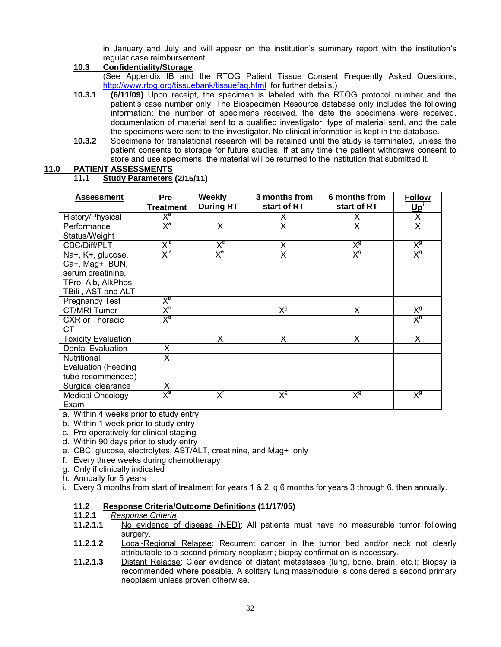in January and July and will appear on the institution's summary report with the institution's regular case reimbursement.

#### **10.3 Confidentiality/Storage**

(See Appendix IB and the RTOG Patient Tissue Consent Frequently Asked Questions, [http://www.rtog.org/tissuebank/tissuefaq.html fo](http://www.rtog.org/tissuebank/tissuefaq.html)r further details.)

- **10.3.1 (6/11/09)** Upon receipt, the specimen is labeled with the RTOG protocol number and the patient's case number only. The Biospecimen Resource database only includes the following information: the number of specimens received, the date the specimens were received, documentation of material sent to a qualified investigator, type of material sent, and the date the specimens were sent to the investigator. No clinical information is kept in the database.
- **10.3.2** Specimens for translational research will be retained until the study is terminated, unless the patient consents to storage for future studies. If at any time the patient withdraws consent to store and use specimens, the material will be returned to the institution that submitted it.

#### **11.0 PATIENT ASSESSMENTS**

**11.1 Study Parameters (2/15/11)** 

| <b>Assessment</b>          | Pre-                      | Weekly                                                  | 3 months from | 6 months from           | <b>Follow</b>           |
|----------------------------|---------------------------|---------------------------------------------------------|---------------|-------------------------|-------------------------|
|                            | <b>Treatment</b>          | <b>During RT</b>                                        | start of RT   | start of RT             | <u>Up'</u>              |
| History/Physical           | $X^a$                     |                                                         | X             | X                       | X                       |
| Performance                | $X^a$                     | X                                                       | X             | $\overline{\mathsf{x}}$ | $\overline{\mathsf{x}}$ |
| Status/Weight              |                           |                                                         |               |                         |                         |
| CBC/Diff/PLT               | $X^a$                     | $X_{e}$                                                 | X             | $X_{d}$                 | $X_{d}$                 |
| Na+, K+, glucose,          | $X^a$                     | $X_{e}$                                                 | X             | $X_{\hat{a}}$           | $X_{\hat{a}}$           |
| Ca+, Mag+, BUN,            |                           |                                                         |               |                         |                         |
| serum creatinine,          |                           |                                                         |               |                         |                         |
| TPro, Alb, AlkPhos,        |                           |                                                         |               |                         |                         |
| TBili, AST and ALT         |                           |                                                         |               |                         |                         |
| <b>Pregnancy Test</b>      | $\mathsf{X}^{\mathsf{b}}$ |                                                         |               |                         |                         |
| CT/MRI Tumor               | $X_{c}$                   |                                                         | $X_{\hat{a}}$ | X                       | $X_{d}$                 |
| <b>CXR</b> or Thoracic     | $X_q$                     |                                                         |               |                         | $X^h$                   |
| СT                         |                           |                                                         |               |                         |                         |
| <b>Toxicity Evaluation</b> |                           | X                                                       | X             | X                       | X                       |
| <b>Dental Evaluation</b>   | X                         |                                                         |               |                         |                         |
| Nutritional                | X                         |                                                         |               |                         |                         |
| <b>Evaluation (Feeding</b> |                           |                                                         |               |                         |                         |
| tube recommended)          |                           |                                                         |               |                         |                         |
| Surgical clearance         | X                         |                                                         |               |                         |                         |
| <b>Medical Oncology</b>    | $X^a$                     | $\overline{\mathsf{X}}^{\scriptscriptstyle{\intercal}}$ | $X_{d}$       | $X_{d}$                 | $X_{d}$                 |
| Exam                       |                           |                                                         |               |                         |                         |

a. Within 4 weeks prior to study entry

- b. Within 1 week prior to study entry
- c. Pre-operatively for clinical staging
- d. Within 90 days prior to study entry
- e. CBC, glucose, electrolytes, AST/ALT, creatinine, and Mag+ only
- f. Every three weeks during chemotherapy
- g. Only if clinically indicated
- h. Annually for 5 years
- i. Every 3 months from start of treatment for years 1 & 2; q 6 months for years 3 through 6, then annually.

# **11.2 Response Criteria/Outcome Definitions (11/17/05)**

- **11.2.1** *Response Criteria*
- **11.2.1.1** No evidence of disease (NED): All patients must have no measurable tumor following surgery.
- **11.2.1.2** Local-Regional Relapse: Recurrent cancer in the tumor bed and/or neck not clearly attributable to a second primary neoplasm; biopsy confirmation is necessary.
- **11.2.1.3** Distant Relapse: Clear evidence of distant metastases (lung, bone, brain, etc.); Biopsy is recommended where possible. A solitary lung mass/nodule is considered a second primary neoplasm unless proven otherwise.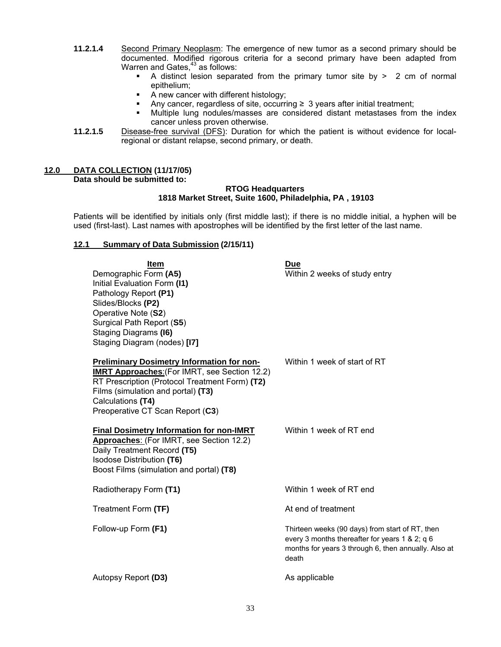- **11.2.1.4** Second Primary Neoplasm: The emergence of new tumor as a second primary should be documented. Modified rigorous criteria for a second primary have been adapted from Warren and Gates, $43$  as follows:
	- A distinct lesion separated from the primary tumor site by > 2 cm of normal epithelium;
	- A new cancer with different histology;
	- Any cancer, regardless of site, occurring  $\geq 3$  years after initial treatment;
	- Multiple lung nodules/masses are considered distant metastases from the index cancer unless proven otherwise.
- **11.2.1.5** Disease-free survival (DFS): Duration for which the patient is without evidence for localregional or distant relapse, second primary, or death.

### **12.0 DATA COLLECTION (11/17/05) Data should be submitted to:**

#### **RTOG Headquarters 1818 Market Street, Suite 1600, Philadelphia, PA , 19103**

Patients will be identified by initials only (first middle last); if there is no middle initial, a hyphen will be used (first-last). Last names with apostrophes will be identified by the first letter of the last name.

#### **12.1 Summary of Data Submission (2/15/11)**

| <b>Item</b><br>Demographic Form (A5)<br>Initial Evaluation Form (I1)<br>Pathology Report (P1)<br>Slides/Blocks (P2)<br>Operative Note (S2)<br>Surgical Path Report (S5)<br>Staging Diagrams (16)<br>Staging Diagram (nodes) [17]                           | <b>Due</b><br>Within 2 weeks of study entry                                                                                                                        |
|------------------------------------------------------------------------------------------------------------------------------------------------------------------------------------------------------------------------------------------------------------|--------------------------------------------------------------------------------------------------------------------------------------------------------------------|
| <b>Preliminary Dosimetry Information for non-</b><br><b>IMRT Approaches: (For IMRT, see Section 12.2)</b><br>RT Prescription (Protocol Treatment Form) (T2)<br>Films (simulation and portal) (T3)<br>Calculations (T4)<br>Preoperative CT Scan Report (C3) | Within 1 week of start of RT                                                                                                                                       |
| <b>Final Dosimetry Information for non-IMRT</b><br>Approaches: (For IMRT, see Section 12.2)<br>Daily Treatment Record (T5)<br>Isodose Distribution (T6)<br>Boost Films (simulation and portal) (T8)                                                        | Within 1 week of RT end                                                                                                                                            |
| Radiotherapy Form (T1)                                                                                                                                                                                                                                     | Within 1 week of RT end                                                                                                                                            |
| Treatment Form (TF)                                                                                                                                                                                                                                        | At end of treatment                                                                                                                                                |
| Follow-up Form (F1)                                                                                                                                                                                                                                        | Thirteen weeks (90 days) from start of RT, then<br>every 3 months thereafter for years 1 & 2; q 6<br>months for years 3 through 6, then annually. Also at<br>death |
| Autopsy Report (D3)                                                                                                                                                                                                                                        | As applicable                                                                                                                                                      |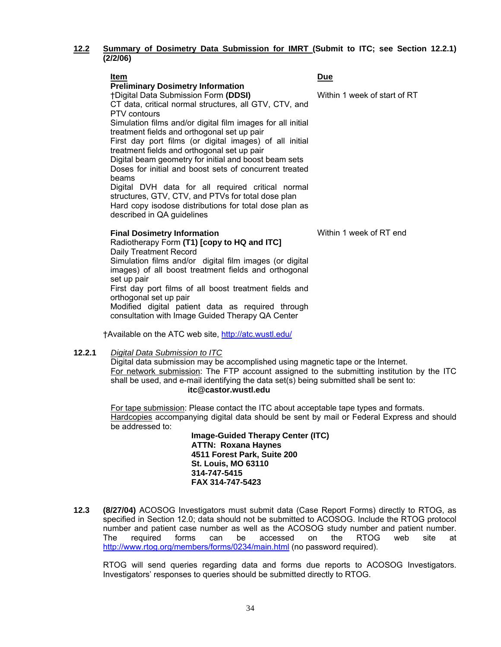#### **12.2 Summary of Dosimetry Data Submission for IMRT (Submit to ITC; see Section 12.2.1) (2/2/06)**

| Item                                                                                                                                                                                                                                                                                                                                                                                                                                                                                                                                                                | Due                          |
|---------------------------------------------------------------------------------------------------------------------------------------------------------------------------------------------------------------------------------------------------------------------------------------------------------------------------------------------------------------------------------------------------------------------------------------------------------------------------------------------------------------------------------------------------------------------|------------------------------|
| <b>Preliminary Dosimetry Information</b><br>†Digital Data Submission Form (DDSI)<br>CT data, critical normal structures, all GTV, CTV, and<br>PTV contours<br>Simulation films and/or digital film images for all initial<br>treatment fields and orthogonal set up pair<br>First day port films (or digital images) of all initial<br>treatment fields and orthogonal set up pair<br>Digital beam geometry for initial and boost beam sets<br>Doses for initial and boost sets of concurrent treated<br>beams<br>Digital DVH data for all required critical normal | Within 1 week of start of RT |
| structures, GTV, CTV, and PTVs for total dose plan<br>Hard copy isodose distributions for total dose plan as<br>described in QA guidelines                                                                                                                                                                                                                                                                                                                                                                                                                          |                              |
| <b>Final Dosimetry Information</b><br>Radiotherapy Form (T1) [copy to HQ and ITC]<br>Daily Treatment Record<br>Simulation films and/or digital film images (or digital<br>images) of all boost treatment fields and orthogonal                                                                                                                                                                                                                                                                                                                                      | Within 1 week of RT end      |

set up pair First day port films of all boost treatment fields and orthogonal set up pair Modified digital patient data as required through consultation with Image Guided Therapy QA Center

†Available on the ATC web site, [http://atc.wustl.edu/](http://atc.wustl.edu)

#### **12.2.1** *Digital Data Submission to ITC*

Digital data submission may be accomplished using magnetic tape or the Internet. For network submission: The FTP account assigned to the submitting institution by the ITC shall be used, and e-mail identifying the data set(s) being submitted shall be sent to: **[itc@castor.wustl.edu](mailto:itc@castor.wustl.edu)** 

For tape submission: Please contact the ITC about acceptable tape types and formats. Hardcopies accompanying digital data should be sent by mail or Federal Express and should be addressed to:

> **Image-Guided Therapy Center (ITC) ATTN: Roxana Haynes 4511 Forest Park, Suite 200 St. Louis, MO 63110 314-747-5415 FAX 314-747-5423**

**12.3 (8/27/04)** ACOSOG Investigators must submit data (Case Report Forms) directly to RTOG, as specified in Section 12.0; data should not be submitted to ACOSOG. Include the RTOG protocol number and patient case number as well as the ACOSOG study number and patient number. The required forms can be accessed on the RTOG web site at [http://www.rtog.org/members/forms/0234/main.html \(n](http://www.rtog.org/members/forms/0234/main.html)o password required).

RTOG will send queries regarding data and forms due reports to ACOSOG Investigators. Investigators' responses to queries should be submitted directly to RTOG.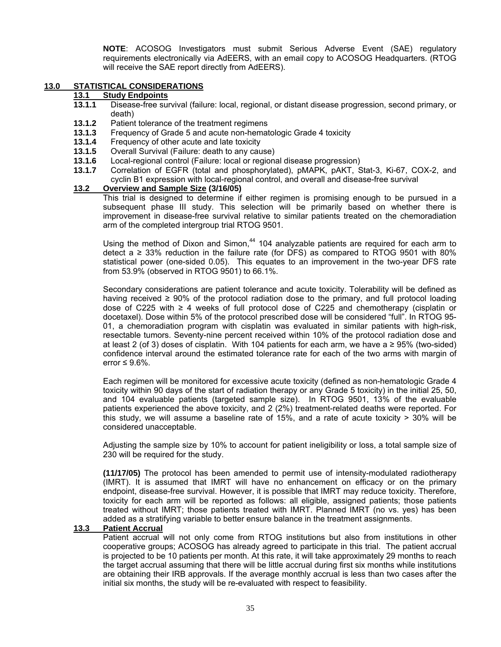**NOTE**: ACOSOG Investigators must submit Serious Adverse Event (SAE) regulatory requirements electronically via AdEERS, with an email copy to ACOSOG Headquarters. (RTOG will receive the SAE report directly from AdEERS).

#### **13.0 STATISTICAL CONSIDERATIONS**

## **13.1 Study Endpoints**

- **13.1.1** Disease-free survival (failure: local, regional, or distant disease progression, second primary, or death)
- **13.1.2** Patient tolerance of the treatment regimens
- **13.1.3** Frequency of Grade 5 and acute non-hematologic Grade 4 toxicity
- **13.1.4** Frequency of other acute and late toxicity
- **13.1.5** Overall Survival (Failure: death to any cause)
- **13.1.6** Local-regional control (Failure: local or regional disease progression)
- **13.1.7** Correlation of EGFR (total and phosphorylated), pMAPK, pAKT, Stat-3, Ki-67, COX-2, and cyclin B1 expression with local-regional control, and overall and disease-free survival

#### **13.2 Overview and Sample Size (3/16/05)**

This trial is designed to determine if either regimen is promising enough to be pursued in a subsequent phase III study. This selection will be primarily based on whether there is improvement in disease-free survival relative to similar patients treated on the chemoradiation arm of the completed intergroup trial RTOG 9501.

Using the method of Dixon and Simon, $44$  104 analyzable patients are required for each arm to detect a  $\geq$  33% reduction in the failure rate (for DFS) as compared to RTOG 9501 with 80% statistical power (one-sided 0.05). This equates to an improvement in the two-year DFS rate from 53.9% (observed in RTOG 9501) to 66.1%.

Secondary considerations are patient tolerance and acute toxicity. Tolerability will be defined as having received  $\geq 90\%$  of the protocol radiation dose to the primary, and full protocol loading dose of C225 with ≥ 4 weeks of full protocol dose of C225 and chemotherapy (cisplatin or docetaxel). Dose within 5% of the protocol prescribed dose will be considered "full". In RTOG 95- 01, a chemoradiation program with cisplatin was evaluated in similar patients with high-risk, resectable tumors. Seventy-nine percent received within 10% of the protocol radiation dose and at least 2 (of 3) doses of cisplatin. With 104 patients for each arm, we have a ≥ 95% (two-sided) confidence interval around the estimated tolerance rate for each of the two arms with margin of error  $\leq 9.6\%$ .

Each regimen will be monitored for excessive acute toxicity (defined as non-hematologic Grade 4 toxicity within 90 days of the start of radiation therapy or any Grade 5 toxicity) in the initial 25, 50, and 104 evaluable patients (targeted sample size). In RTOG 9501, 13% of the evaluable patients experienced the above toxicity, and 2 (2%) treatment-related deaths were reported. For this study, we will assume a baseline rate of 15%, and a rate of acute toxicity  $>$  30% will be considered unacceptable.

Adjusting the sample size by 10% to account for patient ineligibility or loss, a total sample size of 230 will be required for the study.

**(11/17/05)** The protocol has been amended to permit use of intensity-modulated radiotherapy (IMRT). It is assumed that IMRT will have no enhancement on efficacy or on the primary endpoint, disease-free survival. However, it is possible that IMRT may reduce toxicity. Therefore, toxicity for each arm will be reported as follows: all eligible, assigned patients; those patients treated without IMRT; those patients treated with IMRT. Planned IMRT (no vs. yes) has been added as a stratifying variable to better ensure balance in the treatment assignments.

#### **13.3 Patient Accrual**

 Patient accrual will not only come from RTOG institutions but also from institutions in other cooperative groups; ACOSOG has already agreed to participate in this trial. The patient accrual is projected to be 10 patients per month. At this rate, it will take approximately 29 months to reach the target accrual assuming that there will be little accrual during first six months while institutions are obtaining their IRB approvals. If the average monthly accrual is less than two cases after the initial six months, the study will be re-evaluated with respect to feasibility.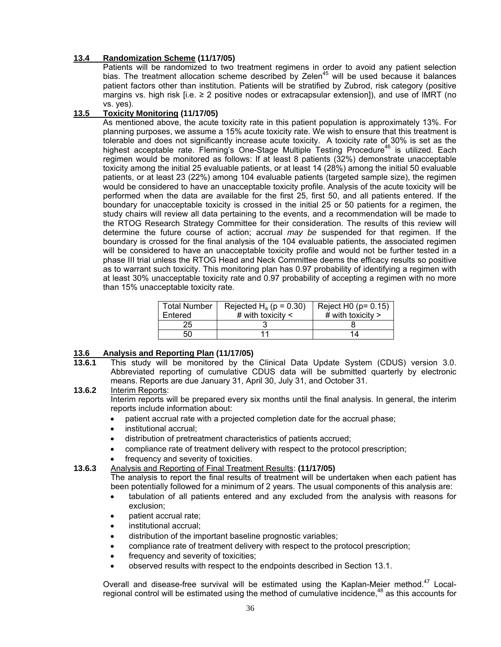#### **13.4 Randomization Scheme (11/17/05)**

 Patients will be randomized to two treatment regimens in order to avoid any patient selection bias. The treatment allocation scheme described by Zelen<sup>45</sup> will be used because it balances patient factors other than institution. Patients will be stratified by Zubrod, risk category (positive margins vs. high risk [i.e. ≥ 2 positive nodes or extracapsular extension]), and use of IMRT (no vs. yes).

#### **13.5 Toxicity Monitoring (11/17/05)**

 As mentioned above, the acute toxicity rate in this patient population is approximately 13%. For planning purposes, we assume a 15% acute toxicity rate. We wish to ensure that this treatment is tolerable and does not significantly increase acute toxicity. A toxicity rate of 30% is set as the highest acceptable rate. Fleming's One-Stage Multiple Testing Procedure<sup>46</sup> is utilized. Each regimen would be monitored as follows: If at least 8 patients (32%) demonstrate unacceptable toxicity among the initial 25 evaluable patients, or at least 14 (28%) among the initial 50 evaluable patients, or at least 23 (22%) among 104 evaluable patients (targeted sample size), the regimen would be considered to have an unacceptable toxicity profile. Analysis of the acute toxicity will be performed when the data are available for the first 25, first 50, and all patients entered. If the boundary for unacceptable toxicity is crossed in the initial 25 or 50 patients for a regimen, the study chairs will review all data pertaining to the events, and a recommendation will be made to the RTOG Research Strategy Committee for their consideration. The results of this review will determine the future course of action; accrual *may be* suspended for that regimen. If the boundary is crossed for the final analysis of the 104 evaluable patients, the associated regimen will be considered to have an unacceptable toxicity profile and would not be further tested in a phase III trial unless the RTOG Head and Neck Committee deems the efficacy results so positive as to warrant such toxicity. This monitoring plan has 0.97 probability of identifying a regimen with at least 30% unacceptable toxicity rate and 0.97 probability of accepting a regimen with no more than 15% unacceptable toxicity rate.

| <b>Total Number</b> | Rejected H <sub>a</sub> ( $p = 0.30$ ) | Reject $H0$ ( $p = 0.15$ ) |
|---------------------|----------------------------------------|----------------------------|
| Entered             | # with toxicity $\lt$                  | # with toxicity $>$        |
| 25                  |                                        |                            |
| 50                  |                                        | 14                         |

#### **13.6 Analysis and Reporting Plan (11/17/05)**

**13.6.1** This study will be monitored by the Clinical Data Update System (CDUS) version 3.0. Abbreviated reporting of cumulative CDUS data will be submitted quarterly by electronic means. Reports are due January 31, April 30, July 31, and October 31.

#### **13.6.2** Interim Reports:

Interim reports will be prepared every six months until the final analysis. In general, the interim reports include information about:

- patient accrual rate with a projected completion date for the accrual phase;
- institutional accrual;
- distribution of pretreatment characteristics of patients accrued;
- compliance rate of treatment delivery with respect to the protocol prescription;
- frequency and severity of toxicities.
- **13.6.3** Analysis and Reporting of Final Treatment Results: **(11/17/05)**

The analysis to report the final results of treatment will be undertaken when each patient has been potentially followed for a minimum of 2 years. The usual components of this analysis are:

- tabulation of all patients entered and any excluded from the analysis with reasons for exclusion;
- patient accrual rate;
- institutional accrual;
- distribution of the important baseline prognostic variables;
- compliance rate of treatment delivery with respect to the protocol prescription;
- frequency and severity of toxicities;
- observed results with respect to the endpoints described in Section 13.1.

Overall and disease-free survival will be estimated using the Kaplan-Meier method.<sup>47</sup> Localregional control will be estimated using the method of cumulative incidence.<sup>48</sup> as this accounts for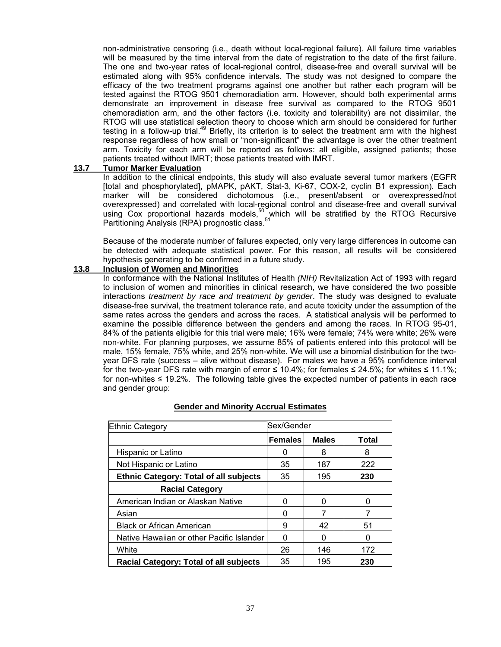non-administrative censoring (i.e., death without local-regional failure). All failure time variables will be measured by the time interval from the date of registration to the date of the first failure. The one and two-year rates of local-regional control, disease-free and overall survival will be estimated along with 95% confidence intervals. The study was not designed to compare the efficacy of the two treatment programs against one another but rather each program will be tested against the RTOG 9501 chemoradiation arm. However, should both experimental arms demonstrate an improvement in disease free survival as compared to the RTOG 9501 chemoradiation arm, and the other factors (i.e. toxicity and tolerability) are not dissimilar, the RTOG will use statistical selection theory to choose which arm should be considered for further testing in a follow-up trial.<sup>49</sup> Briefly, its criterion is to select the treatment arm with the highest response regardless of how small or "non-significant" the advantage is over the other treatment arm. Toxicity for each arm will be reported as follows: all eligible, assigned patients; those patients treated without IMRT; those patients treated with IMRT.

#### **13.7 Tumor Marker Evaluation**

In addition to the clinical endpoints, this study will also evaluate several tumor markers (EGFR [total and phosphorylated], pMAPK, pAKT, Stat-3, Ki-67, COX-2, cyclin B1 expression). Each marker will be considered dichotomous (i.e., present/absent or overexpressed/not overexpressed) and correlated with local-regional control and disease-free and overall survival using Cox proportional hazards models,<sup>50</sup> which will be stratified by the RTOG Recursive Partitioning Analysis (RPA) prognostic class.<sup>51</sup>

Because of the moderate number of failures expected, only very large differences in outcome can be detected with adequate statistical power. For this reason, all results will be considered hypothesis generating to be confirmed in a future study.

#### **13.8 Inclusion of Women and Minorities**

 In conformance with the National Institutes of Health *(NIH)* Revitalization Act of 1993 with regard to inclusion of women and minorities in clinical research, we have considered the two possible interactions *treatment by race and treatment by gender*. The study was designed to evaluate disease-free survival, the treatment tolerance rate, and acute toxicity under the assumption of the same rates across the genders and across the races. A statistical analysis will be performed to examine the possible difference between the genders and among the races. In RTOG 95-01, 84% of the patients eligible for this trial were male; 16% were female; 74% were white; 26% were non-white. For planning purposes, we assume 85% of patients entered into this protocol will be male, 15% female, 75% white, and 25% non-white. We will use a binomial distribution for the twoyear DFS rate (success – alive without disease). For males we have a 95% confidence interval for the two-year DFS rate with margin of error ≤ 10.4%; for females ≤ 24.5%; for whites ≤ 11.1%; for non-whites ≤ 19.2%. The following table gives the expected number of patients in each race and gender group:

| <b>Ethnic Category</b>                        | Sex/Gender     |              |              |
|-----------------------------------------------|----------------|--------------|--------------|
|                                               | <b>Females</b> | <b>Males</b> | <b>Total</b> |
| Hispanic or Latino                            | O              | 8            | 8            |
| Not Hispanic or Latino                        | 35             | 187          | 222          |
| <b>Ethnic Category: Total of all subjects</b> | 35             | 195          | 230          |
| <b>Racial Category</b>                        |                |              |              |
| American Indian or Alaskan Native             | 0              | O            | O            |
| Asian                                         | 0              |              |              |
| <b>Black or African American</b>              | 9              | 42           | 51           |
| Native Hawaiian or other Pacific Islander     | 0              | O            | 0            |
| White                                         | 26             | 146          | 172          |
| Racial Category: Total of all subjects        | 35             | 195          | 230          |

#### **Gender and Minority Accrual Estimates**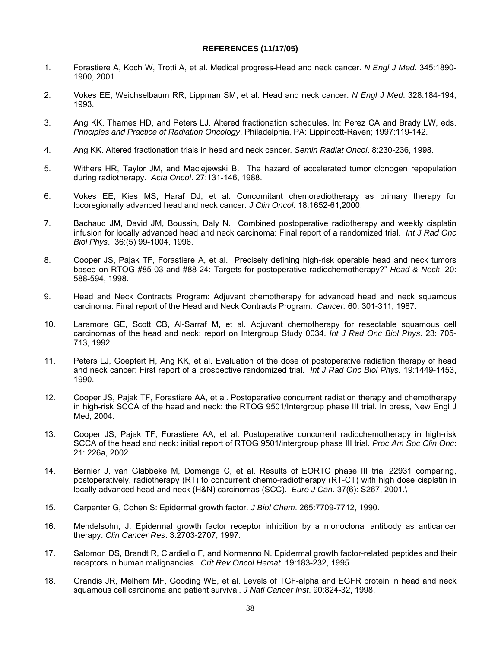#### **REFERENCES (11/17/05)**

- 1. Forastiere A, Koch W, Trotti A, et al. Medical progress-Head and neck cancer. *N Engl J Med*. 345:1890- 1900, 2001.
- 2. Vokes EE, Weichselbaum RR, Lippman SM, et al. Head and neck cancer. *N Engl J Med*. 328:184-194, 1993.
- 3. Ang KK, Thames HD, and Peters LJ. Altered fractionation schedules. In: Perez CA and Brady LW, eds. *Principles and Practice of Radiation Oncology*. Philadelphia, PA: Lippincott-Raven; 1997:119-142.
- 4. Ang KK. Altered fractionation trials in head and neck cancer. *Semin Radiat Oncol*. 8:230-236, 1998.
- 5. Withers HR, Taylor JM, and Maciejewski B. The hazard of accelerated tumor clonogen repopulation during radiotherapy. *Acta Oncol*. 27:131-146, 1988.
- 6. Vokes EE, Kies MS, Haraf DJ, et al. Concomitant chemoradiotherapy as primary therapy for locoregionally advanced head and neck cancer. *J Clin Oncol*. 18:1652-61,2000.
- 7. Bachaud JM, David JM, Boussin, Daly N. Combined postoperative radiotherapy and weekly cisplatin infusion for locally advanced head and neck carcinoma: Final report of a randomized trial. *Int J Rad Onc Biol Phys*. 36:(5) 99-1004, 1996.
- 8. Cooper JS, Pajak TF, Forastiere A, et al. Precisely defining high-risk operable head and neck tumors based on RTOG #85-03 and #88-24: Targets for postoperative radiochemotherapy?" *Head & Neck*. 20: 588-594, 1998.
- 9. Head and Neck Contracts Program: Adjuvant chemotherapy for advanced head and neck squamous carcinoma: Final report of the Head and Neck Contracts Program. *Cancer.* 60: 301-311, 1987.
- 10. Laramore GE, Scott CB, Al-Sarraf M, et al. Adjuvant chemotherapy for resectable squamous cell carcinomas of the head and neck: report on Intergroup Study 0034. *Int J Rad Onc Biol Phys*. 23: 705- 713, 1992.
- 11. Peters LJ, Goepfert H, Ang KK, et al. Evaluation of the dose of postoperative radiation therapy of head and neck cancer: First report of a prospective randomized trial. *Int J Rad Onc Biol Phys.* 19:1449-1453, 1990.
- 12. Cooper JS, Pajak TF, Forastiere AA, et al. Postoperative concurrent radiation therapy and chemotherapy in high-risk SCCA of the head and neck: the RTOG 9501/Intergroup phase III trial. In press, New Engl J Med, 2004.
- 13. Cooper JS, Pajak TF, Forastiere AA, et al. Postoperative concurrent radiochemotherapy in high-risk SCCA of the head and neck: initial report of RTOG 9501/intergroup phase III trial. *Proc Am Soc Clin Onc*: 21: 226a, 2002.
- 14. Bernier J, van Glabbeke M, Domenge C, et al. Results of EORTC phase III trial 22931 comparing, postoperatively, radiotherapy (RT) to concurrent chemo-radiotherapy (RT-CT) with high dose cisplatin in locally advanced head and neck (H&N) carcinomas (SCC). *Euro J Can*. 37(6): S267, 2001.\
- 15. Carpenter G, Cohen S: Epidermal growth factor. *J Biol Chem*. 265:7709-7712, 1990.
- 16. Mendelsohn, J. Epidermal growth factor receptor inhibition by a monoclonal antibody as anticancer therapy. *Clin Cancer Res*. 3:2703-2707, 1997.
- 17. Salomon DS, Brandt R, Ciardiello F, and Normanno N. Epidermal growth factor-related peptides and their receptors in human malignancies. *Crit Rev Oncol Hemat*. 19:183-232, 1995.
- 18. Grandis JR, Melhem MF, Gooding WE, et al. Levels of TGF-alpha and EGFR protein in head and neck squamous cell carcinoma and patient survival. *J Natl Cancer Inst*. 90:824-32, 1998.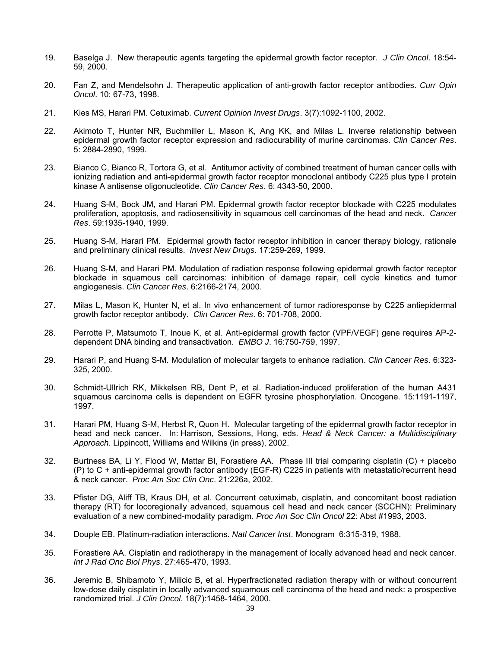- 19. Baselga J. New therapeutic agents targeting the epidermal growth factor receptor. *J Clin Oncol*. 18:54- 59, 2000.
- 20. Fan Z, and Mendelsohn J. Therapeutic application of anti-growth factor receptor antibodies. *Curr Opin Oncol*. 10: 67-73, 1998.
- 21. Kies MS, Harari PM. Cetuximab. *Current Opinion Invest Drugs*. 3(7):1092-1100, 2002.
- 22. Akimoto T, Hunter NR, Buchmiller L, Mason K, Ang KK, and Milas L. Inverse relationship between epidermal growth factor receptor expression and radiocurability of murine carcinomas. *Clin Cancer Res*. 5: 2884-2890, 1999.
- 23. Bianco C, Bianco R, Tortora G, et al. Antitumor activity of combined treatment of human cancer cells with ionizing radiation and anti-epidermal growth factor receptor monoclonal antibody C225 plus type I protein kinase A antisense oligonucleotide. *Clin Cancer Res*. 6: 4343-50, 2000.
- 24. Huang S-M, Bock JM, and Harari PM. Epidermal growth factor receptor blockade with C225 modulates proliferation, apoptosis, and radiosensitivity in squamous cell carcinomas of the head and neck. *Cancer Res*. 59:1935-1940, 1999.
- 25. Huang S-M, Harari PM. Epidermal growth factor receptor inhibition in cancer therapy biology, rationale and preliminary clinical results. *Invest New Drugs*. 17:259-269, 1999.
- 26. Huang S-M, and Harari PM. Modulation of radiation response following epidermal growth factor receptor blockade in squamous cell carcinomas: inhibition of damage repair, cell cycle kinetics and tumor angiogenesis. *Clin Cancer Res*. 6:2166-2174, 2000.
- 27. Milas L, Mason K, Hunter N, et al. In vivo enhancement of tumor radioresponse by C225 antiepidermal growth factor receptor antibody. *Clin Cancer Res*. 6: 701-708, 2000.
- 28. Perrotte P, Matsumoto T, Inoue K, et al. Anti-epidermal growth factor (VPF/VEGF) gene requires AP-2 dependent DNA binding and transactivation. *EMBO J*. 16:750-759, 1997.
- 29. Harari P, and Huang S-M. Modulation of molecular targets to enhance radiation. *Clin Cancer Res*. 6:323- 325, 2000.
- 30. Schmidt-Ullrich RK, Mikkelsen RB, Dent P, et al. Radiation-induced proliferation of the human A431 squamous carcinoma cells is dependent on EGFR tyrosine phosphorylation. Oncogene. 15:1191-1197, 1997.
- 31. Harari PM, Huang S-M, Herbst R, Quon H. Molecular targeting of the epidermal growth factor receptor in head and neck cancer. In: Harrison, Sessions, Hong, eds. *Head & Neck Cancer: a Multidisciplinary Approach.* Lippincott, Williams and Wilkins (in press), 2002.
- 32. Burtness BA, Li Y, Flood W, Mattar BI, Forastiere AA. Phase III trial comparing cisplatin (C) + placebo (P) to C + anti-epidermal growth factor antibody (EGF-R) C225 in patients with metastatic/recurrent head & neck cancer. *Proc Am Soc Clin Onc*. 21:226a, 2002.
- 33. Pfister DG, Aliff TB, Kraus DH, et al. Concurrent cetuximab, cisplatin, and concomitant boost radiation therapy (RT) for locoregionally advanced, squamous cell head and neck cancer (SCCHN): Preliminary evaluation of a new combined-modality paradigm. *Proc Am Soc Clin Oncol* 22: Abst #1993, 2003.
- 34. Douple EB. Platinum-radiation interactions. *Natl Cancer Inst*. Monogram 6:315-319, 1988.
- 35. Forastiere AA. Cisplatin and radiotherapy in the management of locally advanced head and neck cancer. *Int J Rad Onc Biol Phys*. 27:465-470, 1993.
- 36. Jeremic B, Shibamoto Y, Milicic B, et al. Hyperfractionated radiation therapy with or without concurrent low-dose daily cisplatin in locally advanced squamous cell carcinoma of the head and neck: a prospective randomized trial. *J Clin Oncol*. 18(7):1458-1464, 2000.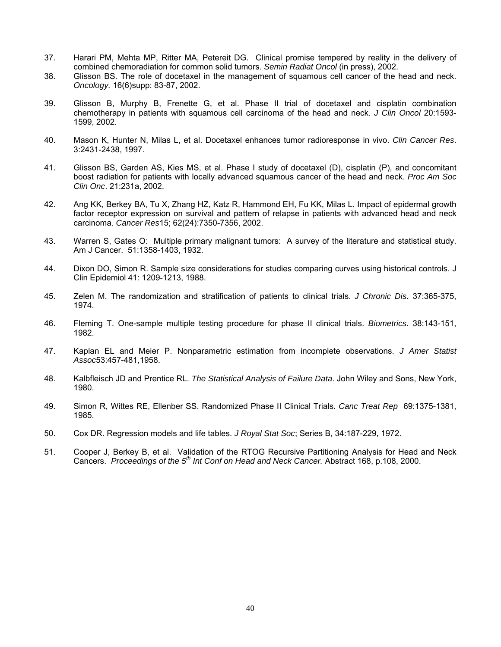- 37. Harari PM, Mehta MP, Ritter MA, Petereit DG. Clinical promise tempered by reality in the delivery of combined chemoradiation for common solid tumors. *Semin Radiat Oncol* (in press), 2002.
- 38. Glisson BS. The role of docetaxel in the management of squamous cell cancer of the head and neck. *Oncology.* 16(6)supp: 83-87, 2002.
- 39. Glisson B, Murphy B, Frenette G, et al. Phase II trial of docetaxel and cisplatin combination chemotherapy in patients with squamous cell carcinoma of the head and neck. *J Clin Oncol* 20:1593- 1599, 2002.
- 40. Mason K, Hunter N, Milas L, et al. Docetaxel enhances tumor radioresponse in vivo. *Clin Cancer Res*. 3:2431-2438, 1997.
- 41. Glisson BS, Garden AS, Kies MS, et al. Phase I study of docetaxel (D), cisplatin (P), and concomitant boost radiation for patients with locally advanced squamous cancer of the head and neck. *Proc Am Soc Clin Onc*. 21:231a, 2002.
- 42. Ang KK, Berkey BA, Tu X, Zhang HZ, Katz R, Hammond EH, Fu KK, Milas L. Impact of epidermal growth factor receptor expression on survival and pattern of relapse in patients with advanced head and neck carcinoma. *Cancer Res*15; 62(24):7350-7356, 2002.
- 43. Warren S, Gates O: Multiple primary malignant tumors: A survey of the literature and statistical study. Am J Cancer. 51:1358-1403, 1932.
- 44. Dixon DO, Simon R. Sample size considerations for studies comparing curves using historical controls. J Clin Epidemiol 41: 1209-1213, 1988.
- 45. Zelen M. The randomization and stratification of patients to clinical trials. *J Chronic Dis*. 37:365-375, 1974.
- 46. Fleming T. One-sample multiple testing procedure for phase II clinical trials. *Biometrics*. 38:143-151, 1982.
- 47. Kaplan EL and Meier P. Nonparametric estimation from incomplete observations. *J Amer Statist Assoc*53:457-481,1958.
- 48. Kalbfleisch JD and Prentice RL. *The Statistical Analysis of Failure Data*. John Wiley and Sons, New York, 1980.
- 49. Simon R, Wittes RE, Ellenber SS. Randomized Phase II Clinical Trials. *Canc Treat Rep* 69:1375-1381, 1985.
- 50. Cox DR. Regression models and life tables. *J Royal Stat Soc*; Series B, 34:187-229, 1972.
- 51. Cooper J, Berkey B, et al. Validation of the RTOG Recursive Partitioning Analysis for Head and Neck Cancers. *Proceedings of the 5th Int Conf on Head and Neck Cancer.* Abstract 168, p.108, 2000.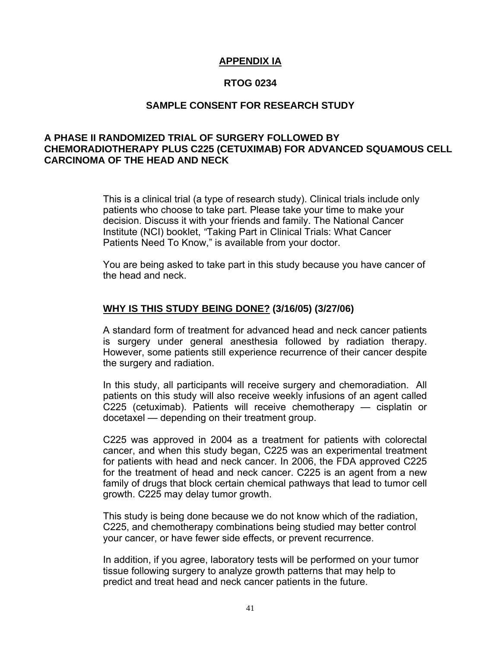## **APPENDIX IA**

## **RTOG 0234**

## **SAMPLE CONSENT FOR RESEARCH STUDY**

## **A PHASE II RANDOMIZED TRIAL OF SURGERY FOLLOWED BY CHEMORADIOTHERAPY PLUS C225 (CETUXIMAB) FOR ADVANCED SQUAMOUS CELL CARCINOMA OF THE HEAD AND NECK**

This is a clinical trial (a type of research study). Clinical trials include only patients who choose to take part. Please take your time to make your decision. Discuss it with your friends and family. The National Cancer Institute (NCI) booklet, *"*Taking Part in Clinical Trials: What Cancer Patients Need To Know," is available from your doctor.

You are being asked to take part in this study because you have cancer of the head and neck.

## **WHY IS THIS STUDY BEING DONE? (3/16/05) (3/27/06)**

A standard form of treatment for advanced head and neck cancer patients is surgery under general anesthesia followed by radiation therapy. However, some patients still experience recurrence of their cancer despite the surgery and radiation.

In this study, all participants will receive surgery and chemoradiation. All patients on this study will also receive weekly infusions of an agent called C225 (cetuximab). Patients will receive chemotherapy — cisplatin or docetaxel — depending on their treatment group.

C225 was approved in 2004 as a treatment for patients with colorectal cancer, and when this study began, C225 was an experimental treatment for patients with head and neck cancer. In 2006, the FDA approved C225 for the treatment of head and neck cancer. C225 is an agent from a new family of drugs that block certain chemical pathways that lead to tumor cell growth. C225 may delay tumor growth.

This study is being done because we do not know which of the radiation, C225, and chemotherapy combinations being studied may better control your cancer, or have fewer side effects, or prevent recurrence.

In addition, if you agree, laboratory tests will be performed on your tumor tissue following surgery to analyze growth patterns that may help to predict and treat head and neck cancer patients in the future.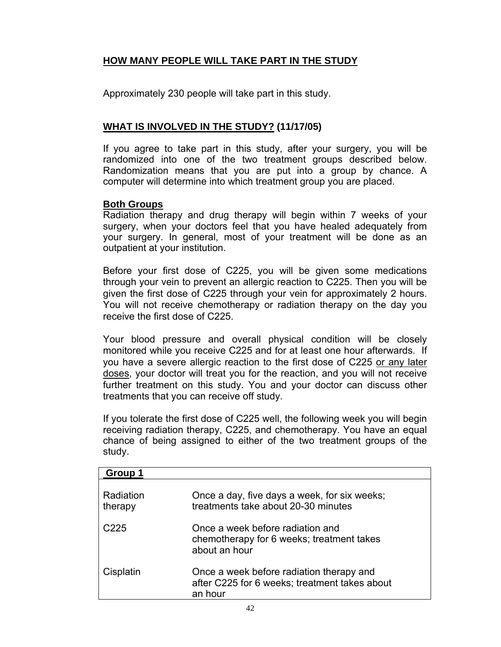## **HOW MANY PEOPLE WILL TAKE PART IN THE STUDY**

Approximately 230 people will take part in this study.

## **WHAT IS INVOLVED IN THE STUDY? (11/17/05)**

If you agree to take part in this study, after your surgery, you will be randomized into one of the two treatment groups described below. Randomization means that you are put into a group by chance. A computer will determine into which treatment group you are placed.

## **Both Groups**

Radiation therapy and drug therapy will begin within 7 weeks of your surgery, when your doctors feel that you have healed adequately from your surgery. In general, most of your treatment will be done as an outpatient at your institution.

Before your first dose of C225, you will be given some medications through your vein to prevent an allergic reaction to C225. Then you will be given the first dose of C225 through your vein for approximately 2 hours. You will not receive chemotherapy or radiation therapy on the day you receive the first dose of C225.

Your blood pressure and overall physical condition will be closely monitored while you receive C225 and for at least one hour afterwards. If you have a severe allergic reaction to the first dose of C225 or any later doses, your doctor will treat you for the reaction, and you will not receive further treatment on this study. You and your doctor can discuss other treatments that you can receive off study.

If you tolerate the first dose of C225 well, the following week you will begin receiving radiation therapy, C225, and chemotherapy. You have an equal chance of being assigned to either of the two treatment groups of the study.

| Group 1              |                                                                                                      |
|----------------------|------------------------------------------------------------------------------------------------------|
| Radiation<br>therapy | Once a day, five days a week, for six weeks;<br>treatments take about 20-30 minutes                  |
| C225                 | Once a week before radiation and<br>chemotherapy for 6 weeks; treatment takes<br>about an hour       |
| Cisplatin            | Once a week before radiation therapy and<br>after C225 for 6 weeks; treatment takes about<br>an hour |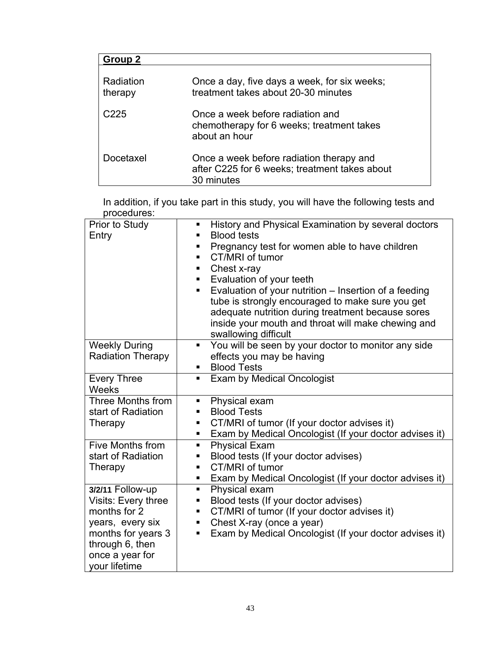| Group 2              |                                                                                                         |
|----------------------|---------------------------------------------------------------------------------------------------------|
| Radiation<br>therapy | Once a day, five days a week, for six weeks;<br>treatment takes about 20-30 minutes                     |
| C225                 | Once a week before radiation and<br>chemotherapy for 6 weeks; treatment takes<br>about an hour          |
| Docetaxel            | Once a week before radiation therapy and<br>after C225 for 6 weeks; treatment takes about<br>30 minutes |

In addition, if you take part in this study, you will have the following tests and procedures:

| Prior to Study<br>Entry                                                                                                                                  | History and Physical Examination by several doctors<br>٠<br><b>Blood tests</b><br>Pregnancy test for women able to have children<br>п<br>CT/MRI of tumor<br>٠<br>Chest x-ray<br>п<br>Evaluation of your teeth<br>٠<br>Evaluation of your nutrition – Insertion of a feeding<br>٠<br>tube is strongly encouraged to make sure you get |
|----------------------------------------------------------------------------------------------------------------------------------------------------------|--------------------------------------------------------------------------------------------------------------------------------------------------------------------------------------------------------------------------------------------------------------------------------------------------------------------------------------|
|                                                                                                                                                          | adequate nutrition during treatment because sores<br>inside your mouth and throat will make chewing and<br>swallowing difficult                                                                                                                                                                                                      |
| <b>Weekly During</b><br><b>Radiation Therapy</b>                                                                                                         | You will be seen by your doctor to monitor any side<br>٠<br>effects you may be having<br><b>Blood Tests</b>                                                                                                                                                                                                                          |
| <b>Every Three</b><br><b>Weeks</b>                                                                                                                       | <b>Exam by Medical Oncologist</b>                                                                                                                                                                                                                                                                                                    |
| Three Months from<br>start of Radiation<br>Therapy                                                                                                       | Physical exam<br>п<br><b>Blood Tests</b><br>CT/MRI of tumor (If your doctor advises it)<br>٠<br>Exam by Medical Oncologist (If your doctor advises it)                                                                                                                                                                               |
| Five Months from<br>start of Radiation<br>Therapy                                                                                                        | <b>Physical Exam</b><br>Ξ<br>Blood tests (If your doctor advises)<br>п<br>CT/MRI of tumor<br>٠<br>Exam by Medical Oncologist (If your doctor advises it)<br>٠                                                                                                                                                                        |
| 3/2/11 Follow-up<br>Visits: Every three<br>months for 2<br>years, every six<br>months for years 3<br>through 6, then<br>once a year for<br>your lifetime | Physical exam<br>٠<br>Blood tests (If your doctor advises)<br>п<br>CT/MRI of tumor (If your doctor advises it)<br>п<br>Chest X-ray (once a year)<br>٠<br>Exam by Medical Oncologist (If your doctor advises it)<br>٠                                                                                                                 |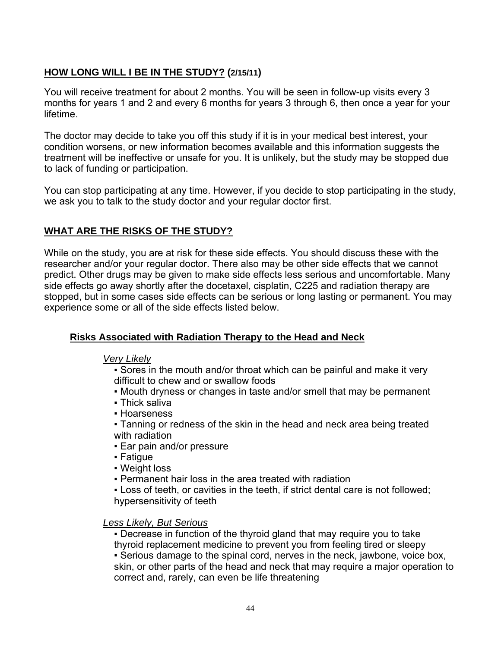## **HOW LONG WILL I BE IN THE STUDY? (2/15/11)**

You will receive treatment for about 2 months. You will be seen in follow-up visits every 3 months for years 1 and 2 and every 6 months for years 3 through 6, then once a year for your lifetime.

The doctor may decide to take you off this study if it is in your medical best interest, your condition worsens, or new information becomes available and this information suggests the treatment will be ineffective or unsafe for you. It is unlikely, but the study may be stopped due to lack of funding or participation.

You can stop participating at any time. However, if you decide to stop participating in the study, we ask you to talk to the study doctor and your regular doctor first.

## **WHAT ARE THE RISKS OF THE STUDY?**

While on the study, you are at risk for these side effects. You should discuss these with the researcher and/or your regular doctor. There also may be other side effects that we cannot predict. Other drugs may be given to make side effects less serious and uncomfortable. Many side effects go away shortly after the docetaxel, cisplatin, C225 and radiation therapy are stopped, but in some cases side effects can be serious or long lasting or permanent. You may experience some or all of the side effects listed below.

## **Risks Associated with Radiation Therapy to the Head and Neck**

## *Very Likely*

• Sores in the mouth and/or throat which can be painful and make it very difficult to chew and or swallow foods

- Mouth dryness or changes in taste and/or smell that may be permanent
- Thick saliva
- Hoarseness

▪ Tanning or redness of the skin in the head and neck area being treated with radiation

- Ear pain and/or pressure
- Fatigue
- Weight loss
- Permanent hair loss in the area treated with radiation

▪ Loss of teeth, or cavities in the teeth, if strict dental care is not followed; hypersensitivity of teeth

## *Less Likely, But Serious*

▪ Decrease in function of the thyroid gland that may require you to take thyroid replacement medicine to prevent you from feeling tired or sleepy ▪ Serious damage to the spinal cord, nerves in the neck, jawbone, voice box, skin, or other parts of the head and neck that may require a major operation to correct and, rarely, can even be life threatening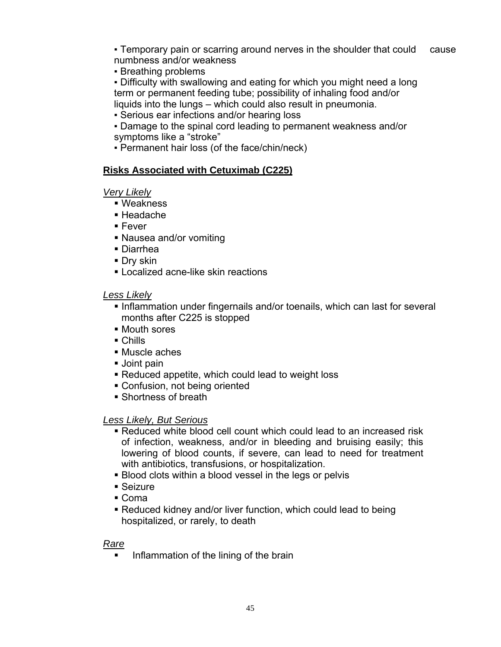• Temporary pain or scarring around nerves in the shoulder that could cause numbness and/or weakness

▪ Breathing problems

▪ Difficulty with swallowing and eating for which you might need a long term or permanent feeding tube; possibility of inhaling food and/or liquids into the lungs – which could also result in pneumonia.

- Serious ear infections and/or hearing loss
- Damage to the spinal cord leading to permanent weakness and/or symptoms like a "stroke"
- Permanent hair loss (of the face/chin/neck)

## **Risks Associated with Cetuximab (C225)**

## *Very Likely*

- Weakness
- Headache
- Fever
- Nausea and/or vomiting
- Diarrhea
- **Dry skin**
- **ELocalized acne-like skin reactions**

## *Less Likely*

- Inflammation under fingernails and/or toenails, which can last for several months after C225 is stopped
- Mouth sores
- Chills
- Muscle aches
- Joint pain
- Reduced appetite, which could lead to weight loss
- Confusion, not being oriented
- Shortness of breath

## *Less Likely, But Serious*

- Reduced white blood cell count which could lead to an increased risk of infection, weakness, and/or in bleeding and bruising easily; this lowering of blood counts, if severe, can lead to need for treatment with antibiotics, transfusions, or hospitalization.
- **Blood clots within a blood vessel in the legs or pelvis**
- Seizure
- Coma
- Reduced kidney and/or liver function, which could lead to being hospitalized, or rarely, to death

## *Rare*

Inflammation of the lining of the brain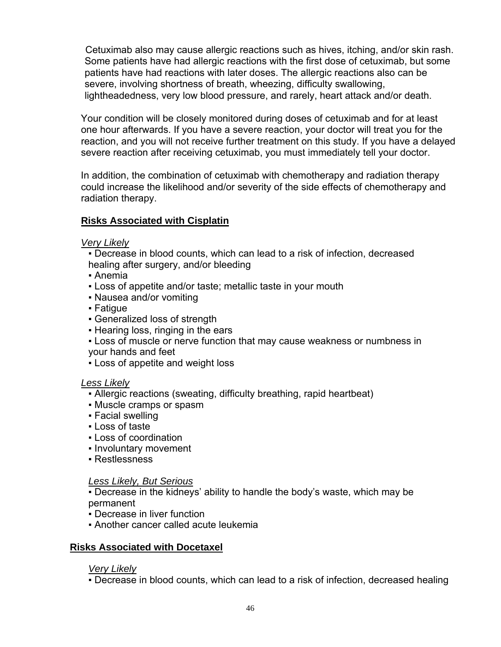Cetuximab also may cause allergic reactions such as hives, itching, and/or skin rash. Some patients have had allergic reactions with the first dose of cetuximab, but some patients have had reactions with later doses. The allergic reactions also can be severe, involving shortness of breath, wheezing, difficulty swallowing, lightheadedness, very low blood pressure, and rarely, heart attack and/or death.

Your condition will be closely monitored during doses of cetuximab and for at least one hour afterwards. If you have a severe reaction, your doctor will treat you for the reaction, and you will not receive further treatment on this study. If you have a delayed severe reaction after receiving cetuximab, you must immediately tell your doctor.

In addition, the combination of cetuximab with chemotherapy and radiation therapy could increase the likelihood and/or severity of the side effects of chemotherapy and radiation therapy.

## **Risks Associated with Cisplatin**

## *Very Likely*

- **Decrease in blood counts, which can lead to a risk of infection, decreased** healing after surgery, and/or bleeding
- Anemia
- **Loss of appetite and/or taste; metallic taste in your mouth**
- Nausea and/or vomiting
- Fatique
- Generalized loss of strength
- Hearing loss, ringing in the ears
- Loss of muscle or nerve function that may cause weakness or numbness in your hands and feet
- Loss of appetite and weight loss

## *Less Likely*

- Allergic reactions (sweating, difficulty breathing, rapid heartbeat)
- Muscle cramps or spasm
- Facial swelling
- Loss of taste
- Loss of coordination
- Involuntary movement
- Restlessness

## *Less Likely, But Serious*

▪ Decrease in the kidneys' ability to handle the body's waste, which may be permanent

- Decrease in liver function
- **Another cancer called acute leukemia**

## **Risks Associated with Docetaxel**

## *Very Likely*

▪ Decrease in blood counts, which can lead to a risk of infection, decreased healing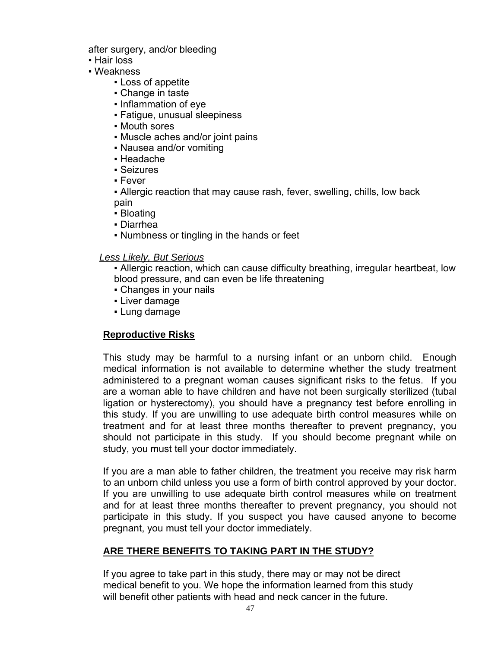after surgery, and/or bleeding

- Hair loss
- Weakness
	- Loss of appetite
	- Change in taste
	- Inflammation of eye
	- Fatigue, unusual sleepiness
	- Mouth sores
	- Muscle aches and/or joint pains
	- Nausea and/or vomiting
	- Headache
	- Seizures
	- Fever

▪ Allergic reaction that may cause rash, fever, swelling, chills, low back pain

- Bloating
- Diarrhea
- Numbness or tingling in the hands or feet

## *Less Likely, But Serious*

▪ Allergic reaction, which can cause difficulty breathing, irregular heartbeat, low blood pressure, and can even be life threatening

- Changes in your nails
- **Liver damage**
- Lung damage

## **Reproductive Risks**

This study may be harmful to a nursing infant or an unborn child. Enough medical information is not available to determine whether the study treatment administered to a pregnant woman causes significant risks to the fetus. If you are a woman able to have children and have not been surgically sterilized (tubal ligation or hysterectomy), you should have a pregnancy test before enrolling in this study. If you are unwilling to use adequate birth control measures while on treatment and for at least three months thereafter to prevent pregnancy, you should not participate in this study. If you should become pregnant while on study, you must tell your doctor immediately.

If you are a man able to father children, the treatment you receive may risk harm to an unborn child unless you use a form of birth control approved by your doctor. If you are unwilling to use adequate birth control measures while on treatment and for at least three months thereafter to prevent pregnancy, you should not participate in this study. If you suspect you have caused anyone to become pregnant, you must tell your doctor immediately.

## **ARE THERE BENEFITS TO TAKING PART IN THE STUDY?**

If you agree to take part in this study, there may or may not be direct medical benefit to you. We hope the information learned from this study will benefit other patients with head and neck cancer in the future.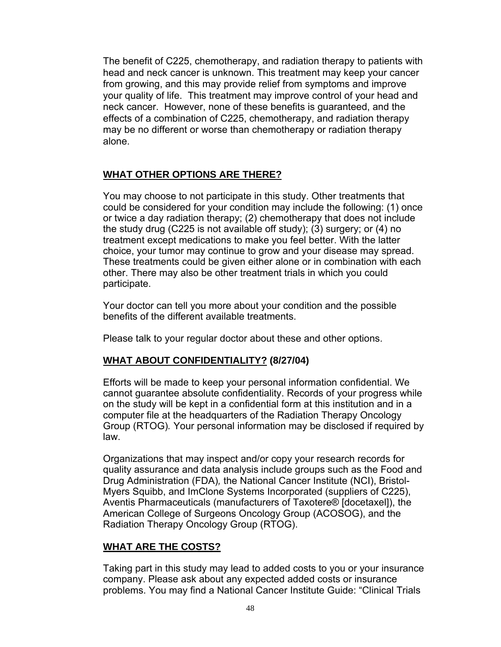The benefit of C225, chemotherapy, and radiation therapy to patients with head and neck cancer is unknown. This treatment may keep your cancer from growing, and this may provide relief from symptoms and improve your quality of life. This treatment may improve control of your head and neck cancer. However, none of these benefits is guaranteed, and the effects of a combination of C225, chemotherapy, and radiation therapy may be no different or worse than chemotherapy or radiation therapy alone.

## **WHAT OTHER OPTIONS ARE THERE?**

You may choose to not participate in this study. Other treatments that could be considered for your condition may include the following: (1) once or twice a day radiation therapy; (2) chemotherapy that does not include the study drug (C225 is not available off study); (3) surgery; or (4) no treatment except medications to make you feel better. With the latter choice, your tumor may continue to grow and your disease may spread. These treatments could be given either alone or in combination with each other. There may also be other treatment trials in which you could participate.

Your doctor can tell you more about your condition and the possible benefits of the different available treatments.

Please talk to your regular doctor about these and other options.

## **WHAT ABOUT CONFIDENTIALITY? (8/27/04)**

Efforts will be made to keep your personal information confidential. We cannot guarantee absolute confidentiality. Records of your progress while on the study will be kept in a confidential form at this institution and in a computer file at the headquarters of the Radiation Therapy Oncology Group (RTOG)*.* Your personal information may be disclosed if required by law.

Organizations that may inspect and/or copy your research records for quality assurance and data analysis include groups such as the Food and Drug Administration (FDA)*,* the National Cancer Institute (NCI), Bristol-Myers Squibb, and ImClone Systems Incorporated (suppliers of C225), Aventis Pharmaceuticals (manufacturers of Taxotere® [docetaxel]), the American College of Surgeons Oncology Group (ACOSOG), and the Radiation Therapy Oncology Group (RTOG).

## **WHAT ARE THE COSTS?**

Taking part in this study may lead to added costs to you or your insurance company. Please ask about any expected added costs or insurance problems. You may find a National Cancer Institute Guide: "Clinical Trials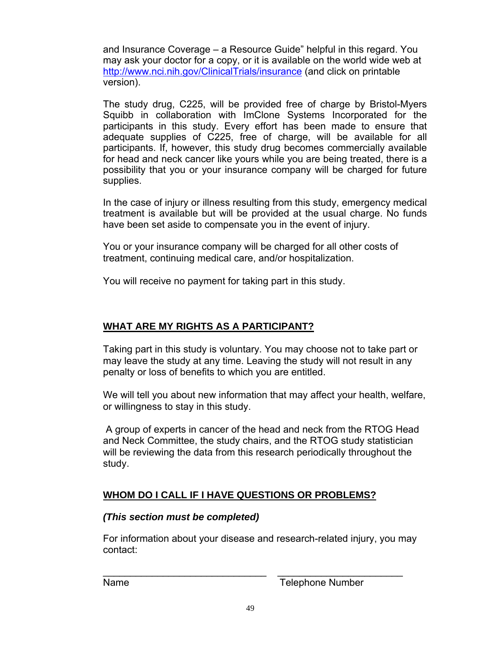and Insurance Coverage – a Resource Guide" helpful in this regard. You may ask your doctor for a copy, or it is available on the world wide web at [http://www.nci.nih.gov/ClinicalTrials/insurance \(a](http://www.nci.nih.gov/ClinicalTrials/insurance)nd click on printable version).

The study drug, C225, will be provided free of charge by Bristol-Myers Squibb in collaboration with ImClone Systems Incorporated for the participants in this study. Every effort has been made to ensure that adequate supplies of C225, free of charge, will be available for all participants. If, however, this study drug becomes commercially available for head and neck cancer like yours while you are being treated, there is a possibility that you or your insurance company will be charged for future supplies.

In the case of injury or illness resulting from this study, emergency medical treatment is available but will be provided at the usual charge. No funds have been set aside to compensate you in the event of injury.

You or your insurance company will be charged for all other costs of treatment, continuing medical care, and/or hospitalization.

You will receive no payment for taking part in this study.

## **WHAT ARE MY RIGHTS AS A PARTICIPANT?**

Taking part in this study is voluntary. You may choose not to take part or may leave the study at any time. Leaving the study will not result in any penalty or loss of benefits to which you are entitled.

We will tell you about new information that may affect your health, welfare, or willingness to stay in this study.

 A group of experts in cancer of the head and neck from the RTOG Head and Neck Committee, the study chairs, and the RTOG study statistician will be reviewing the data from this research periodically throughout the study.

## **WHOM DO I CALL IF I HAVE QUESTIONS OR PROBLEMS?**

## *(This section must be completed)*

For information about your disease and research-related injury, you may contact:

Name **Name** Telephone Number

\_\_\_\_\_\_\_\_\_\_\_\_\_\_\_\_\_\_\_\_\_\_\_\_\_\_\_\_\_\_ \_\_\_\_\_\_\_\_\_\_\_\_\_\_\_\_\_\_\_\_\_\_\_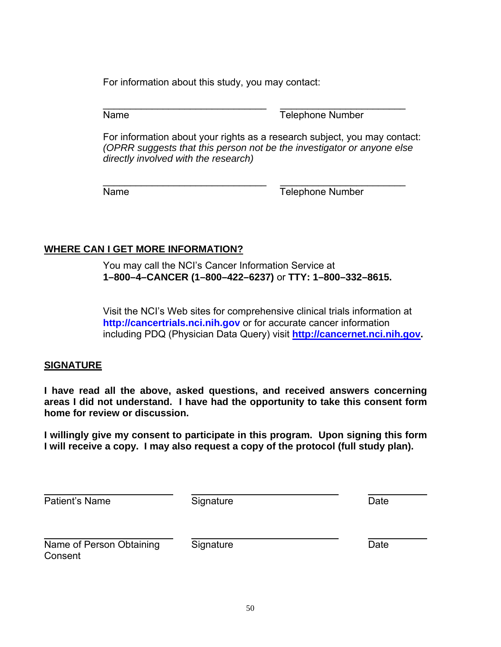For information about this study, you may contact:

\_\_\_\_\_\_\_\_\_\_\_\_\_\_\_\_\_\_\_\_\_\_\_\_\_\_\_\_\_\_ \_\_\_\_\_\_\_\_\_\_\_\_\_\_\_\_\_\_\_\_\_\_\_ Name **Name** Telephone Number

For information about your rights as a research subject, you may contact: *(OPRR suggests that this person not be the investigator or anyone else directly involved with the research)*

\_\_\_\_\_\_\_\_\_\_\_\_\_\_\_\_\_\_\_\_\_\_\_\_\_\_\_\_\_\_ \_\_\_\_\_\_\_\_\_\_\_\_\_\_\_\_\_\_\_\_\_\_\_ Name **Name** Telephone Number

## **WHERE CAN I GET MORE INFORMATION?**

You may call the NCI's Cancer Information Service at **1–800–4–CANCER (1–800–422–6237)** or **TTY: 1–800–332–8615.** 

Visit the NCI's Web sites for comprehensive clinical trials information at **<http://cancertrials.nci.nih.gov>** or for accurate cancer information including PDQ (Physician Data Query) visit **[http://cancernet.nci.nih.gov.](http://cancernet.nci.nih.gov)** 

## **SIGNATURE**

**I have read all the above, asked questions, and received answers concerning areas I did not understand. I have had the opportunity to take this consent form home for review or discussion.** 

**I willingly give my consent to participate in this program. Upon signing this form I will receive a copy. I may also request a copy of the protocol (full study plan).** 

| Patient's Name           | Signature | Date |
|--------------------------|-----------|------|
| Name of Person Obtaining | Signature | Date |
| Consent                  |           |      |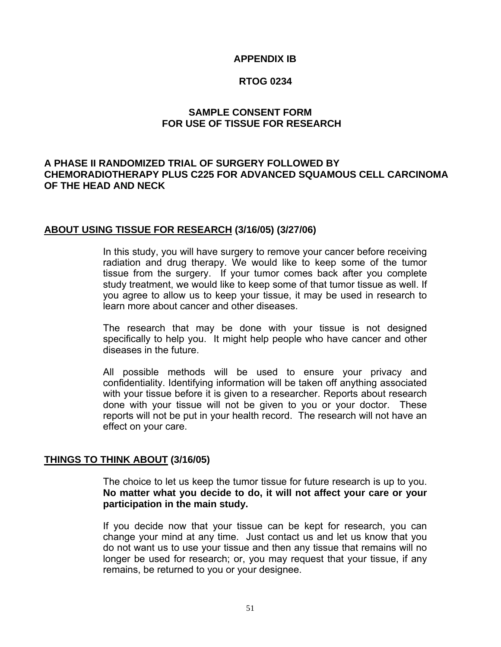## **APPENDIX IB**

## **RTOG 0234**

## **SAMPLE CONSENT FORM FOR USE OF TISSUE FOR RESEARCH**

## **A PHASE II RANDOMIZED TRIAL OF SURGERY FOLLOWED BY CHEMORADIOTHERAPY PLUS C225 FOR ADVANCED SQUAMOUS CELL CARCINOMA OF THE HEAD AND NECK**

## **ABOUT USING TISSUE FOR RESEARCH (3/16/05) (3/27/06)**

In this study, you will have surgery to remove your cancer before receiving radiation and drug therapy. We would like to keep some of the tumor tissue from the surgery. If your tumor comes back after you complete study treatment, we would like to keep some of that tumor tissue as well. If you agree to allow us to keep your tissue, it may be used in research to learn more about cancer and other diseases.

The research that may be done with your tissue is not designed specifically to help you. It might help people who have cancer and other diseases in the future.

All possible methods will be used to ensure your privacy and confidentiality. Identifying information will be taken off anything associated with your tissue before it is given to a researcher. Reports about research done with your tissue will not be given to you or your doctor. These reports will not be put in your health record. The research will not have an effect on your care.

## **THINGS TO THINK ABOUT (3/16/05)**

The choice to let us keep the tumor tissue for future research is up to you. **No matter what you decide to do, it will not affect your care or your participation in the main study.** 

If you decide now that your tissue can be kept for research, you can change your mind at any time. Just contact us and let us know that you do not want us to use your tissue and then any tissue that remains will no longer be used for research; or, you may request that your tissue, if any remains, be returned to you or your designee.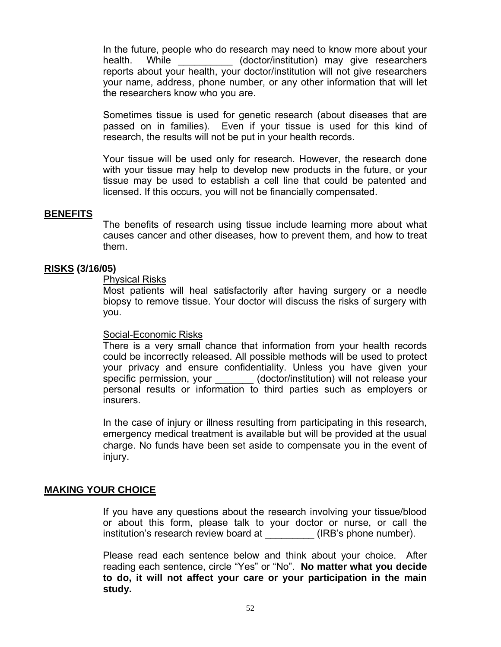In the future, people who do research may need to know more about your health. While (doctor/institution) may give researchers reports about your health, your doctor/institution will not give researchers your name, address, phone number, or any other information that will let the researchers know who you are.

Sometimes tissue is used for genetic research (about diseases that are passed on in families). Even if your tissue is used for this kind of research, the results will not be put in your health records.

Your tissue will be used only for research. However, the research done with your tissue may help to develop new products in the future, or your tissue may be used to establish a cell line that could be patented and licensed. If this occurs, you will not be financially compensated.

### **BENEFITS**

The benefits of research using tissue include learning more about what causes cancer and other diseases, how to prevent them, and how to treat them.

### **RISKS (3/16/05)**

### Physical Risks

Most patients will heal satisfactorily after having surgery or a needle biopsy to remove tissue. Your doctor will discuss the risks of surgery with you.

#### Social-Economic Risks

There is a very small chance that information from your health records could be incorrectly released. All possible methods will be used to protect your privacy and ensure confidentiality. Unless you have given your specific permission, your \_\_\_\_\_\_\_ (doctor/institution) will not release your personal results or information to third parties such as employers or insurers.

In the case of injury or illness resulting from participating in this research, emergency medical treatment is available but will be provided at the usual charge. No funds have been set aside to compensate you in the event of injury.

## **MAKING YOUR CHOICE**

If you have any questions about the research involving your tissue/blood or about this form, please talk to your doctor or nurse, or call the institution's research review board at (IRB's phone number).

Please read each sentence below and think about your choice. After reading each sentence, circle "Yes" or "No". **No matter what you decide to do, it will not affect your care or your participation in the main study.**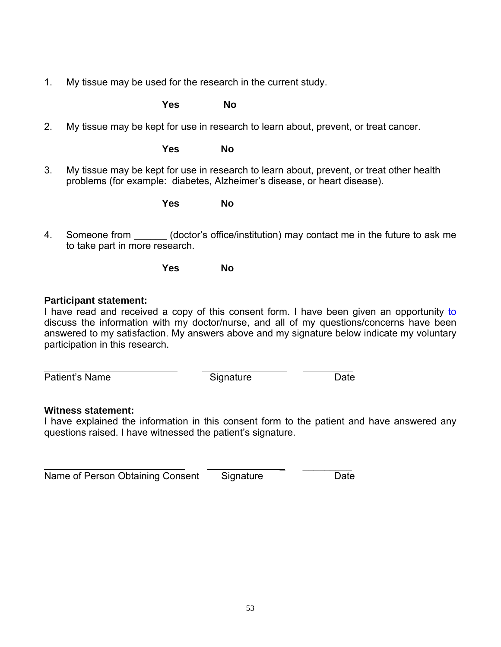1. My tissue may be used for the research in the current study.

*No Yes* No

2. My tissue may be kept for use in research to learn about, prevent, or treat cancer.

*No* **Yes** No

3. My tissue may be kept for use in research to learn about, prevent, or treat other health problems (for example: diabetes, Alzheimer's disease, or heart disease).

**Property Yes** No

4. Someone from (doctor's office/institution) may contact me in the future to ask me to take part in more research.

**Property Yes** No

## **Participant statement:**

I have read and received a copy of this consent form. I have been given an opportunity to discuss the information with my doctor/nurse, and all of my questions/concerns have been answered to my satisfaction. My answers above and my signature below indicate my voluntary participation in this research.

 $\overline{a}$ Patient's Name Signature Date

## **Witness statement:**

I have explained the information in this consent form to the patient and have answered any questions raised. I have witnessed the patient's signature.

 \_ \_\_\_\_\_\_\_\_\_ Name of Person Obtaining Consent Signature Date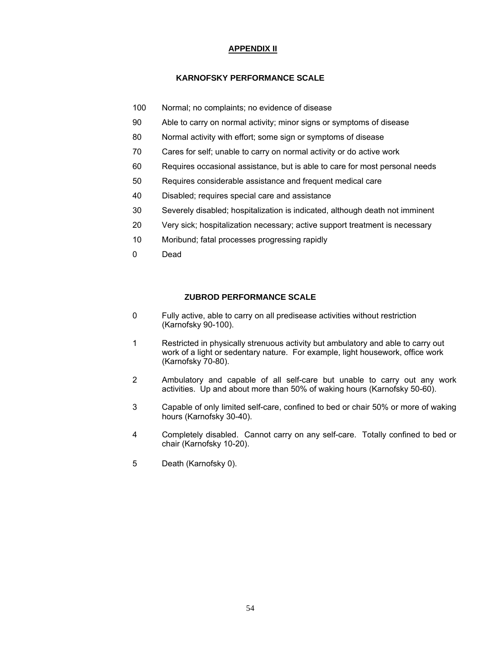#### **APPENDIX II**

#### **KARNOFSKY PERFORMANCE SCALE**

- 100 Normal; no complaints; no evidence of disease
- 90 Able to carry on normal activity; minor signs or symptoms of disease
- 80 Normal activity with effort; some sign or symptoms of disease
- 70 Cares for self; unable to carry on normal activity or do active work
- 60 Requires occasional assistance, but is able to care for most personal needs
- 50 Requires considerable assistance and frequent medical care
- 40 Disabled; requires special care and assistance
- 30 Severely disabled; hospitalization is indicated, although death not imminent
- 20 Very sick; hospitalization necessary; active support treatment is necessary
- 10 Moribund; fatal processes progressing rapidly
- 0 Dead

## **ZUBROD PERFORMANCE SCALE**

- 0 Fully active, able to carry on all predisease activities without restriction (Karnofsky 90-100).
- 1 Restricted in physically strenuous activity but ambulatory and able to carry out work of a light or sedentary nature. For example, light housework, office work (Karnofsky 70-80).
- 2 Ambulatory and capable of all self-care but unable to carry out any work activities. Up and about more than 50% of waking hours (Karnofsky 50-60).
- 3 Capable of only limited self-care, confined to bed or chair 50% or more of waking hours (Karnofsky 30-40).
- 4 Completely disabled. Cannot carry on any self-care. Totally confined to bed or chair (Karnofsky 10-20).
- 5 Death (Karnofsky 0).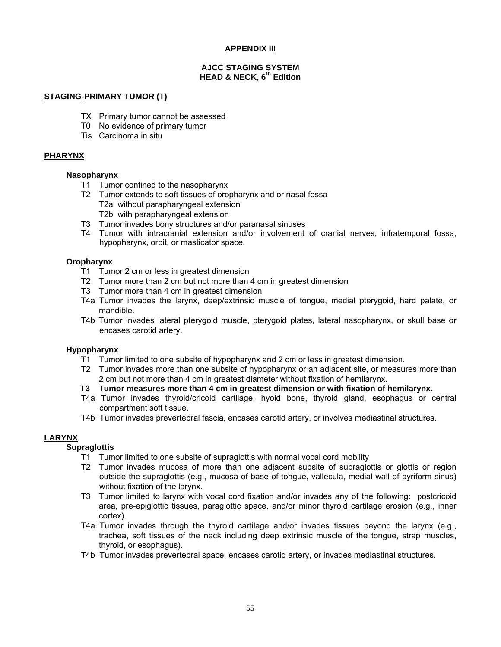#### **APPENDIX III**

#### **AJCC STAGING SYSTEM HEAD & NECK, 6th Edition**

#### **STAGING-PRIMARY TUMOR (T)**

- TX Primary tumor cannot be assessed
- T0 No evidence of primary tumor
- Tis Carcinoma in situ

#### **PHARYNX**

#### **Nasopharynx**

- T1 Tumor confined to the nasopharynx
- T2 Tumor extends to soft tissues of oropharynx and or nasal fossa T2a without parapharyngeal extension T2b with parapharyngeal extension
- T3 Tumor invades bony structures and/or paranasal sinuses
- T4 Tumor with intracranial extension and/or involvement of cranial nerves, infratemporal fossa, hypopharynx, orbit, or masticator space.

#### **Oropharynx**

- T1 Tumor 2 cm or less in greatest dimension
- T2 Tumor more than 2 cm but not more than 4 cm in greatest dimension
- T3 Tumor more than 4 cm in greatest dimension
- T4a Tumor invades the larynx, deep/extrinsic muscle of tongue, medial pterygoid, hard palate, or mandible.
- T4b Tumor invades lateral pterygoid muscle, pterygoid plates, lateral nasopharynx, or skull base or encases carotid artery.

#### **Hypopharynx**

- T1 Tumor limited to one subsite of hypopharynx and 2 cm or less in greatest dimension.
- T2 Tumor invades more than one subsite of hypopharynx or an adjacent site, or measures more than 2 cm but not more than 4 cm in greatest diameter without fixation of hemilarynx.
- **T3 Tumor measures more than 4 cm in greatest dimension or with fixation of hemilarynx.**
- T4a Tumor invades thyroid/cricoid cartilage, hyoid bone, thyroid gland, esophagus or central compartment soft tissue.
- T4b Tumor invades prevertebral fascia, encases carotid artery, or involves mediastinal structures.

#### **LARYNX**

#### **Supraglottis**

- T1 Tumor limited to one subsite of supraglottis with normal vocal cord mobility
- T2 Tumor invades mucosa of more than one adjacent subsite of supraglottis or glottis or region outside the supraglottis (e.g., mucosa of base of tongue, vallecula, medial wall of pyriform sinus) without fixation of the larynx.
- T3 Tumor limited to larynx with vocal cord fixation and/or invades any of the following: postcricoid area, pre-epiglottic tissues, paraglottic space, and/or minor thyroid cartilage erosion (e.g., inner cortex).
- T4a Tumor invades through the thyroid cartilage and/or invades tissues beyond the larynx (e.g., trachea, soft tissues of the neck including deep extrinsic muscle of the tongue, strap muscles, thyroid, or esophagus).
- T4b Tumor invades prevertebral space, encases carotid artery, or invades mediastinal structures.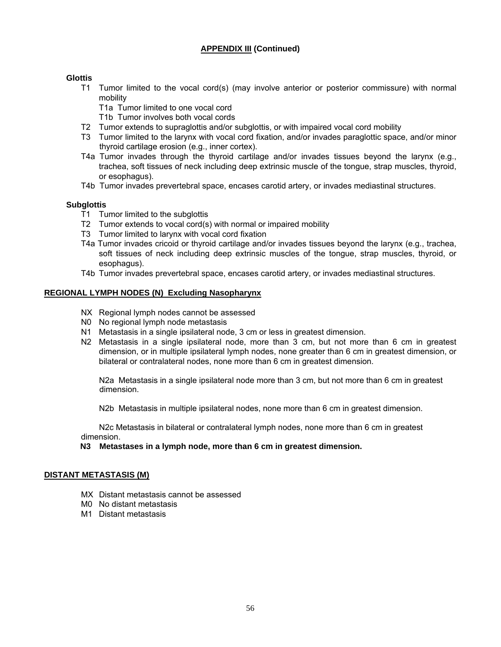### **APPENDIX III (Continued)**

#### **Glottis**

- T1 Tumor limited to the vocal cord(s) (may involve anterior or posterior commissure) with normal mobility
	- T1a Tumor limited to one vocal cord
	- T1b Tumor involves both vocal cords
- T2 Tumor extends to supraglottis and/or subglottis, or with impaired vocal cord mobility
- T3 Tumor limited to the larynx with vocal cord fixation, and/or invades paraglottic space, and/or minor thyroid cartilage erosion (e.g., inner cortex).
- T4a Tumor invades through the thyroid cartilage and/or invades tissues beyond the larynx (e.g., trachea, soft tissues of neck including deep extrinsic muscle of the tongue, strap muscles, thyroid, or esophagus).
- T4b Tumor invades prevertebral space, encases carotid artery, or invades mediastinal structures.

#### **Subglottis**

- T1 Tumor limited to the subglottis
- T2 Tumor extends to vocal cord(s) with normal or impaired mobility
- T3 Tumor limited to larynx with vocal cord fixation
- T4a Tumor invades cricoid or thyroid cartilage and/or invades tissues beyond the larynx (e.g., trachea, soft tissues of neck including deep extrinsic muscles of the tongue, strap muscles, thyroid, or esophagus).
- T4b Tumor invades prevertebral space, encases carotid artery, or invades mediastinal structures.

#### **REGIONAL LYMPH NODES (N) Excluding Nasopharynx**

- NX Regional lymph nodes cannot be assessed
- N0 No regional lymph node metastasis
- N1 Metastasis in a single ipsilateral node, 3 cm or less in greatest dimension.
- N2 Metastasis in a single ipsilateral node, more than 3 cm, but not more than 6 cm in greatest dimension, or in multiple ipsilateral lymph nodes, none greater than 6 cm in greatest dimension, or bilateral or contralateral nodes, none more than 6 cm in greatest dimension.

 N2a Metastasis in a single ipsilateral node more than 3 cm, but not more than 6 cm in greatest dimension.

N2b Metastasis in multiple ipsilateral nodes, none more than 6 cm in greatest dimension.

 N2c Metastasis in bilateral or contralateral lymph nodes, none more than 6 cm in greatest dimension.

#### **N3 Metastases in a lymph node, more than 6 cm in greatest dimension.**

#### **DISTANT METASTASIS (M)**

- MX Distant metastasis cannot be assessed
- M0 No distant metastasis
- M1 Distant metastasis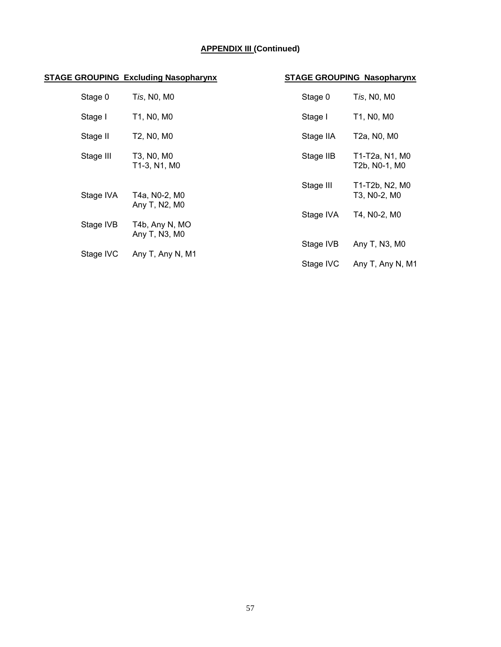## **APPENDIX III (Continued)**

## **STAGE GROUPING Excluding Nasopharynx STAGE GROUPING Nasopharynx**

| Stage 0                    | Tis, N0, M0                     | Stage 0                        | Tis, N0, M0                     |
|----------------------------|---------------------------------|--------------------------------|---------------------------------|
| Stage I                    | T1, N0, M0                      | Stage I                        | T1, N0, M0                      |
| Stage II                   | T2, N0, M0                      | Stage IIA                      | T2a, N0, M0                     |
| Stage III                  | T3, N0, M0<br>T1-3, N1, M0      | Stage IIB                      | T1-T2a, N1, M0<br>T2b, N0-1, M0 |
| Stage IVA<br>T4a, N0-2, M0 | Stage III                       | T1-T2b, N2, M0<br>T3, N0-2, M0 |                                 |
| Stage IVB                  | Any T, N2, M0<br>T4b, Any N, MO | Stage IVA                      | T4, N0-2, M0                    |

| Stage 0   | Tis, N0, M0                     | Stage 0   | Tis, N0, M0                     |
|-----------|---------------------------------|-----------|---------------------------------|
| Stage I   | T1, N0, M0                      | Stage I   | T1, N0, M0                      |
| Stage II  | T2, N0, M0                      | Stage IIA | T2a, N0, M0                     |
| Stage III | T3, N0, M0<br>T1-3, N1, M0      | Stage IIB | T1-T2a, N1, M0<br>T2b, N0-1, M0 |
| Stage IVA | T4a, N0-2, M0<br>Any T, N2, M0  | Stage III | T1-T2b, N2, M0<br>T3, N0-2, M0  |
| Stage IVB | T4b, Any N, MO<br>Any T, N3, M0 | Stage IVA | T4, N0-2, M0                    |
| Stage IVC | Any T, Any N, M1                | Stage IVB | Any T, N3, M0                   |
|           |                                 | Stage IVC | Any T, Any N, M1                |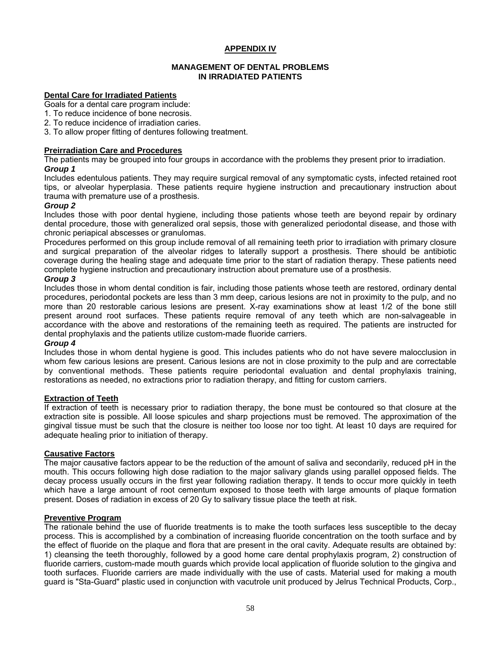#### **APPENDIX IV**

#### **MANAGEMENT OF DENTAL PROBLEMS IN IRRADIATED PATIENTS**

#### **Dental Care for Irradiated Patients**

- Goals for a dental care program include:
- 1. To reduce incidence of bone necrosis.
- 2. To reduce incidence of irradiation caries.
- 3. To allow proper fitting of dentures following treatment.

#### **Preirradiation Care and Procedures**

The patients may be grouped into four groups in accordance with the problems they present prior to irradiation. *Group 1*

Includes edentulous patients. They may require surgical removal of any symptomatic cysts, infected retained root tips, or alveolar hyperplasia. These patients require hygiene instruction and precautionary instruction about trauma with premature use of a prosthesis.

#### *Group 2*

Includes those with poor dental hygiene, including those patients whose teeth are beyond repair by ordinary dental procedure, those with generalized oral sepsis, those with generalized periodontal disease, and those with chronic periapical abscesses or granulomas.

Procedures performed on this group include removal of all remaining teeth prior to irradiation with primary closure and surgical preparation of the alveolar ridges to laterally support a prosthesis. There should be antibiotic coverage during the healing stage and adequate time prior to the start of radiation therapy. These patients need complete hygiene instruction and precautionary instruction about premature use of a prosthesis.

#### *Group 3*

Includes those in whom dental condition is fair, including those patients whose teeth are restored, ordinary dental procedures, periodontal pockets are less than 3 mm deep, carious lesions are not in proximity to the pulp, and no more than 20 restorable carious lesions are present. X-ray examinations show at least 1/2 of the bone still present around root surfaces. These patients require removal of any teeth which are non-salvageable in accordance with the above and restorations of the remaining teeth as required. The patients are instructed for dental prophylaxis and the patients utilize custom-made fluoride carriers.

#### *Group 4*

Includes those in whom dental hygiene is good. This includes patients who do not have severe malocclusion in whom few carious lesions are present. Carious lesions are not in close proximity to the pulp and are correctable by conventional methods. These patients require periodontal evaluation and dental prophylaxis training, restorations as needed, no extractions prior to radiation therapy, and fitting for custom carriers.

#### **Extraction of Teeth**

If extraction of teeth is necessary prior to radiation therapy, the bone must be contoured so that closure at the extraction site is possible. All loose spicules and sharp projections must be removed. The approximation of the gingival tissue must be such that the closure is neither too loose nor too tight. At least 10 days are required for adequate healing prior to initiation of therapy.

#### **Causative Factors**

The major causative factors appear to be the reduction of the amount of saliva and secondarily, reduced pH in the mouth. This occurs following high dose radiation to the major salivary glands using parallel opposed fields. The decay process usually occurs in the first year following radiation therapy. It tends to occur more quickly in teeth which have a large amount of root cementum exposed to those teeth with large amounts of plaque formation present. Doses of radiation in excess of 20 Gy to salivary tissue place the teeth at risk.

#### **Preventive Program**

The rationale behind the use of fluoride treatments is to make the tooth surfaces less susceptible to the decay process. This is accomplished by a combination of increasing fluoride concentration on the tooth surface and by the effect of fluoride on the plaque and flora that are present in the oral cavity. Adequate results are obtained by: 1) cleansing the teeth thoroughly, followed by a good home care dental prophylaxis program, 2) construction of fluoride carriers, custom-made mouth guards which provide local application of fluoride solution to the gingiva and tooth surfaces. Fluoride carriers are made individually with the use of casts. Material used for making a mouth guard is "Sta-Guard" plastic used in conjunction with vacutrole unit produced by Jelrus Technical Products, Corp.,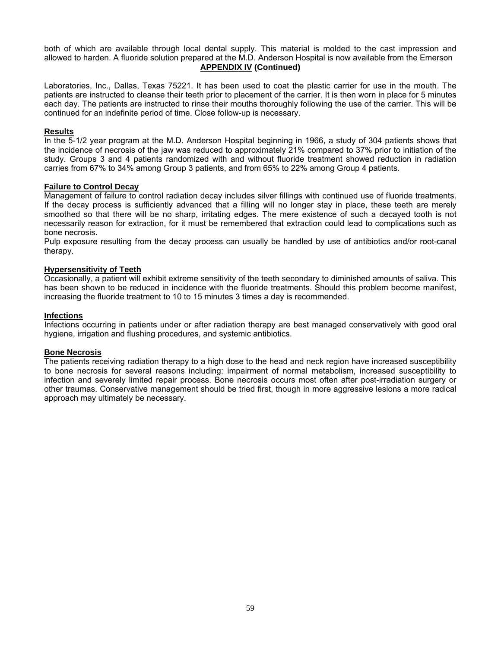both of which are available through local dental supply. This material is molded to the cast impression and allowed to harden. A fluoride solution prepared at the M.D. Anderson Hospital is now available from the Emerson **APPENDIX IV (Continued)** 

Laboratories, Inc., Dallas, Texas 75221. It has been used to coat the plastic carrier for use in the mouth. The patients are instructed to cleanse their teeth prior to placement of the carrier. It is then worn in place for 5 minutes each day. The patients are instructed to rinse their mouths thoroughly following the use of the carrier. This will be continued for an indefinite period of time. Close follow-up is necessary.

#### **Results**

In the 5-1/2 year program at the M.D. Anderson Hospital beginning in 1966, a study of 304 patients shows that the incidence of necrosis of the jaw was reduced to approximately 21% compared to 37% prior to initiation of the study. Groups 3 and 4 patients randomized with and without fluoride treatment showed reduction in radiation carries from 67% to 34% among Group 3 patients, and from 65% to 22% among Group 4 patients.

#### **Failure to Control Decay**

Management of failure to control radiation decay includes silver fillings with continued use of fluoride treatments. If the decay process is sufficiently advanced that a filling will no longer stay in place, these teeth are merely smoothed so that there will be no sharp, irritating edges. The mere existence of such a decayed tooth is not necessarily reason for extraction, for it must be remembered that extraction could lead to complications such as bone necrosis.

Pulp exposure resulting from the decay process can usually be handled by use of antibiotics and/or root-canal therapy.

#### **Hypersensitivity of Teeth**

Occasionally, a patient will exhibit extreme sensitivity of the teeth secondary to diminished amounts of saliva. This has been shown to be reduced in incidence with the fluoride treatments. Should this problem become manifest, increasing the fluoride treatment to 10 to 15 minutes 3 times a day is recommended.

#### **Infections**

Infections occurring in patients under or after radiation therapy are best managed conservatively with good oral hygiene, irrigation and flushing procedures, and systemic antibiotics.

#### **Bone Necrosis**

The patients receiving radiation therapy to a high dose to the head and neck region have increased susceptibility to bone necrosis for several reasons including: impairment of normal metabolism, increased susceptibility to infection and severely limited repair process. Bone necrosis occurs most often after post-irradiation surgery or other traumas. Conservative management should be tried first, though in more aggressive lesions a more radical approach may ultimately be necessary.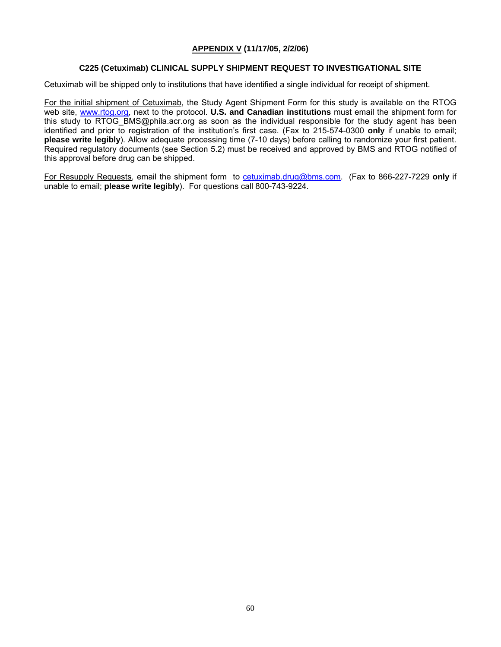#### **APPENDIX V (11/17/05, 2/2/06)**

#### **C225 (Cetuximab) CLINICAL SUPPLY SHIPMENT REQUEST TO INVESTIGATIONAL SITE**

Cetuximab will be shipped only to institutions that have identified a single individual for receipt of shipment.

For the initial shipment of Cetuximab, the Study Agent Shipment Form for this study is available on the RTOG web site, [www.rtog.org,](http://www.rtog.org) next to the protocol. **U.S. and Canadian institutions** must email the shipment form for this study to RTOG [BMS@phila.acr.org a](mailto:BMS@phila.acr.org)s soon as the individual responsible for the study agent has been identified and prior to registration of the institution's first case. (Fax to 215-574-0300 **only** if unable to email; **please write legibly**). Allow adequate processing time (7-10 days) before calling to randomize your first patient. Required regulatory documents (see Section 5.2) must be received and approved by BMS and RTOG notified of this approval before drug can be shipped.

For Resupply Requests, email the shipment form to cetuximab[.drug@bms.com.](mailto:drug@bms.com) (Fax to 866-227-7229 **only** if unable to email; **please write legibly**). For questions call 800-743-9224.